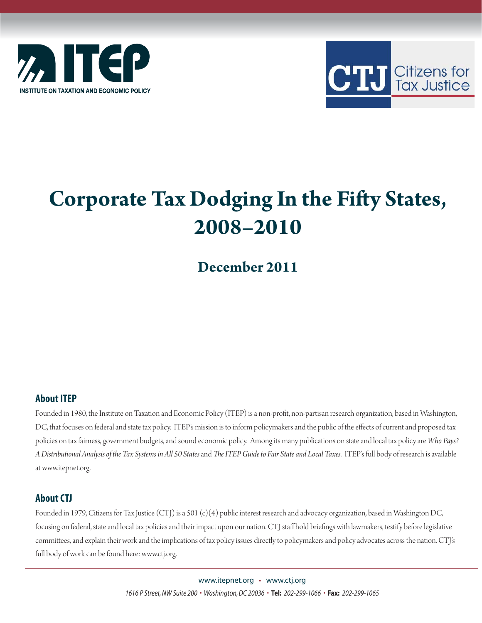



# **Corporate Tax Dodging In the Fifty States, 2008–2010**

# **December 2011**

### **About ITEP**

Founded in 1980, the Institute on Taxation and Economic Policy (ITEP) is a non-profit, non-partisan research organization, based in Washington, DC, that focuses on federal and state tax policy. ITEP's mission is to inform policymakers and the public of the effects of current and proposed tax policies on tax fairness, government budgets, and sound economic policy. Among its many publications on state and local tax policy are *Who Pays?*  A Distributional Analysis of the Tax Systems in All 50 States and The ITEP Guide to Fair State and Local Taxes. ITEP's full body of research is available at www.itepnet.org.

### **About CTJ**

Founded in 1979, Citizens for Tax Justice (CTJ) is a 501 (c)(4) public interest research and advocacy organization, based in Washington DC, focusing on federal, state and local tax policies and their impact upon our nation. CTJ staff hold briefings with lawmakers, testify before legislative committees, and explain their work and the implications of tax policy issues directly to policymakers and policy advocates across the nation. CTJ's full body of work can be found here: www.ctj.org.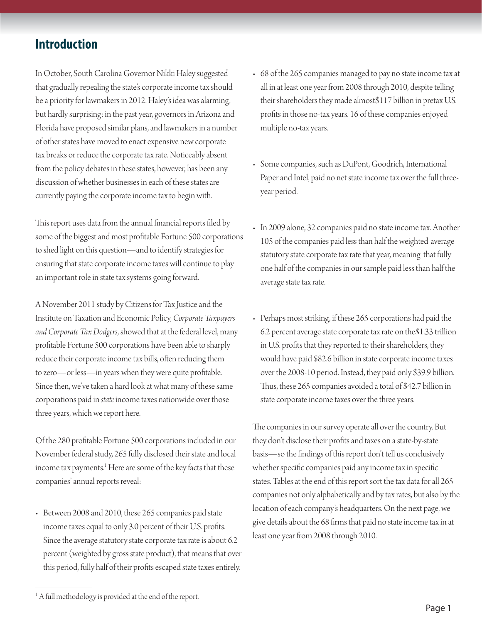### **Introduction**

In October, South Carolina Governor Nikki Haley suggested that gradually repealing the state's corporate income tax should be a priority for lawmakers in 2012. Haley's idea was alarming, but hardly surprising: in the past year, governors in Arizona and Florida have proposed similar plans, and lawmakers in a number of other states have moved to enact expensive new corporate tax breaks or reduce the corporate tax rate. Noticeably absent from the policy debates in these states, however, has been any discussion of whether businesses in each of these states are currently paying the corporate income tax to begin with.

This report uses data from the annual financial reports filed by some of the biggest and most profi table Fortune 500 corporations to shed light on this question—and to identify strategies for ensuring that state corporate income taxes will continue to play an important role in state tax systems going forward.

A November 2011 study by Citizens for Tax Justice and the Institute on Taxation and Economic Policy, *Corporate Taxpayers and Corporate Tax Dodgers*, showed that at the federal level, many profitable Fortune 500 corporations have been able to sharply reduce their corporate income tax bills, often reducing them to zero—or less—in years when they were quite profitable. Since then, we've taken a hard look at what many of these same corporations paid in *state* income taxes nationwide over those three years, which we report here.

Of the 280 profitable Fortune 500 corporations included in our November federal study, 265 fully disclosed their state and local income tax payments.<sup>1</sup> Here are some of the key facts that these companies' annual reports reveal:

• Between 2008 and 2010, these 265 companies paid state income taxes equal to only 3.0 percent of their U.S. profits. Since the average statutory state corporate tax rate is about 6.2 percent (weighted by gross state product), that means that over this period, fully half of their profits escaped state taxes entirely.

- 68 of the 265 companies managed to pay no state income tax at all in at least one year from 2008 through 2010, despite telling their shareholders they made almost\$117 billion in pretax U.S. profits in those no-tax years. 16 of these companies enjoyed multiple no-tax years.
- Some companies, such as DuPont, Goodrich, International Paper and Intel, paid no net state income tax over the full threeyear period.
- In 2009 alone, 32 companies paid no state income tax. Another 105 of the companies paid less than half the weighted-average statutory state corporate tax rate that year, meaning that fully one half of the companies in our sample paid less than half the average state tax rate.
- Perhaps most striking, if these 265 corporations had paid the 6.2 percent average state corporate tax rate on the\$1.33 trillion in U.S. profits that they reported to their shareholders, they would have paid \$82.6 billion in state corporate income taxes over the 2008-10 period. Instead, they paid only \$39.9 billion. Thus, these 265 companies avoided a total of \$42.7 billion in state corporate income taxes over the three years.

The companies in our survey operate all over the country. But they don't disclose their profits and taxes on a state-by-state basis—so the findings of this report don't tell us conclusively whether specific companies paid any income tax in specific states. Tables at the end of this report sort the tax data for all 265 companies not only alphabetically and by tax rates, but also by the location of each company's headquarters. On the next page, we give details about the 68 firms that paid no state income tax in at least one year from 2008 through 2010.

<sup>&</sup>lt;sup>1</sup> A full methodology is provided at the end of the report.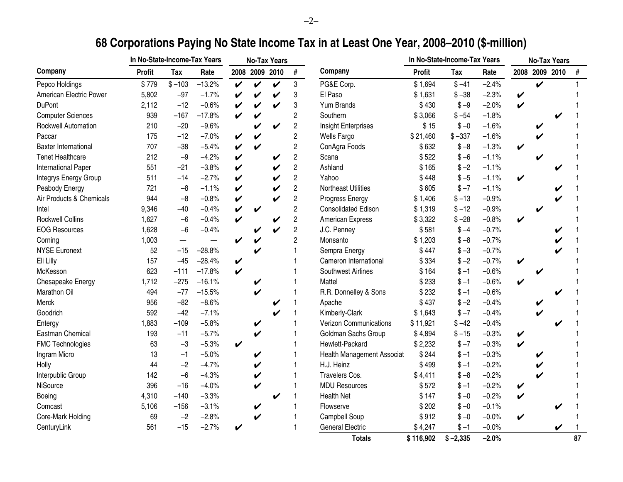# **68 Corporations Paying No State Income Tax in at Least One Year, 2008–2010 (\$-million)**

|                             | In No-State-Income-Tax Years |          |          |                    |                            | <b>No-Tax Years</b> |                         |                                   |           | In No-State-Income-Tax Years |         |                    |                    | <b>No-Tax Years</b> |      |
|-----------------------------|------------------------------|----------|----------|--------------------|----------------------------|---------------------|-------------------------|-----------------------------------|-----------|------------------------------|---------|--------------------|--------------------|---------------------|------|
| Company                     | <b>Profit</b>                | Tax      | Rate     |                    |                            | 2008 2009 2010      | #                       | Company                           | Profit    | <b>Tax</b>                   | Rate    |                    | 2008 2009 2010     |                     | $\#$ |
| Pepco Holdings              | \$779                        | $$ -103$ | $-13.2%$ | $\checkmark$       | $\checkmark$               | $\boldsymbol{\nu}$  | 3                       | PG&E Corp.                        | \$1,694   | $$ -41$                      | $-2.4%$ |                    | $\boldsymbol{\nu}$ |                     |      |
| American Electric Power     | 5,802                        | $-97$    | $-1.7%$  | $\checkmark$       | V                          | V                   | 3                       | El Paso                           | \$1,631   | $$ -38$                      | $-2.3%$ | $\checkmark$       |                    |                     |      |
| <b>DuPont</b>               | 2,112                        | $-12$    | $-0.6%$  | $\boldsymbol{\nu}$ | $\checkmark$               | V                   | 3                       | Yum Brands                        | \$430     | $$ -9$                       | $-2.0%$ | $\boldsymbol{\nu}$ |                    |                     |      |
| <b>Computer Sciences</b>    | 939                          | $-167$   | $-17.8%$ | $\checkmark$       | $\checkmark$               |                     | $\overline{\mathbf{c}}$ | Southern                          | \$3,066   | $$ -54$                      | $-1.8%$ |                    |                    |                     |      |
| Rockwell Automation         | 210                          | $-20$    | $-9.6%$  |                    | V                          | $\checkmark$        | $\overline{2}$          | Insight Enterprises               | \$15      | $$ -0$                       | $-1.6%$ |                    |                    |                     |      |
| Paccar                      | 175                          | $-12$    | $-7.0%$  | $\checkmark$       | V                          |                     | $\overline{2}$          | <b>Wells Fargo</b>                | \$21,460  | $$ -337$                     | $-1.6%$ |                    |                    |                     |      |
| <b>Baxter International</b> | 707                          | $-38$    | $-5.4%$  | $\checkmark$       | V                          |                     | $\overline{2}$          | ConAgra Foods                     | \$632     | $$ -8$                       | $-1.3%$ | $\boldsymbol{\nu}$ |                    |                     |      |
| <b>Tenet Healthcare</b>     | 212                          | $-9$     | $-4.2%$  | $\checkmark$       |                            | V                   | $\overline{c}$          | Scana                             | \$522     | $$ -6$                       | $-1.1%$ |                    |                    |                     |      |
| <b>International Paper</b>  | 551                          | $-21$    | $-3.8%$  | V                  |                            | V                   | $\sqrt{2}$              | Ashland                           | \$165     | $$ -2$                       | $-1.1%$ |                    |                    |                     |      |
| Integrys Energy Group       | 511                          | $-14$    | $-2.7%$  | V                  |                            | $\checkmark$        | $\overline{2}$          | Yahoo                             | \$448     | $$ -5$                       | $-1.1%$ | $\checkmark$       |                    |                     |      |
| Peabody Energy              | 721                          | $-8$     | $-1.1%$  | V                  |                            | V                   | $\overline{2}$          | <b>Northeast Utilities</b>        | \$605     | $$ -7$                       | $-1.1%$ |                    |                    |                     |      |
| Air Products & Chemicals    | 944                          | $-8$     | $-0.8%$  | $\checkmark$       |                            | $\boldsymbol{\nu}$  | $\overline{2}$          | Progress Energy                   | \$1,406   | $$ -13$                      | $-0.9%$ |                    |                    |                     |      |
| Intel                       | 9,346                        | $-40$    | $-0.4%$  | V                  | $\checkmark$               |                     | $\overline{c}$          | <b>Consolidated Edison</b>        | \$1,319   | $$ -12$                      | $-0.9%$ |                    |                    |                     |      |
| <b>Rockwell Collins</b>     | 1,627                        | $-6$     | $-0.4%$  | $\checkmark$       |                            | V                   | $\sqrt{2}$              | American Express                  | \$3,322   | $$ -28$                      | $-0.8%$ | $\checkmark$       |                    |                     |      |
| <b>EOG Resources</b>        | 1,628                        | $-6$     | $-0.4%$  |                    | V                          | V                   | $\overline{2}$          | J.C. Penney                       | \$581     | $$ -4$                       | $-0.7%$ |                    |                    |                     |      |
| Corning                     | 1,003                        |          |          | $\checkmark$       | V                          |                     | $\overline{c}$          | Monsanto                          | \$1,203   | $$ -8$                       | $-0.7%$ |                    |                    |                     |      |
| <b>NYSE Euronext</b>        | 52                           | $-15$    | $-28.8%$ |                    | V                          |                     |                         | Sempra Energy                     | \$447     | $$ -3$                       | $-0.7%$ |                    |                    |                     |      |
| Eli Lilly                   | 157                          | $-45$    | $-28.4%$ | $\checkmark$       |                            |                     |                         | Cameron International             | \$334     | $$ -2$                       | $-0.7%$ | $\checkmark$       |                    |                     |      |
| McKesson                    | 623                          | $-111$   | $-17.8%$ | $\boldsymbol{\nu}$ |                            |                     |                         | <b>Southwest Airlines</b>         | \$164     | $$ -1$                       | $-0.6%$ |                    |                    |                     |      |
| Chesapeake Energy           | 1,712                        | $-275$   | $-16.1%$ |                    | V                          |                     |                         | Mattel                            | \$233     | $$ -1$                       | $-0.6%$ | $\boldsymbol{\nu}$ |                    |                     |      |
| Marathon Oil                | 494                          | $-77$    | $-15.5%$ |                    | V                          |                     |                         | R.R. Donnelley & Sons             | \$232     | $$ -1$                       | $-0.6%$ |                    |                    |                     |      |
| Merck                       | 956                          | $-82$    | $-8.6%$  |                    |                            | V                   |                         | Apache                            | \$437     | $$ -2$                       | $-0.4%$ |                    |                    |                     |      |
| Goodrich                    | 592                          | $-42$    | $-7.1%$  |                    |                            | V                   |                         | Kimberly-Clark                    | \$1,643   | $$ -7$                       | $-0.4%$ |                    |                    |                     |      |
| Entergy                     | 1,883                        | $-109$   | $-5.8%$  |                    | V                          |                     |                         | <b>Verizon Communications</b>     | \$11,921  | $$ -42$                      | $-0.4%$ |                    |                    |                     |      |
| Eastman Chemical            | 193                          | $-11$    | $-5.7%$  |                    | V                          |                     |                         | Goldman Sachs Group               | \$4,894   | $$ -15$                      | $-0.3%$ | $\checkmark$       |                    |                     |      |
| <b>FMC Technologies</b>     | 63                           | $-3$     | $-5.3%$  | $\boldsymbol{\nu}$ |                            |                     |                         | Hewlett-Packard                   | \$2,232   | $$ -7$                       | $-0.3%$ | $\checkmark$       |                    |                     |      |
| Ingram Micro                | 13                           | $-1$     | $-5.0%$  |                    | V                          |                     |                         | <b>Health Management Associat</b> | \$244     | $$-1$                        | $-0.3%$ |                    |                    |                     |      |
| Holly                       | 44                           | $-2$     | $-4.7%$  |                    | V                          |                     |                         | H.J. Heinz                        | \$499     | $$-1$                        | $-0.2%$ |                    |                    |                     |      |
| Interpublic Group           | 142                          | $-6$     | $-4.3%$  |                    | $\boldsymbol{\mathcal{U}}$ |                     |                         | Travelers Cos.                    | \$4,411   | $$ -8$                       | $-0.2%$ |                    |                    |                     |      |
| NiSource                    | 396                          | $-16$    | $-4.0%$  |                    | V                          |                     |                         | <b>MDU Resources</b>              | \$572     | $$ -1$                       | $-0.2%$ | $\checkmark$       |                    |                     |      |
| Boeing                      | 4,310                        | $-140$   | $-3.3%$  |                    |                            | V                   |                         | <b>Health Net</b>                 | \$147     | $$ -0$                       | $-0.2%$ | $\checkmark$       |                    |                     |      |
| Comcast                     | 5,106                        | $-156$   | $-3.1%$  |                    | V                          |                     |                         | Flowserve                         | \$202     | $$ -0$                       | $-0.1%$ |                    |                    | V                   |      |
| Core-Mark Holding           | 69                           | $-2$     | $-2.8%$  |                    | V                          |                     |                         | Campbell Soup                     | \$912     | $$ -0$                       | $-0.0%$ | V                  |                    |                     |      |
| CenturyLink                 | 561                          | $-15$    | $-2.7%$  | $\checkmark$       |                            |                     |                         | <b>General Electric</b>           | \$4,247   | $$ -1$                       | $-0.0%$ |                    |                    | V                   |      |
|                             |                              |          |          |                    |                            |                     |                         | <b>Totals</b>                     | \$116,902 | $$ -2,335$                   | $-2.0%$ |                    |                    |                     | 87   |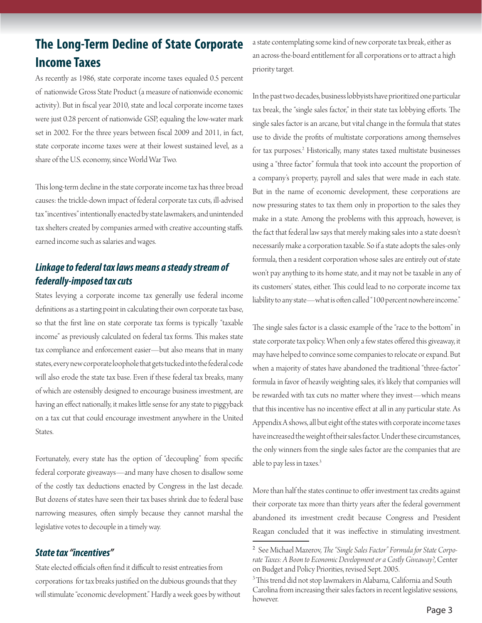# **The Long-Term Decline of State Corporate Income Taxes**

As recently as 1986, state corporate income taxes equaled 0.5 percent of nationwide Gross State Product (a measure of nationwide economic activity). But in fiscal year 2010, state and local corporate income taxes were just 0.28 percent of nationwide GSP, equaling the low-water mark set in 2002. For the three years between fiscal 2009 and 2011, in fact, state corporate income taxes were at their lowest sustained level, as a share of the U.S. economy, since World War Two.

This long-term decline in the state corporate income tax has three broad causes: the trickle-down impact of federal corporate tax cuts, ill-advised tax "incentives" intentionally enacted by state lawmakers, and unintended tax shelters created by companies armed with creative accounting staffs. earned income such as salaries and wages.

### *Linkage to federal tax laws means a steady stream of federally-imposed tax cuts*

States levying a corporate income tax generally use federal income definitions as a starting point in calculating their own corporate tax base, so that the first line on state corporate tax forms is typically "taxable income" as previously calculated on federal tax forms. This makes state tax compliance and enforcement easier—but also means that in many states, every new corporate loophole that gets tucked into the federal code will also erode the state tax base. Even if these federal tax breaks, many of which are ostensibly designed to encourage business investment, are having an effect nationally, it makes little sense for any state to piggyback on a tax cut that could encourage investment anywhere in the United States.

Fortunately, every state has the option of "decoupling" from specific federal corporate giveaways—and many have chosen to disallow some of the costly tax deductions enacted by Congress in the last decade. But dozens of states have seen their tax bases shrink due to federal base narrowing measures, often simply because they cannot marshal the legislative votes to decouple in a timely way.

### *State tax "incentives"*

State elected officials often find it difficult to resist entreaties from corporations for tax breaks justified on the dubious grounds that they will stimulate "economic development." Hardly a week goes by without a state contemplating some kind of new corporate tax break, either as an across-the-board entitlement for all corporations or to attract a high priority target.

In the past two decades, business lobbyists have prioritized one particular tax break, the "single sales factor," in their state tax lobbying efforts. The single sales factor is an arcane, but vital change in the formula that states use to divide the profits of multistate corporations among themselves for tax purposes.<sup>2</sup> Historically, many states taxed multistate businesses using a "three factor" formula that took into account the proportion of a company's property, payroll and sales that were made in each state. But in the name of economic development, these corporations are now pressuring states to tax them only in proportion to the sales they make in a state. Among the problems with this approach, however, is the fact that federal law says that merely making sales into a state doesn't necessarily make a corporation taxable. So if a state adopts the sales-only formula, then a resident corporation whose sales are entirely out of state won't pay anything to its home state, and it may not be taxable in any of its customers' states, either. This could lead to no corporate income tax liability to any state—what is often called "100 percent nowhere income."

The single sales factor is a classic example of the "race to the bottom" in state corporate tax policy. When only a few states offered this giveaway, it may have helped to convince some companies to relocate or expand. But when a majority of states have abandoned the traditional "three-factor" formula in favor of heavily weighting sales, it's likely that companies will be rewarded with tax cuts no matter where they invest—which means that this incentive has no incentive effect at all in any particular state. As Appendix A shows, all but eight of the states with corporate income taxes have increased the weight of their sales factor. Under these circumstances, the only winners from the single sales factor are the companies that are able to pay less in taxes.<sup>3</sup>

More than half the states continue to offer investment tax credits against their corporate tax more than thirty years after the federal government abandoned its investment credit because Congress and President Reagan concluded that it was ineffective in stimulating investment.

<sup>&</sup>lt;sup>2</sup> See Michael Mazerov, *The "Single Sales Factor" Formula for State Corporate Taxes: A Boon to Economic Development or a Costly Giveaway?*, Center on Budget and Policy Priorities, revised Sept. 2005.

 $3$ This trend did not stop lawmakers in Alabama, California and South Carolina from increasing their sales factors in recent legislative sessions, however.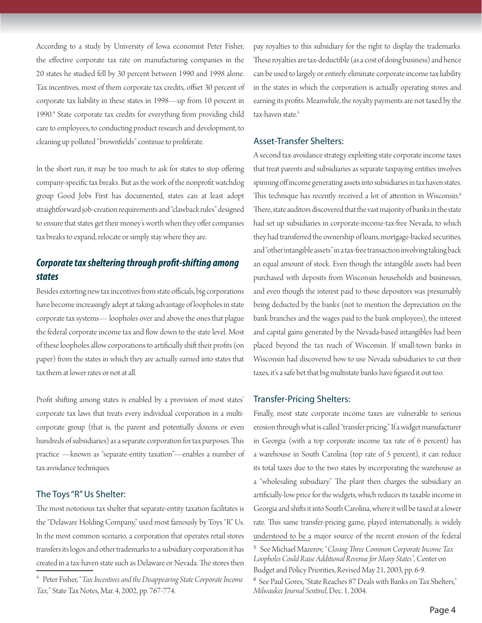According to a study by University of Iowa economist Peter Fisher, the effective corporate tax rate on manufacturing companies in the 20 states he studied fell by 30 percent between 1990 and 1998 alone. Tax incentives, most of them corporate tax credits, offset 30 percent of corporate tax liability in these states in 1998—up from 10 percent in 1990.4 State corporate tax credits for everything from providing child care to employees, to conducting product research and development, to cleaning up polluted "brownfields" continue to proliferate.

In the short run, it may be too much to ask for states to stop offering company-specific tax breaks. But as the work of the nonprofit watchdog group Good Jobs First has documented, states can at least adopt straightforward job-creation requirements and "clawback rules" designed to ensure that states get their money's worth when they offer companies tax breaks to expand, relocate or simply stay where they are.

### *Corporate tax sheltering through profi t-shifting among states*

Besides extorting new tax incentives from state officials, big corporations have become increasingly adept at taking advantage of loopholes in state corporate tax systems— loopholes over and above the ones that plague the federal corporate income tax and flow down to the state level. Most of these loopholes allow corporations to artificially shift their profits (on paper) from the states in which they are actually earned into states that tax them at lower rates or not at all.

Profit shifting among states is enabled by a provision of most states' corporate tax laws that treats every individual corporation in a multicorporate group (that is, the parent and potentially dozens or even hundreds of subsidiaries) as a separate corporation for tax purposes. This practice —known as "separate-entity taxation"—enables a number of tax avoidance techniques.

#### The Toys "R" Us Shelter:

The most notorious tax shelter that separate-entity taxation facilitates is the "Delaware Holding Company," used most famously by Toys "R" Us. In the most common scenario, a corporation that operates retail stores transfers its logos and other trademarks to a subsidiary corporation it has created in a tax-haven state such as Delaware or Nevada. The stores then pay royalties to this subsidiary for the right to display the trademarks. These royalties are tax-deductible (as a cost of doing business) and hence can be used to largely or entirely eliminate corporate income tax liability in the states in which the corporation is actually operating stores and earning its profits. Meanwhile, the royalty payments are not taxed by the tax-haven state.<sup>5</sup>

#### Asset-Transfer Shelters:

A second tax-avoidance strategy exploiting state corporate income taxes that treat parents and subsidiaries as separate taxpaying entities involves spinning off income generating assets into subsidiaries in tax haven states. This technique has recently received a lot of attention in Wisconsin.<sup>6</sup> There, state auditors discovered that the vast majority of banks in the state had set up subsidiaries in corporate-income-tax-free Nevada, to which they had transferred the ownership of loans, mortgage-backed securities, and "other intangible assets" in a tax-free transaction involving taking back an equal amount of stock. Even though the intangible assets had been purchased with deposits from Wisconsin households and businesses, and even though the interest paid to those depositors was presumably being deducted by the banks (not to mention the depreciation on the bank branches and the wages paid to the bank employees), the interest and capital gains generated by the Nevada-based intangibles had been placed beyond the tax reach of Wisconsin. If small-town banks in Wisconsin had discovered how to use Nevada subsidiaries to cut their taxes, it's a safe bet that big multistate banks have figured it out too.

#### Transfer-Pricing Shelters:

Finally, most state corporate income taxes are vulnerable to serious erosion through what is called "transfer pricing." If a widget manufacturer in Georgia (with a top corporate income tax rate of 6 percent) has a warehouse in South Carolina (top rate of 5 percent), it can reduce its total taxes due to the two states by incorporating the warehouse as a "wholesaling subsidiary." The plant then charges the subsidiary an artificially-low price for the widgets, which reduces its taxable income in Georgia and shifts it into South Carolina, where it will be taxed at a lower rate. This same transfer-pricing game, played internationally, is widely understood to be a major source of the recent erosion of the federal

<sup>4</sup> Peter Fisher, "*Tax Incentives and the Disappearing State Corporate Income Tax,*" State Tax Notes, Mar. 4, 2002, pp. 767-774.

<sup>5</sup> See Michael Mazerov, "*Closing Th ree Common Corporate Income Tax Loopholes Could Raise Additional Revenue for Many States"*, Center on

Budget and Policy Priorities, Revised May 21, 2003, pp. 6-9.

<sup>6</sup> See Paul Gores, "State Reaches 87 Deals with Banks on Tax Shelters," *Milwaukee Journal Sentinel*, Dec. 1, 2004.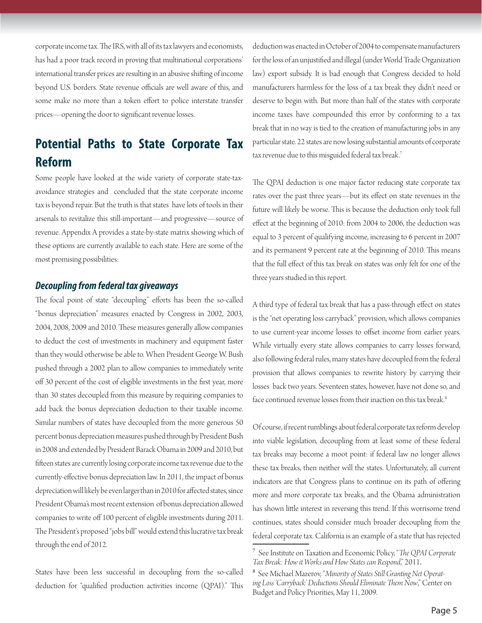corporate income tax. The IRS, with all of its tax lawyers and economists, has had a poor track record in proving that multinational corporations' international transfer prices are resulting in an abusive shifting of income beyond U.S. borders. State revenue officials are well aware of this, and some make no more than a token effort to police interstate transfer prices—opening the door to significant revenue losses.

# **Potential Paths to State Corporate Tax Reform**

Some people have looked at the wide variety of corporate state-taxavoidance strategies and concluded that the state corporate income tax is beyond repair. But the truth is that states have lots of tools in their arsenals to revitalize this still-important—and progressive—source of revenue. Appendix A provides a state-by-state matrix showing which of these options are currently available to each state. Here are some of the most promising possibilities:

#### *Decoupling from federal tax giveaways*

The focal point of state "decoupling" efforts has been the so-called "bonus depreciation" measures enacted by Congress in 2002, 2003, 2004, 2008, 2009 and 2010. These measures generally allow companies to deduct the cost of investments in machinery and equipment faster than they would otherwise be able to. When President George W. Bush pushed through a 2002 plan to allow companies to immediately write off 30 percent of the cost of eligible investments in the first year, more than 30 states decoupled from this measure by requiring companies to add back the bonus depreciation deduction to their taxable income. Similar numbers of states have decoupled from the more generous 50 percent bonus depreciation measures pushed through by President Bush in 2008 and extended by President Barack Obama in 2009 and 2010, but fifteen states are currently losing corporate income tax revenue due to the currently-effective bonus depreciation law. In 2011, the impact of bonus depreciation will likely be even larger than in 2010 for affected states, since President Obama's most recent extension of bonus depreciation allowed companies to write off 100 percent of eligible investments during 2011. The President's proposed "jobs bill" would extend this lucrative tax break through the end of 2012.

States have been less successful in decoupling from the so-called deduction for "qualified production activities income (QPAI)." This deduction was enacted in October of 2004 to compensate manufacturers for the loss of an unjustified and illegal (under World Trade Organization law) export subsidy. It is bad enough that Congress decided to hold manufacturers harmless for the loss of a tax break they didn't need or deserve to begin with. But more than half of the states with corporate income taxes have compounded this error by conforming to a tax break that in no way is tied to the creation of manufacturing jobs in any particular state. 22 states are now losing substantial amounts of corporate tax revenue due to this misguided federal tax break.7

The QPAI deduction is one major factor reducing state corporate tax rates over the past three years—but its effect on state revenues in the future will likely be worse. This is because the deduction only took full effect at the beginning of 2010: from 2004 to 2006, the deduction was equal to 3 percent of qualifying income, increasing to 6 percent in 2007 and its permanent 9 percent rate at the beginning of 2010. This means that the full effect of this tax break on states was only felt for one of the three years studied in this report.

A third type of federal tax break that has a pass-through effect on states is the "net operating loss carryback" provision, which allows companies to use current-year income losses to offset income from earlier years. While virtually every state allows companies to carry losses forward, also following federal rules, many states have decoupled from the federal provision that allows companies to rewrite history by carrying their losses back two years. Seventeen states, however, have not done so, and face continued revenue losses from their inaction on this tax break.<sup>8</sup>

Of course, if recent rumblings about federal corporate tax reform develop into viable legislation, decoupling from at least some of these federal tax breaks may become a moot point: if federal law no longer allows these tax breaks, then neither will the states. Unfortunately, all current indicators are that Congress plans to continue on its path of offering more and more corporate tax breaks, and the Obama administration has shown little interest in reversing this trend. If this worrisome trend continues, states should consider much broader decoupling from the federal corporate tax. California is an example of a state that has rejected

<sup>&</sup>lt;sup>7</sup> See Institute on Taxation and Economic Policy, "*The QPAI Corporate Tax Break: How it Works and How States can Respond*," 2011.

<sup>&</sup>lt;sup>8</sup> See Michael Mazerov, "Minority of States Still Granting Net Operating Loss 'Carryback' Deductions Should Eliminate Them Now," Center on Budget and Policy Priorities, May 11, 2009.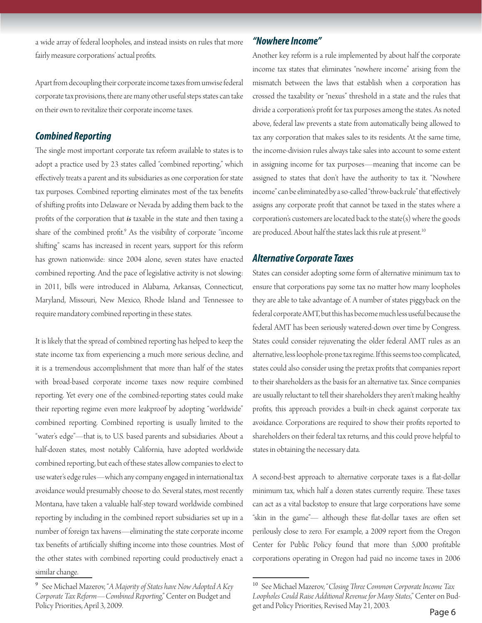a wide array of federal loopholes, and instead insists on rules that more fairly measure corporations' actual profits.

Apart from decoupling their corporate income taxes from unwise federal corporate tax provisions, there are many other useful steps states can take on their own to revitalize their corporate income taxes.

### *Combined Reporting*

The single most important corporate tax reform available to states is to adopt a practice used by 23 states called "combined reporting," which effectively treats a parent and its subsidiaries as one corporation for state tax purposes. Combined reporting eliminates most of the tax benefits of shifting profits into Delaware or Nevada by adding them back to the profits of the corporation that *is* taxable in the state and then taxing a share of the combined profit.<sup>9</sup> As the visibility of corporate "income shifting" scams has increased in recent years, support for this reform has grown nationwide: since 2004 alone, seven states have enacted combined reporting. And the pace of legislative activity is not slowing: in 2011, bills were introduced in Alabama, Arkansas, Connecticut, Maryland, Missouri, New Mexico, Rhode Island and Tennessee to require mandatory combined reporting in these states.

It is likely that the spread of combined reporting has helped to keep the state income tax from experiencing a much more serious decline, and it is a tremendous accomplishment that more than half of the states with broad-based corporate income taxes now require combined reporting. Yet every one of the combined-reporting states could make their reporting regime even more leakproof by adopting "worldwide" combined reporting. Combined reporting is usually limited to the "water's edge"—that is, to U.S. based parents and subsidiaries. About a half-dozen states, most notably California, have adopted worldwide combined reporting, but each of these states allow companies to elect to use water's edge rules—which any company engaged in international tax avoidance would presumably choose to do. Several states, most recently Montana, have taken a valuable half-step toward worldwide combined reporting by including in the combined report subsidiaries set up in a number of foreign tax havens—eliminating the state corporate income tax benefits of artificially shifting income into those countries. Most of the other states with combined reporting could productively enact a similar change.

### *"Nowhere Income"*

Another key reform is a rule implemented by about half the corporate income tax states that eliminates "nowhere income" arising from the mismatch between the laws that establish when a corporation has crossed the taxability or "nexus" threshold in a state and the rules that divide a corporation's profit for tax purposes among the states. As noted above, federal law prevents a state from automatically being allowed to tax any corporation that makes sales to its residents. At the same time, the income-division rules always take sales into account to some extent in assigning income for tax purposes—meaning that income can be assigned to states that don't have the authority to tax it. "Nowhere income" can be eliminated by a so-called "throw-back rule" that effectively assigns any corporate profit that cannot be taxed in the states where a corporation's customers are located back to the state(s) where the goods are produced. About half the states lack this rule at present.<sup>10</sup>

#### *Alternative Corporate Taxes*

States can consider adopting some form of alternative minimum tax to ensure that corporations pay some tax no matter how many loopholes they are able to take advantage of. A number of states piggyback on the federal corporate AMT, but this has become much less useful because the federal AMT has been seriously watered-down over time by Congress. States could consider rejuvenating the older federal AMT rules as an alternative, less loophole-prone tax regime. If this seems too complicated, states could also consider using the pretax profits that companies report to their shareholders as the basis for an alternative tax. Since companies are usually reluctant to tell their shareholders they aren't making healthy profits, this approach provides a built-in check against corporate tax avoidance. Corporations are required to show their profits reported to shareholders on their federal tax returns, and this could prove helpful to states in obtaining the necessary data.

A second-best approach to alternative corporate taxes is a flat-dollar minimum tax, which half a dozen states currently require. These taxes can act as a vital backstop to ensure that large corporations have some "skin in the game"— although these flat-dollar taxes are often set perilously close to zero. For example, a 2009 report from the Oregon Center for Public Policy found that more than 5,000 profitable corporations operating in Oregon had paid no income taxes in 2006

<sup>9</sup> See Michael Mazerov, "*A Majority of States have Now Adopted A Key Corporate Tax Reform—Combined Reporting*," Center on Budget and Policy Priorities, April 3, 2009.

<sup>&</sup>lt;sup>10</sup> See Michael Mazerov, "Closing Three Common Corporate Income Tax *Loopholes Could Raise Additional Revenue for Many States*," Center on Budget and Policy Priorities, Revised May 21, 2003. Page 6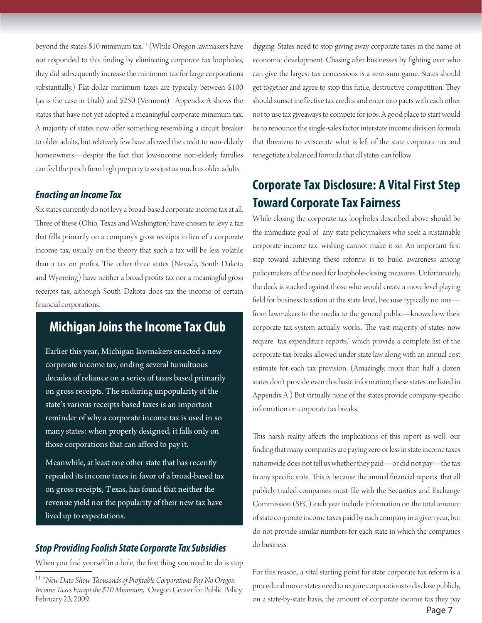beyond the state's \$10 minimum tax.<sup>11</sup> (While Oregon lawmakers have not responded to this finding by eliminating corporate tax loopholes, they did subsequently increase the minimum tax for large corporations substantially.) Flat-dollar minimum taxes are typically between \$100 (as is the case in Utah) and \$250 (Vermont). Appendix A shows the states that have not yet adopted a meaningful corporate minimum tax. A majority of states now offer something resembling a circuit breaker to older adults, but relatively few have allowed the credit to non-elderly homeowners—despite the fact that low-income non-elderly families can feel the pinch from high property taxes just as much as older adults.

### *Enacting an Income Tax*

Six states currently do not levy a broad-based corporate income tax at all. Three of these (Ohio, Texas and Washington) have chosen to levy a tax that falls primarily on a company's gross receipts in lieu of a corporate income tax, usually on the theory that such a tax will be less volatile than a tax on profits. The other three states (Nevada, South Dakota and Wyoming) have neither a broad profits tax nor a meaningful gross receipts tax, although South Dakota does tax the income of certain financial corporations.

# **Michigan Joins the Income Tax Club**

Earlier this year, Michigan lawmakers enacted a new corporate income tax, ending several tumultuous decades of reliance on a series of taxes based primarily on gross receipts. The enduring unpopularity of the state's various receipts-based taxes is an important reminder of why a corporate income tax is used in so many states: when properly designed, it falls only on those corporations that can afford to pay it.

Meanwhile, at least one other state that has recently repealed its income taxes in favor of a broad-based tax on gross receipts, Texas, has found that neither the revenue yield nor the popularity of their new tax have lived up to expectations.

### *Stop Providing Foolish State Corporate Tax Subsidies*

When you find yourself in a hole, the first thing you need to do is stop

digging. States need to stop giving away corporate taxes in the name of economic development. Chasing after businesses by fighting over who can give the largest tax concessions is a zero-sum game. States should get together and agree to stop this futile, destructive competition. They should sunset ineffective tax credits and enter into pacts with each other not to use tax giveaways to compete for jobs. A good place to start would be to renounce the single-sales factor interstate income division formula that threatens to eviscerate what is left of the state corporate tax and renegotiate a balanced formula that all states can follow.

# **Corporate Tax Disclosure: A Vital First Step Toward Corporate Tax Fairness**

While closing the corporate tax loopholes described above should be the immediate goal of any state policymakers who seek a sustainable corporate income tax, wishing cannot make it so. An important first step toward achieving these reforms is to build awareness among policymakers of the need for loophole-closing measures. Unfortunately, the deck is stacked against those who would create a more level playing field for business taxation at the state level, because typically no onefrom lawmakers to the media to the general public—knows how their corporate tax system actually works. The vast majority of states now require "tax expenditure reports," which provide a complete list of the corporate tax breaks allowed under state law along with an annual cost estimate for each tax provision. (Amazingly, more than half a dozen states don't provide even this basic information; these states are listed in Appendix A.) But virtually none of the states provide company-specific information on corporate tax breaks.

This harsh reality affects the implications of this report as well: our finding that many companies are paying zero or less in state income taxes nationwide does not tell us whether they paid—or did not pay—the tax in any specific state. This is because the annual financial reports that all publicly traded companies must file with the Securities and Exchange Commission (SEC) each year include information on the total amount of state corporate income taxes paid by each company in a given year, but do not provide similar numbers for each state in which the companies do business.

For this reason, a vital starting point for state corporate tax reform is a procedural move: states need to require corporations to disclose publicly, on a state-by-state basis, the amount of corporate income tax they pay

<sup>&</sup>lt;sup>11</sup> "New Data Show Thousands of Profitable Corporations Pay No Oregon *Income Taxes Except the \$10 Minimum,*" Oregon Center for Public Policy, February 23, 2009.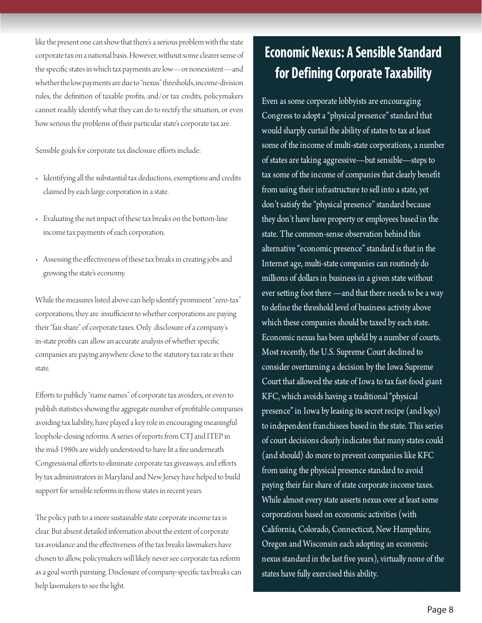like the present one can show that there's a serious problem with the state corporate tax on a national basis. However, without some clearer sense of the specific states in which tax payments are low—or nonexistent—and whether the low payments are due to "nexus" thresholds, income-division rules, the definition of taxable profits, and/or tax credits, policymakers cannot readily identify what they can do to rectify the situation, or even how serious the problems of their particular state's corporate tax are.

Sensible goals for corporate tax disclosure efforts include:

- Identifying all the substantial tax deductions, exemptions and credits claimed by each large corporation in a state.
- Evaluating the net impact of these tax breaks on the bottom-line income tax payments of each corporation.
- Assessing the effectiveness of these tax breaks in creating jobs and growing the state's economy.

While the measures listed above can help identify prominent "zero-tax" corporations, they are insufficient to whether corporations are paying their "fair share" of corporate taxes. Only disclosure of a company's in-state profits can allow an accurate analysis of whether specific companies are paying anywhere close to the statutory tax rate in their state.

Efforts to publicly "name names" of corporate tax avoiders, or even to publish statistics showing the aggregate number of profitable companies avoiding tax liability, have played a key role in encouraging meaningful loophole-closing reforms. A series of reports from CTJ and ITEP in the mid-1980s are widely understood to have lit a fire underneath Congressional efforts to eliminate corporate tax giveaways, and efforts by tax administrators in Maryland and New Jersey have helped to build support for sensible reforms in those states in recent years.

The policy path to a more sustainable state corporate income tax is clear. But absent detailed information about the extent of corporate tax avoidance and the effectiveness of the tax breaks lawmakers have chosen to allow, policymakers will likely never see corporate tax reform as a goal worth pursuing. Disclosure of company-specific tax breaks can help lawmakers to see the light.

# **Economic Nexus: A Sensible Standard for Defining Corporate Taxability**

Even as some corporate lobbyists are encouraging Congress to adopt a "physical presence" standard that would sharply curtail the ability of states to tax at least some of the income of multi-state corporations, a number of states are taking aggressive—but sensible—steps to tax some of the income of companies that clearly benefit from using their infrastructure to sell into a state, yet don't satisfy the "physical presence" standard because they don't have have property or employees based in the state. The common-sense observation behind this alternative "economic presence" standard is that in the Internet age, multi-state companies can routinely do millions of dollars in business in a given state without ever setting foot there —and that there needs to be a way to define the threshold level of business activity above which these companies should be taxed by each state. Economic nexus has been upheld by a number of courts. Most recently, the U.S. Supreme Court declined to consider overturning a decision by the Iowa Supreme Court that allowed the state of Iowa to tax fast-food giant KFC, which avoids having a traditional "physical presence" in Iowa by leasing its secret recipe (and logo) to independent franchisees based in the state. This series of court decisions clearly indicates that many states could (and should) do more to prevent companies like KFC from using the physical presence standard to avoid paying their fair share of state corporate income taxes. While almost every state asserts nexus over at least some corporations based on economic activities (with California, Colorado, Connecticut, New Hampshire, Oregon and Wisconsin each adopting an economic nexus standard in the last five years), virtually none of the states have fully exercised this ability.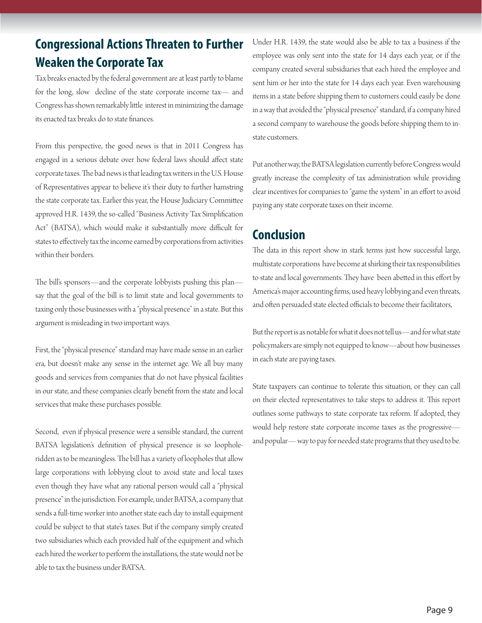# **Congressional Actions Threaten to Further Weaken the Corporate Tax**

Tax breaks enacted by the federal government are at least partly to blame for the long, slow decline of the state corporate income tax— and Congress has shown remarkably little interest in minimizing the damage its enacted tax breaks do to state finances.

From this perspective, the good news is that in 2011 Congress has engaged in a serious debate over how federal laws should affect state corporate taxes. The bad news is that leading tax writers in the U.S. House of Representatives appear to believe it's their duty to further hamstring the state corporate tax. Earlier this year, the House Judiciary Committee approved H.R. 1439, the so-called "Business Activity Tax Simplification Act" (BATSA), which would make it substantially more difficult for states to effectively tax the income earned by corporations from activities within their borders.

The bill's sponsors—and the corporate lobbyists pushing this plan say that the goal of the bill is to limit state and local governments to taxing only those businesses with a "physical presence" in a state. But this argument is misleading in two important ways.

First, the "physical presence" standard may have made sense in an earlier era, but doesn't make any sense in the internet age. We all buy many goods and services from companies that do not have physical facilities in our state, and these companies clearly benefit from the state and local services that make these purchases possible.

Second, even if physical presence were a sensible standard, the current BATSA legislation's definition of physical presence is so loopholeridden as to be meaningless. The bill has a variety of loopholes that allow large corporations with lobbying clout to avoid state and local taxes even though they have what any rational person would call a "physical presence" in the jurisdiction. For example, under BATSA, a company that sends a full-time worker into another state each day to install equipment could be subject to that state's taxes. But if the company simply created two subsidiaries which each provided half of the equipment and which each hired the worker to perform the installations, the state would not be able to tax the business under BATSA.

Under H.R. 1439, the state would also be able to tax a business if the employee was only sent into the state for 14 days each year, or if the company created several subsidiaries that each hired the employee and sent him or her into the state for 14 days each year. Even warehousing items in a state before shipping them to customers could easily be done in a way that avoided the "physical presence" standard, if a company hired a second company to warehouse the goods before shipping them to instate customers.

Put another way, the BATSA legislation currently before Congress would greatly increase the complexity of tax administration while providing clear incentives for companies to "game the system" in an effort to avoid paying any state corporate taxes on their income.

# **Conclusion**

The data in this report show in stark terms just how successful large, multistate corporations have become at shirking their tax responsibilities to state and local governments. They have been abetted in this effort by America's major accounting firms, used heavy lobbying and even threats, and often persuaded state elected officials to become their facilitators,

But the report is as notable for what it does not tell us—and for what state policymakers are simply not equipped to know—about how businesses in each state are paying taxes.

State taxpayers can continue to tolerate this situation, or they can call on their elected representatives to take steps to address it. This report outlines some pathways to state corporate tax reform. If adopted, they would help restore state corporate income taxes as the progressive and popular— way to pay for needed state programs that they used to be.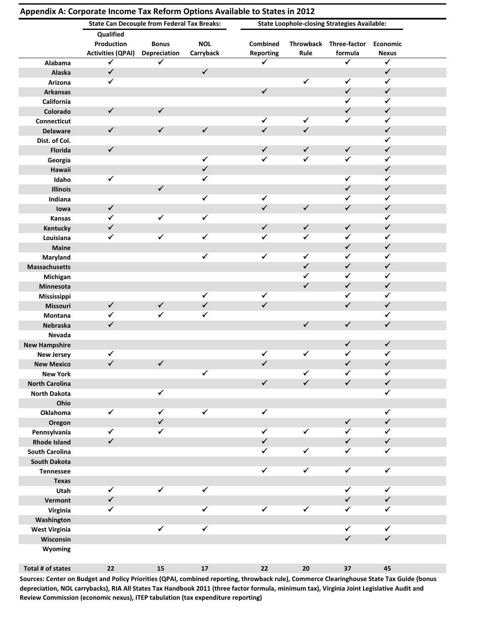|                       | <b>State Can Decouple from Federal Tax Breaks:</b> |                     |              |                   |              | <b>State Loophole-closing Strategies Available:</b> |              |  |
|-----------------------|----------------------------------------------------|---------------------|--------------|-------------------|--------------|-----------------------------------------------------|--------------|--|
|                       | Qualified                                          |                     |              |                   |              |                                                     |              |  |
|                       | Production                                         | <b>Bonus</b>        | <b>NOL</b>   | Combined          |              | Throwback Three-factor                              | Economic     |  |
|                       | <b>Activities (QPAI)</b>                           | <b>Depreciation</b> | Carryback    | <b>Reporting</b>  | Rule         | formula                                             | <b>Nexus</b> |  |
| Alabama               | $\checkmark$                                       | ✓                   |              | ✓                 |              | ✓                                                   | $\checkmark$ |  |
| Alaska                | $\checkmark$                                       |                     | $\checkmark$ |                   |              |                                                     | $\checkmark$ |  |
| Arizona               | ✔                                                  |                     |              |                   | $\checkmark$ | $\checkmark$                                        | $\checkmark$ |  |
| <b>Arkansas</b>       |                                                    |                     |              | $\checkmark$      |              | $\checkmark$                                        | $\checkmark$ |  |
| California            |                                                    |                     |              |                   |              | $\checkmark$                                        | $\checkmark$ |  |
| Colorado              | $\checkmark$                                       | $\checkmark$        |              |                   |              | $\checkmark$                                        | $\checkmark$ |  |
| <b>Connecticut</b>    |                                                    |                     |              | ✓                 | ✓            | $\checkmark$                                        | $\checkmark$ |  |
| <b>Delaware</b>       | $\checkmark$                                       | $\checkmark$        | $\checkmark$ | $\checkmark$      | $\checkmark$ |                                                     | $\checkmark$ |  |
| Dist. of Col.         |                                                    |                     |              |                   |              |                                                     | $\checkmark$ |  |
| <b>Florida</b>        | $\checkmark$                                       |                     |              | $\checkmark$      | $\checkmark$ | $\checkmark$                                        | $\checkmark$ |  |
| Georgia               |                                                    |                     | $\checkmark$ | $\checkmark$      | $\checkmark$ | $\checkmark$                                        | $\checkmark$ |  |
| Hawaii                |                                                    |                     | $\checkmark$ |                   |              |                                                     | $\checkmark$ |  |
| Idaho                 | $\checkmark$                                       |                     | $\checkmark$ |                   |              | ✓                                                   | ✓            |  |
| <b>Illinois</b>       |                                                    | $\checkmark$        |              |                   |              | $\checkmark$                                        | ✓            |  |
| Indiana               |                                                    |                     | $\checkmark$ | $\checkmark$      |              | ✓                                                   | ✓            |  |
| lowa                  | $\checkmark$                                       |                     |              | $\checkmark$      | $\checkmark$ | $\checkmark$                                        | $\checkmark$ |  |
| Kansas                | $\checkmark$                                       | $\checkmark$        | $\checkmark$ |                   |              |                                                     | $\checkmark$ |  |
| Kentucky              | $\checkmark$                                       |                     |              | $\checkmark$      | $\checkmark$ | $\checkmark$                                        | $\checkmark$ |  |
| Louisiana             | $\checkmark$                                       | $\checkmark$        | $\checkmark$ | $\checkmark$      | ✓            | $\checkmark$                                        | $\checkmark$ |  |
| <b>Maine</b>          |                                                    |                     |              |                   |              | $\checkmark$                                        | $\checkmark$ |  |
| Maryland              |                                                    |                     | $\checkmark$ | $\checkmark$      | $\checkmark$ | $\checkmark$                                        | $\checkmark$ |  |
|                       |                                                    |                     |              |                   | $\checkmark$ | ✓                                                   | $\checkmark$ |  |
| <b>Massachusetts</b>  |                                                    |                     |              |                   | ✓            | ✔                                                   | $\checkmark$ |  |
| Michigan              |                                                    |                     |              |                   | ✓            | $\checkmark$                                        | $\checkmark$ |  |
| Minnesota             |                                                    |                     |              |                   |              | ✓                                                   | $\checkmark$ |  |
| Mississippi           |                                                    |                     | $\checkmark$ | ✓<br>$\checkmark$ |              |                                                     | $\checkmark$ |  |
| <b>Missouri</b>       | $\checkmark$                                       | $\checkmark$        | $\checkmark$ |                   |              | $\checkmark$                                        |              |  |
| Montana               | ✓                                                  | ✓                   | $\checkmark$ |                   |              |                                                     | $\checkmark$ |  |
| <b>Nebraska</b>       | $\checkmark$                                       |                     |              |                   | $\checkmark$ | $\checkmark$                                        | $\checkmark$ |  |
| Nevada                |                                                    |                     |              |                   |              |                                                     |              |  |
| <b>New Hampshire</b>  |                                                    |                     |              |                   |              | $\checkmark$                                        | $\checkmark$ |  |
| <b>New Jersey</b>     | ✔                                                  |                     |              | ✔                 | ✓            | ✓                                                   | ✓            |  |
| <b>New Mexico</b>     | ✓                                                  | $\checkmark$        |              | ✓                 |              | $\checkmark$                                        | $\checkmark$ |  |
| <b>New York</b>       |                                                    |                     | $\checkmark$ |                   | ✓            | ✔                                                   | $\checkmark$ |  |
| <b>North Carolina</b> |                                                    |                     |              | $\checkmark$      | $\checkmark$ | $\checkmark$                                        | $\checkmark$ |  |
| <b>North Dakota</b>   |                                                    | $\checkmark$        |              |                   |              |                                                     | $\checkmark$ |  |
| Ohio                  |                                                    |                     |              |                   |              |                                                     |              |  |
| Oklahoma              | $\checkmark$                                       | $\checkmark$        | $\checkmark$ | $\checkmark$      |              |                                                     | $\checkmark$ |  |
| Oregon                |                                                    | $\checkmark$        |              |                   |              | $\checkmark$                                        | $\checkmark$ |  |
| Pennsylvania          | $\checkmark$                                       | $\checkmark$        |              | $\checkmark$      | $\checkmark$ | ✓                                                   | $\checkmark$ |  |
| <b>Rhode Island</b>   | $\checkmark$                                       |                     |              | $\checkmark$      |              | $\checkmark$                                        | $\checkmark$ |  |
| <b>South Carolina</b> |                                                    |                     |              | $\checkmark$      | ✓            | $\checkmark$                                        | $\checkmark$ |  |
| <b>South Dakota</b>   |                                                    |                     |              |                   |              |                                                     |              |  |
| <b>Tennessee</b>      |                                                    |                     |              | $\checkmark$      | $\checkmark$ | $\overline{\checkmark}$                             | $\checkmark$ |  |
| <b>Texas</b>          |                                                    |                     |              |                   |              |                                                     |              |  |
| Utah                  | $\checkmark$                                       | $\checkmark$        | $\checkmark$ |                   |              | $\checkmark$                                        | $\checkmark$ |  |
| Vermont               | $\checkmark$                                       |                     |              |                   |              | ✓                                                   | $\checkmark$ |  |
| Virginia              | ✓                                                  |                     | $\checkmark$ | $\checkmark$      | $\checkmark$ | ✓                                                   | ✓            |  |
| Washington            |                                                    |                     |              |                   |              |                                                     |              |  |
| <b>West Virginia</b>  |                                                    | $\checkmark$        | $\checkmark$ |                   |              | $\checkmark$                                        | $\checkmark$ |  |
| Wisconsin             |                                                    |                     |              |                   |              | $\checkmark$                                        | $\checkmark$ |  |
| Wyoming               |                                                    |                     |              |                   |              |                                                     |              |  |
|                       |                                                    |                     |              |                   |              |                                                     |              |  |
| Total # of states     | $\bf{22}$                                          | ${\bf 15}$          | ${\bf 17}$   | $22\,$            | ${\bf 20}$   | $37\,$                                              | 45           |  |

**Appendix A: Corporate Income Tax Reform Options Available to States in 2012**

Sources: Center on Budget and Policy Priorities (QPAI, combined reporting, throwback rule), Commerce Clearinghouse State Tax Guide (bonus depreciation, NOL carrybacks), RIA All States Tax Handbook 2011 (three factor formula, minimum tax), Virginia Joint Legislative Audit and **Review Commission (economic nexus), ITEP tabulation (tax expenditure reporting)**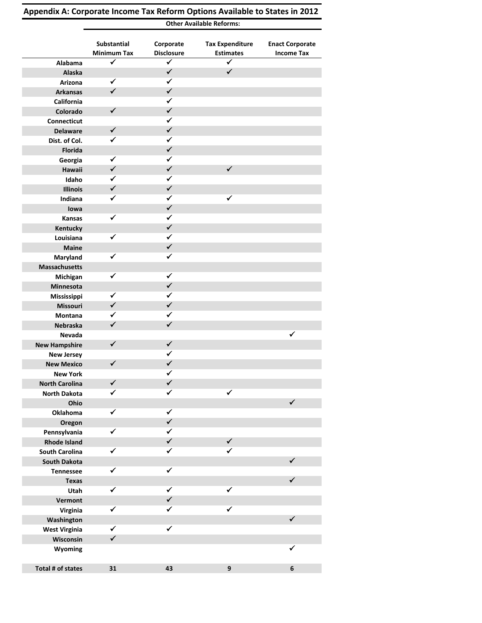|                                              |                                   |                                | <b>Other Available Reforms:</b>            |                                             |
|----------------------------------------------|-----------------------------------|--------------------------------|--------------------------------------------|---------------------------------------------|
|                                              | Substantial<br><b>Minimum Tax</b> | Corporate<br><b>Disclosure</b> | <b>Tax Expenditure</b><br><b>Estimates</b> | <b>Enact Corporate</b><br><b>Income Tax</b> |
| Alabama                                      | $\blacktriangledown$              | $\checkmark$                   | $\checkmark$                               |                                             |
| Alaska                                       |                                   | $\checkmark$                   | $\checkmark$                               |                                             |
| Arizona                                      | $\checkmark$                      | $\checkmark$                   |                                            |                                             |
| <b>Arkansas</b>                              | $\checkmark$                      | $\checkmark$                   |                                            |                                             |
| California                                   |                                   | ✓                              |                                            |                                             |
| Colorado                                     | $\checkmark$                      | $\checkmark$                   |                                            |                                             |
| Connecticut                                  |                                   | ✓                              |                                            |                                             |
| <b>Delaware</b>                              | $\checkmark$                      | $\checkmark$                   |                                            |                                             |
| Dist. of Col.                                | $\checkmark$                      | ✓                              |                                            |                                             |
| Florida                                      |                                   | $\checkmark$                   |                                            |                                             |
| Georgia                                      | $\checkmark$                      | ✓                              |                                            |                                             |
| Hawaii                                       | $\checkmark$                      | $\checkmark$                   | $\checkmark$                               |                                             |
| Idaho                                        | $\checkmark$                      | ✓                              |                                            |                                             |
| <b>Illinois</b>                              | $\checkmark$                      | $\checkmark$                   |                                            |                                             |
| Indiana                                      | ✓                                 | $\checkmark$                   | ✓                                          |                                             |
| lowa                                         |                                   | $\checkmark$                   |                                            |                                             |
| Kansas                                       | $\checkmark$                      | $\checkmark$                   |                                            |                                             |
| <b>Kentucky</b>                              |                                   | $\checkmark$                   |                                            |                                             |
| Louisiana                                    | $\checkmark$                      | ✓                              |                                            |                                             |
| Maine                                        |                                   | $\checkmark$                   |                                            |                                             |
| Maryland                                     | ✓                                 | ✓                              |                                            |                                             |
| <b>Massachusetts</b>                         |                                   |                                |                                            |                                             |
| Michigan                                     | $\checkmark$                      | ✓                              |                                            |                                             |
| Minnesota                                    |                                   | $\checkmark$                   |                                            |                                             |
| Mississippi                                  | ✓                                 | ✓                              |                                            |                                             |
| Missouri                                     | $\checkmark$                      | $\checkmark$                   |                                            |                                             |
| Montana                                      | $\checkmark$                      | ✓                              |                                            |                                             |
| Nebraska                                     | $\checkmark$                      | $\checkmark$                   |                                            |                                             |
| Nevada                                       |                                   |                                |                                            | $\checkmark$                                |
| <b>New Hampshire</b>                         | $\checkmark$                      | ✓                              |                                            |                                             |
|                                              |                                   | ✓                              |                                            |                                             |
| <b>New Jersey</b><br><b>New Mexico</b>       | $\checkmark$                      | $\checkmark$                   |                                            |                                             |
| <b>New York</b>                              |                                   | ✓                              |                                            |                                             |
| <b>North Carolina</b>                        | $\checkmark$                      | $\checkmark$                   |                                            |                                             |
| <b>North Dakota</b>                          | $\checkmark$                      | ✓                              | $\checkmark$                               |                                             |
| Ohio                                         |                                   |                                |                                            | $\checkmark$                                |
| Oklahoma                                     | $\checkmark$                      | ✓                              |                                            |                                             |
|                                              |                                   | ✓                              |                                            |                                             |
| Oregon                                       | ✓                                 | ✓                              |                                            |                                             |
| Pennsylvania                                 |                                   | $\checkmark$                   | $\checkmark$                               |                                             |
| <b>Rhode Island</b><br><b>South Carolina</b> | ✓                                 | ✓                              | ✓                                          |                                             |
| <b>South Dakota</b>                          |                                   |                                |                                            | $\checkmark$                                |
|                                              | $\checkmark$                      | $\checkmark$                   |                                            |                                             |
| <b>Tennessee</b>                             |                                   |                                |                                            | $\checkmark$                                |
| <b>Texas</b>                                 | $\checkmark$                      | $\checkmark$                   | $\checkmark$                               |                                             |
| Utah                                         |                                   | $\checkmark$                   |                                            |                                             |
| Vermont                                      | $\checkmark$                      | $\checkmark$                   | $\checkmark$                               |                                             |
| Virginia                                     |                                   |                                |                                            | $\checkmark$                                |
| Washington                                   | $\checkmark$                      | $\checkmark$                   |                                            |                                             |
| <b>West Virginia</b>                         | $\checkmark$                      |                                |                                            |                                             |
| Wisconsin                                    |                                   |                                |                                            | ✓                                           |
| Wyoming                                      |                                   |                                |                                            |                                             |
|                                              | 31                                |                                | $\boldsymbol{9}$                           | $\bf 6$                                     |
| Total # of states                            |                                   | 43                             |                                            |                                             |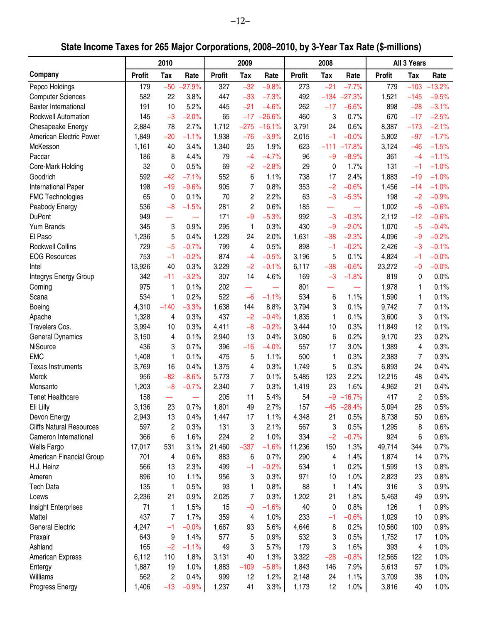**State Income Taxes for 265 Major Corporations, 2008–2010, by 3-Year Tax Rate (\$-millions)**

|                                 |               | 2010           |          |               | 2009           |          |               | 2008                     |          |               | All 3 Years |          |
|---------------------------------|---------------|----------------|----------|---------------|----------------|----------|---------------|--------------------------|----------|---------------|-------------|----------|
| Company                         | <b>Profit</b> | <b>Tax</b>     | Rate     | <b>Profit</b> | <b>Tax</b>     | Rate     | <b>Profit</b> | Tax                      | Rate     | <b>Profit</b> | <b>Tax</b>  | Rate     |
| Pepco Holdings                  | 179           | $-50$          | $-27.9%$ | 327           | $-32$          | $-9.8%$  | 273           | $-21$                    | $-7.7%$  | 779           | $-103$      | $-13.2%$ |
| <b>Computer Sciences</b>        | 582           | 22             | 3.8%     | 447           | $-33$          | $-7.3%$  | 492           | $-134$                   | $-27.3%$ | 1,521         | $-145$      | $-9.5%$  |
| <b>Baxter International</b>     | 191           | 10             | 5.2%     | 445           | $-21$          | $-4.6%$  | 262           | $-17$                    | $-6.6%$  | 898           | $-28$       | $-3.1%$  |
| Rockwell Automation             | 145           | $-3$           | $-2.0%$  | 65            | $-17$          | $-26.6%$ | 460           | 3                        | 0.7%     | 670           | $-17$       | $-2.5%$  |
| Chesapeake Energy               | 2,884         | 78             | 2.7%     | 1,712         | $-275$         | $-16.1%$ | 3,791         | 24                       | 0.6%     | 8,387         | $-173$      | $-2.1%$  |
| American Electric Power         | 1,849         | $-20$          | $-1.1%$  | 1,938         | $-76$          | $-3.9%$  | 2,015         | $-1$                     | $-0.0%$  | 5,802         | $-97$       | $-1.7%$  |
| McKesson                        | 1,161         | 40             | 3.4%     | 1,340         | 25             | 1.9%     | 623           | $-111$                   | $-17.8%$ | 3,124         | $-46$       | $-1.5%$  |
| Paccar                          | 186           | 8              | 4.4%     | 79            | $-4$           | $-4.7%$  | 96            | $-9$                     | $-8.9%$  | 361           | $-4$        | $-1.1%$  |
| Core-Mark Holding               | 32            | 0              | 0.5%     | 69            | $-2$           | $-2.8%$  | 29            | 0                        | 1.7%     | 131           | $-1$        | $-1.0%$  |
| Goodrich                        | 592           | $-42$          | $-7.1%$  | 552           | 6              | 1.1%     | 738           | 17                       | 2.4%     | 1,883         | $-19$       | $-1.0%$  |
| <b>International Paper</b>      | 198           | $-19$          | $-9.6%$  | 905           | 7              | 0.8%     | 353           | $-2$                     | $-0.6%$  | 1,456         | $-14$       | $-1.0%$  |
| <b>FMC Technologies</b>         | 65            | 0              | 0.1%     | 70            | 2              | 2.2%     | 63            | $-3$                     | $-5.3%$  | 198           | $-2$        | $-0.9%$  |
| Peabody Energy                  | 536           | $-8$           | $-1.5%$  | 281           | $\overline{c}$ | 0.6%     | 185           |                          |          | 1,002         | $-6$        | $-0.6%$  |
| <b>DuPont</b>                   | 949           |                |          | 171           | $-9$           | $-5.3%$  | 992           | $-3$                     | $-0.3%$  | 2,112         | $-12$       | $-0.6%$  |
| Yum Brands                      | 345           | 3              | 0.9%     | 295           | 1              | 0.3%     | 430           | $-9$                     | $-2.0%$  | 1,070         | $-5$        | $-0.4%$  |
| El Paso                         | 1,236         | 5              | 0.4%     | 1,229         | 24             | 2.0%     | 1,631         | $-38$                    | $-2.3%$  | 4,096         | $-9$        | $-0.2%$  |
| <b>Rockwell Collins</b>         | 729           | $-5$           | $-0.7%$  | 799           | 4              | 0.5%     | 898           | $-1$                     | $-0.2%$  | 2,426         | $-3$        | $-0.1%$  |
| <b>EOG Resources</b>            | 753           | $-1$           | $-0.2%$  | 874           | $-4$           | $-0.5%$  | 3,196         | 5                        | 0.1%     | 4,824         | $-1$        | $-0.0%$  |
| Intel                           | 13,926        | 40             | 0.3%     | 3,229         | $-2$           | $-0.1%$  | 6,117         | $-38$                    | $-0.6%$  | 23,272        | $-0$        | $-0.0%$  |
| <b>Integrys Energy Group</b>    | 342           | $-11$          | $-3.2%$  | 307           | 14             | 4.6%     | 169           | $-3$                     | $-1.8%$  | 819           | 0           | 0.0%     |
| Corning                         | 975           | 1              | 0.1%     | 202           |                |          | 801           | $\overline{\phantom{0}}$ |          | 1,978         | 1           | 0.1%     |
| Scana                           | 534           | 1              | 0.2%     | 522           | $-6$           | $-1.1%$  | 534           | 6                        | 1.1%     | 1,590         | 1           | 0.1%     |
| Boeing                          | 4,310         | $-140$         | $-3.3%$  | 1,638         | 144            | 8.8%     | 3,794         | 3                        | 0.1%     | 9,742         | 7           | 0.1%     |
| Apache                          | 1,328         | 4              | 0.3%     | 437           | $-2$           | $-0.4%$  | 1,835         | 1                        | 0.1%     | 3,600         | 3           | 0.1%     |
| Travelers Cos.                  | 3,994         | 10             | 0.3%     | 4,411         | $-8$           | $-0.2%$  | 3,444         | 10                       | 0.3%     | 11,849        | 12          | 0.1%     |
| <b>General Dynamics</b>         | 3,150         | 4              | 0.1%     | 2,940         | 13             | 0.4%     | 3,080         | 6                        | 0.2%     | 9,170         | 23          | 0.2%     |
| NiSource                        | 436           | 3              | 0.7%     | 396           | $-16$          | $-4.0%$  | 557           | 17                       | 3.0%     | 1,389         | 4           | 0.3%     |
| <b>EMC</b>                      | 1,408         | 1              | 0.1%     | 475           | 5              | 1.1%     | 500           | 1                        | 0.3%     | 2,383         | 7           | 0.3%     |
| <b>Texas Instruments</b>        | 3,769         | 16             | 0.4%     | 1,375         | 4              | 0.3%     | 1,749         | 5                        | 0.3%     | 6,893         | 24          | 0.4%     |
| Merck                           | 956           | $-82$          | $-8.6%$  | 5,773         | 7              | 0.1%     | 5,485         | 123                      | 2.2%     | 12,215        | 48          | 0.4%     |
| Monsanto                        | 1,203         | $-8$           | $-0.7%$  | 2,340         | 7              | 0.3%     | 1,419         | 23                       | 1.6%     | 4,962         | 21          | 0.4%     |
| <b>Tenet Healthcare</b>         | 158           |                |          | 205           | 11             | 5.4%     | 54            | $-9$                     | $-16.7%$ | 417           | 2           | 0.5%     |
| Eli Lilly                       | 3,136         | 23             | 0.7%     | 1,801         | 49             | 2.7%     | 157           | $-45$                    | $-28.4%$ | 5,094         | 28          | 0.5%     |
| Devon Energy                    | 2,943         | 13             | 0.4%     | 1,447         | 17             | 1.1%     | 4,348         | 21                       | 0.5%     | 8,738         | 50          | 0.6%     |
| <b>Cliffs Natural Resources</b> | 597           | 2              | 0.3%     | 131           | 3              | 2.1%     | 567           | 3                        | 0.5%     | 1,295         | 8           | 0.6%     |
| Cameron International           | 366           | 6              | 1.6%     | 224           | $\overline{c}$ | 1.0%     | 334           | $-2$                     | $-0.7%$  | 924           | 6           | 0.6%     |
| Wells Fargo                     | 17,017        | 531            | 3.1%     | 21,460        | $-337$         | $-1.6%$  | 11,236        | 150                      | 1.3%     | 49,714        | 344         | 0.7%     |
| American Financial Group        | 701           | 4              | 0.6%     | 883           | 6              | 0.7%     | 290           | 4                        | 1.4%     | 1,874         | 14          | 0.7%     |
|                                 |               |                | 2.3%     | 499           | $-1$           | $-0.2%$  | 534           |                          | 0.2%     |               |             | 0.8%     |
| H.J. Heinz<br>Ameren            | 566           | 13<br>10       |          |               |                |          |               | 1                        | 1.0%     | 1,599         | 13          |          |
|                                 | 896           |                | 1.1%     | 956           | 3              | 0.3%     | 971           | 10                       |          | 2,823<br>316  | 23          | 0.8%     |
| <b>Tech Data</b>                | 135           | 1              | 0.5%     | 93            | 1              | 0.8%     | 88            | 1                        | 1.4%     |               | 3           | 0.9%     |
| Loews                           | 2,236         | 21             | 0.9%     | 2,025         | 7              | 0.3%     | 1,202         | 21                       | 1.8%     | 5,463         | 49          | 0.9%     |
| Insight Enterprises             | 71            | 1              | 1.5%     | 15            | $-0$           | $-1.6%$  | 40            | 0                        | 0.8%     | 126           | 1           | 0.9%     |
| Mattel                          | 437           | 7              | 1.7%     | 359           | 4              | 1.0%     | 233           | $-1$                     | $-0.6%$  | 1,029         | 10          | 0.9%     |
| <b>General Electric</b>         | 4,247         | $-1$           | $-0.0%$  | 1,667         | 93             | 5.6%     | 4,646         | 8                        | 0.2%     | 10,560        | 100         | 0.9%     |
| Praxair                         | 643           | 9              | 1.4%     | 577           | 5              | 0.9%     | 532           | 3                        | 0.5%     | 1,752         | 17          | 1.0%     |
| Ashland                         | 165           | $-2$           | $-1.1%$  | 49            | 3              | 5.7%     | 179           | 3                        | 1.6%     | 393           | 4           | 1.0%     |
| <b>American Express</b>         | 6,112         | 110            | 1.8%     | 3,131         | 40             | 1.3%     | 3,322         | $-28$                    | $-0.8%$  | 12,565        | 122         | 1.0%     |
| Entergy                         | 1,887         | 19             | 1.0%     | 1,883         | $-109$         | $-5.8%$  | 1,843         | 146                      | 7.9%     | 5,613         | 57          | 1.0%     |
| Williams                        | 562           | $\overline{c}$ | 0.4%     | 999           | 12             | 1.2%     | 2,148         | 24                       | 1.1%     | 3,709         | 38          | 1.0%     |
| Progress Energy                 | 1,406         | $-13$          | $-0.9%$  | 1,237         | 41             | 3.3%     | 1,173         | 12                       | 1.0%     | 3,816         | 40          | 1.0%     |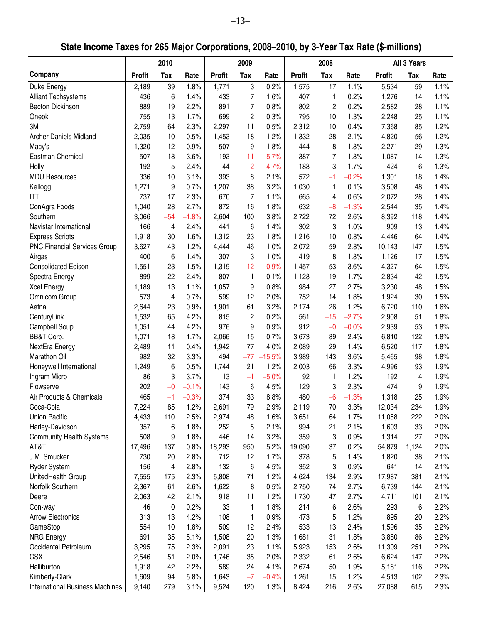**State Income Taxes for 265 Major Corporations, 2008–2010, by 3-Year Tax Rate (\$-millions)**

| 2010<br>2009<br>2008<br>All 3 Years<br>Company<br><b>Profit</b><br><b>Profit</b><br><b>Tax</b><br><b>Profit</b><br>Tax<br>Rate<br><b>Profit</b><br>Rate<br>Rate<br>Rate<br>Tax<br>Tax<br>1.1%<br>59<br>1.1%<br>2,189<br>1.8%<br>1,771<br>3<br>0.2%<br>1,575<br>5,534<br>Duke Energy<br>39<br>17<br>1.4%<br>1.6%<br>0.2%<br>436<br>433<br>7<br>407<br>1,276<br>14<br>1.1%<br><b>Alliant Techsystems</b><br>6<br>1<br>$\overline{7}$<br>2.2%<br>891<br>0.8%<br>802<br>$\overline{c}$<br>0.2%<br>2,582<br>1.1%<br><b>Becton Dickinson</b><br>889<br>19<br>28<br>755<br>1.7%<br>699<br>2<br>0.3%<br>795<br>1.3%<br>2,248<br>25<br>1.1%<br>Oneok<br>13<br>10<br>3M<br>2,759<br>2.3%<br>2,297<br>11<br>0.5%<br>2,312<br>0.4%<br>85<br>1.2%<br>64<br>10<br>7,368<br>2,035<br>0.5%<br>1,453<br>18<br>1.2%<br>1,332<br>28<br>2.1%<br>4,820<br>56<br>1.2%<br><b>Archer Daniels Midland</b><br>10<br>8<br>1.3%<br>1,320<br>0.9%<br>507<br>9<br>1.8%<br>444<br>1.8%<br>2,271<br>29<br>12<br>Macy's<br>507<br>18<br>3.6%<br>193<br>$-5.7%$<br>387<br>$\overline{7}$<br>1.8%<br>1,087<br>1.3%<br>Eastman Chemical<br>$-11$<br>14<br>5<br>192<br>2.4%<br>$-4.7%$<br>188<br>3<br>1.7%<br>424<br>6<br>1.3%<br>Holly<br>44<br>$-2$ |
|------------------------------------------------------------------------------------------------------------------------------------------------------------------------------------------------------------------------------------------------------------------------------------------------------------------------------------------------------------------------------------------------------------------------------------------------------------------------------------------------------------------------------------------------------------------------------------------------------------------------------------------------------------------------------------------------------------------------------------------------------------------------------------------------------------------------------------------------------------------------------------------------------------------------------------------------------------------------------------------------------------------------------------------------------------------------------------------------------------------------------------------------------------------------------------------------------------------|
|                                                                                                                                                                                                                                                                                                                                                                                                                                                                                                                                                                                                                                                                                                                                                                                                                                                                                                                                                                                                                                                                                                                                                                                                                  |
|                                                                                                                                                                                                                                                                                                                                                                                                                                                                                                                                                                                                                                                                                                                                                                                                                                                                                                                                                                                                                                                                                                                                                                                                                  |
|                                                                                                                                                                                                                                                                                                                                                                                                                                                                                                                                                                                                                                                                                                                                                                                                                                                                                                                                                                                                                                                                                                                                                                                                                  |
|                                                                                                                                                                                                                                                                                                                                                                                                                                                                                                                                                                                                                                                                                                                                                                                                                                                                                                                                                                                                                                                                                                                                                                                                                  |
|                                                                                                                                                                                                                                                                                                                                                                                                                                                                                                                                                                                                                                                                                                                                                                                                                                                                                                                                                                                                                                                                                                                                                                                                                  |
|                                                                                                                                                                                                                                                                                                                                                                                                                                                                                                                                                                                                                                                                                                                                                                                                                                                                                                                                                                                                                                                                                                                                                                                                                  |
|                                                                                                                                                                                                                                                                                                                                                                                                                                                                                                                                                                                                                                                                                                                                                                                                                                                                                                                                                                                                                                                                                                                                                                                                                  |
|                                                                                                                                                                                                                                                                                                                                                                                                                                                                                                                                                                                                                                                                                                                                                                                                                                                                                                                                                                                                                                                                                                                                                                                                                  |
|                                                                                                                                                                                                                                                                                                                                                                                                                                                                                                                                                                                                                                                                                                                                                                                                                                                                                                                                                                                                                                                                                                                                                                                                                  |
|                                                                                                                                                                                                                                                                                                                                                                                                                                                                                                                                                                                                                                                                                                                                                                                                                                                                                                                                                                                                                                                                                                                                                                                                                  |
| $-0.2%$<br>336<br>3.1%<br>393<br>8<br>2.1%<br>572<br>1,301<br>1.4%<br><b>MDU Resources</b><br>10<br>$-1$<br>18                                                                                                                                                                                                                                                                                                                                                                                                                                                                                                                                                                                                                                                                                                                                                                                                                                                                                                                                                                                                                                                                                                   |
| 1,271<br>9<br>0.7%<br>1,207<br>38<br>3.2%<br>1,030<br>0.1%<br>3,508<br>48<br>Kellogg<br>1.4%<br>1                                                                                                                                                                                                                                                                                                                                                                                                                                                                                                                                                                                                                                                                                                                                                                                                                                                                                                                                                                                                                                                                                                                |
| 737<br>2.3%<br>670<br>7<br>1.1%<br>665<br>0.6%<br>2,072<br>28<br>ITT<br>17<br>1.4%<br>4                                                                                                                                                                                                                                                                                                                                                                                                                                                                                                                                                                                                                                                                                                                                                                                                                                                                                                                                                                                                                                                                                                                          |
| 872<br>28<br>2.7%<br>16<br>632<br>$-1.3%$<br>2,544<br>35<br>ConAgra Foods<br>1,040<br>1.8%<br>$-8$<br>1.4%                                                                                                                                                                                                                                                                                                                                                                                                                                                                                                                                                                                                                                                                                                                                                                                                                                                                                                                                                                                                                                                                                                       |
| Southern<br>3,066<br>$-54$<br>$-1.8%$<br>2,604<br>100<br>3.8%<br>2,722<br>72<br>2.6%<br>8,392<br>118<br>1.4%                                                                                                                                                                                                                                                                                                                                                                                                                                                                                                                                                                                                                                                                                                                                                                                                                                                                                                                                                                                                                                                                                                     |
| 302<br>3<br>909<br>166<br>2.4%<br>441<br>6<br>1.0%<br>13<br>Navistar International<br>4<br>1.4%<br>1.4%                                                                                                                                                                                                                                                                                                                                                                                                                                                                                                                                                                                                                                                                                                                                                                                                                                                                                                                                                                                                                                                                                                          |
| <b>Express Scripts</b><br>1.6%<br>1,312<br>1.8%<br>1,216<br>10<br>0.8%<br>4,446<br>64<br>1.4%<br>1,918<br>30<br>23                                                                                                                                                                                                                                                                                                                                                                                                                                                                                                                                                                                                                                                                                                                                                                                                                                                                                                                                                                                                                                                                                               |
| <b>PNC Financial Services Group</b><br>3,627<br>1.2%<br>2,072<br>2.8%<br>10,143<br>147<br>1.5%<br>43<br>46                                                                                                                                                                                                                                                                                                                                                                                                                                                                                                                                                                                                                                                                                                                                                                                                                                                                                                                                                                                                                                                                                                       |
| 4,444<br>1.0%<br>59<br>3<br>1.8%<br>400<br>17                                                                                                                                                                                                                                                                                                                                                                                                                                                                                                                                                                                                                                                                                                                                                                                                                                                                                                                                                                                                                                                                                                                                                                    |
| 6<br>1.4%<br>307<br>1.0%<br>419<br>8<br>1,126<br>1.5%<br>Airgas                                                                                                                                                                                                                                                                                                                                                                                                                                                                                                                                                                                                                                                                                                                                                                                                                                                                                                                                                                                                                                                                                                                                                  |
| 1.5%<br>1,319<br>$-12$<br>$-0.9%$<br>1,457<br>53<br>3.6%<br>4,327<br>64<br>1.5%<br><b>Consolidated Edison</b><br>1,551<br>23                                                                                                                                                                                                                                                                                                                                                                                                                                                                                                                                                                                                                                                                                                                                                                                                                                                                                                                                                                                                                                                                                     |
| 899<br>22<br>2.4%<br>807<br>1.7%<br>2,834<br>42<br>1.5%<br>0.1%<br>1,128<br>19<br>Spectra Energy<br>1                                                                                                                                                                                                                                                                                                                                                                                                                                                                                                                                                                                                                                                                                                                                                                                                                                                                                                                                                                                                                                                                                                            |
| 1,189<br>1.1%<br>1,057<br>0.8%<br>984<br>2.7%<br>3,230<br>1.5%<br><b>Xcel Energy</b><br>13<br>9<br>27<br>48                                                                                                                                                                                                                                                                                                                                                                                                                                                                                                                                                                                                                                                                                                                                                                                                                                                                                                                                                                                                                                                                                                      |
| Omnicom Group<br>573<br>0.7%<br>599<br>752<br>1.8%<br>1,924<br>30<br>1.5%<br>4<br>12<br>2.0%<br>14                                                                                                                                                                                                                                                                                                                                                                                                                                                                                                                                                                                                                                                                                                                                                                                                                                                                                                                                                                                                                                                                                                               |
| 3.2%<br>1.2%<br>23<br>0.9%<br>1,901<br>61<br>26<br>6,720<br>110<br>1.6%<br>Aetna<br>2,644<br>2,174                                                                                                                                                                                                                                                                                                                                                                                                                                                                                                                                                                                                                                                                                                                                                                                                                                                                                                                                                                                                                                                                                                               |
| 1,532<br>65<br>4.2%<br>815<br>$\overline{c}$<br>0.2%<br>561<br>$-15$<br>$-2.7%$<br>2,908<br>51<br>1.8%<br>CenturyLink                                                                                                                                                                                                                                                                                                                                                                                                                                                                                                                                                                                                                                                                                                                                                                                                                                                                                                                                                                                                                                                                                            |
| 9<br>1,051<br>44<br>4.2%<br>976<br>0.9%<br>912<br>$-0$<br>$-0.0%$<br>2,939<br>53<br>1.8%<br>Campbell Soup                                                                                                                                                                                                                                                                                                                                                                                                                                                                                                                                                                                                                                                                                                                                                                                                                                                                                                                                                                                                                                                                                                        |
| BB&T Corp.<br>1,071<br>1.7%<br>15<br>0.7%<br>2.4%<br>6,810<br>122<br>1.8%<br>18<br>2,066<br>3,673<br>89                                                                                                                                                                                                                                                                                                                                                                                                                                                                                                                                                                                                                                                                                                                                                                                                                                                                                                                                                                                                                                                                                                          |
| 4.0%<br>NextEra Energy<br>2,489<br>0.4%<br>1,942<br>77<br>2,089<br>1.4%<br>6,520<br>117<br>1.8%<br>11<br>29                                                                                                                                                                                                                                                                                                                                                                                                                                                                                                                                                                                                                                                                                                                                                                                                                                                                                                                                                                                                                                                                                                      |
| Marathon Oil<br>494<br>$-15.5%$<br>3,989<br>3.6%<br>98<br>1.8%<br>982<br>32<br>3.3%<br>$-77$<br>143<br>5,465                                                                                                                                                                                                                                                                                                                                                                                                                                                                                                                                                                                                                                                                                                                                                                                                                                                                                                                                                                                                                                                                                                     |
| Honeywell International<br>1.2%<br>2,003<br>3.3%<br>1.9%<br>1,249<br>6<br>0.5%<br>1,744<br>21<br>66<br>4,996<br>93                                                                                                                                                                                                                                                                                                                                                                                                                                                                                                                                                                                                                                                                                                                                                                                                                                                                                                                                                                                                                                                                                               |
| 3.7%<br>92<br>192<br>1.9%<br>Ingram Micro<br>86<br>3<br>13<br>$-1$<br>$-5.0%$<br>1.2%<br>4<br>1                                                                                                                                                                                                                                                                                                                                                                                                                                                                                                                                                                                                                                                                                                                                                                                                                                                                                                                                                                                                                                                                                                                  |
| 202<br>$-0.1%$<br>143<br>4.5%<br>129<br>3<br>2.3%<br>474<br>9<br>1.9%<br>Flowserve<br>$-0$<br>6                                                                                                                                                                                                                                                                                                                                                                                                                                                                                                                                                                                                                                                                                                                                                                                                                                                                                                                                                                                                                                                                                                                  |
| Air Products & Chemicals<br>465<br>$-0.3%$<br>374<br>33<br>8.8%<br>480<br>$-6$<br>$-1.3%$<br>1,318<br>25<br>1.9%<br>$-1$                                                                                                                                                                                                                                                                                                                                                                                                                                                                                                                                                                                                                                                                                                                                                                                                                                                                                                                                                                                                                                                                                         |
| 70<br>7,224<br>85<br>1.2%<br>2,691<br>79<br>2.9%<br>2,119<br>3.3%<br>12,034<br>234<br>1.9%<br>Coca-Cola                                                                                                                                                                                                                                                                                                                                                                                                                                                                                                                                                                                                                                                                                                                                                                                                                                                                                                                                                                                                                                                                                                          |
| 1.7%<br>222<br>2.0%<br><b>Union Pacific</b><br>4,433<br>2.5%<br>2,974<br>48<br>1.6%<br>3,651<br>64<br>11,058<br>110                                                                                                                                                                                                                                                                                                                                                                                                                                                                                                                                                                                                                                                                                                                                                                                                                                                                                                                                                                                                                                                                                              |
| 1.8%<br>5<br>2.1%<br>2.1%<br>1,603<br>33<br>2.0%<br>Harley-Davidson<br>357<br>6<br>252<br>994<br>21                                                                                                                                                                                                                                                                                                                                                                                                                                                                                                                                                                                                                                                                                                                                                                                                                                                                                                                                                                                                                                                                                                              |
| 508<br>446<br>3<br>0.9%<br>27<br>2.0%<br><b>Community Health Systems</b><br>9<br>1.8%<br>14<br>3.2%<br>359<br>1,314                                                                                                                                                                                                                                                                                                                                                                                                                                                                                                                                                                                                                                                                                                                                                                                                                                                                                                                                                                                                                                                                                              |
| AT&T<br>0.8%<br>0.2%<br>2.0%<br>17,496<br>137<br>18,293<br>950<br>5.2%<br>19,090<br>54,879<br>1,124<br>37                                                                                                                                                                                                                                                                                                                                                                                                                                                                                                                                                                                                                                                                                                                                                                                                                                                                                                                                                                                                                                                                                                        |
| J.M. Smucker<br>712<br>378<br>2.1%<br>730<br>20<br>2.8%<br>12<br>1.7%<br>5<br>1.4%<br>1,820<br>38                                                                                                                                                                                                                                                                                                                                                                                                                                                                                                                                                                                                                                                                                                                                                                                                                                                                                                                                                                                                                                                                                                                |
| <b>Ryder System</b><br>2.8%<br>132<br>6<br>4.5%<br>352<br>3<br>0.9%<br>641<br>14<br>2.1%<br>156<br>4                                                                                                                                                                                                                                                                                                                                                                                                                                                                                                                                                                                                                                                                                                                                                                                                                                                                                                                                                                                                                                                                                                             |
| 2.3%<br>2.9%<br>17,987<br>381<br>2.1%<br>UnitedHealth Group<br>7,555<br>175<br>5,808<br>71<br>1.2%<br>4,624<br>134                                                                                                                                                                                                                                                                                                                                                                                                                                                                                                                                                                                                                                                                                                                                                                                                                                                                                                                                                                                                                                                                                               |
| Norfolk Southern<br>2.6%<br>0.5%<br>2.7%<br>6,739<br>144<br>2.1%<br>2,367<br>61<br>1,622<br>8<br>2,750<br>74                                                                                                                                                                                                                                                                                                                                                                                                                                                                                                                                                                                                                                                                                                                                                                                                                                                                                                                                                                                                                                                                                                     |
| 2.1%<br>1.2%<br>2.7%<br>2.1%<br>2,063<br>918<br>11<br>1,730<br>4,711<br>101<br>Deere<br>42<br>47                                                                                                                                                                                                                                                                                                                                                                                                                                                                                                                                                                                                                                                                                                                                                                                                                                                                                                                                                                                                                                                                                                                 |
| 0.2%<br>1.8%<br>214<br>2.6%<br>2.2%<br>46<br>0<br>33<br>1<br>293<br>6<br>Con-way<br>6                                                                                                                                                                                                                                                                                                                                                                                                                                                                                                                                                                                                                                                                                                                                                                                                                                                                                                                                                                                                                                                                                                                            |
| 473<br>1.2%<br>895<br>2.2%<br><b>Arrow Electronics</b><br>313<br>4.2%<br>108<br>0.9%<br>5<br>20<br>13<br>1                                                                                                                                                                                                                                                                                                                                                                                                                                                                                                                                                                                                                                                                                                                                                                                                                                                                                                                                                                                                                                                                                                       |
| GameStop<br>554<br>1.8%<br>509<br>2.4%<br>533<br>2.4%<br>2.2%<br>12<br>13<br>1,596<br>35<br>10                                                                                                                                                                                                                                                                                                                                                                                                                                                                                                                                                                                                                                                                                                                                                                                                                                                                                                                                                                                                                                                                                                                   |
| <b>NRG Energy</b><br>691<br>1.3%<br>1.8%<br>2.2%<br>35<br>5.1%<br>1,508<br>20<br>1,681<br>31<br>3,880<br>86                                                                                                                                                                                                                                                                                                                                                                                                                                                                                                                                                                                                                                                                                                                                                                                                                                                                                                                                                                                                                                                                                                      |
| 2.6%<br>2.2%<br>Occidental Petroleum<br>3,295<br>75<br>2.3%<br>2,091<br>23<br>1.1%<br>5,923<br>153<br>11,309<br>251                                                                                                                                                                                                                                                                                                                                                                                                                                                                                                                                                                                                                                                                                                                                                                                                                                                                                                                                                                                                                                                                                              |
| <b>CSX</b><br>51<br>2.0%<br>35<br>2.0%<br>2,332<br>2.6%<br>6,624<br>147<br>2.2%<br>2,546<br>1,746<br>61                                                                                                                                                                                                                                                                                                                                                                                                                                                                                                                                                                                                                                                                                                                                                                                                                                                                                                                                                                                                                                                                                                          |
| Halliburton<br>4.1%<br>2.2%<br>1,918<br>42<br>2.2%<br>589<br>24<br>2,674<br>50<br>1.9%<br>5,181<br>116                                                                                                                                                                                                                                                                                                                                                                                                                                                                                                                                                                                                                                                                                                                                                                                                                                                                                                                                                                                                                                                                                                           |
| 1,609<br>94<br>5.8%<br>$-7$<br>1.2%<br>102<br>2.3%<br>Kimberly-Clark<br>1,643<br>$-0.4%$<br>1,261<br>15<br>4,513                                                                                                                                                                                                                                                                                                                                                                                                                                                                                                                                                                                                                                                                                                                                                                                                                                                                                                                                                                                                                                                                                                 |
| 2.6%<br>615<br>2.3%<br><b>International Business Machines</b><br>9,140<br>279<br>3.1%<br>9,524<br>120<br>1.3%<br>8,424<br>216<br>27,088                                                                                                                                                                                                                                                                                                                                                                                                                                                                                                                                                                                                                                                                                                                                                                                                                                                                                                                                                                                                                                                                          |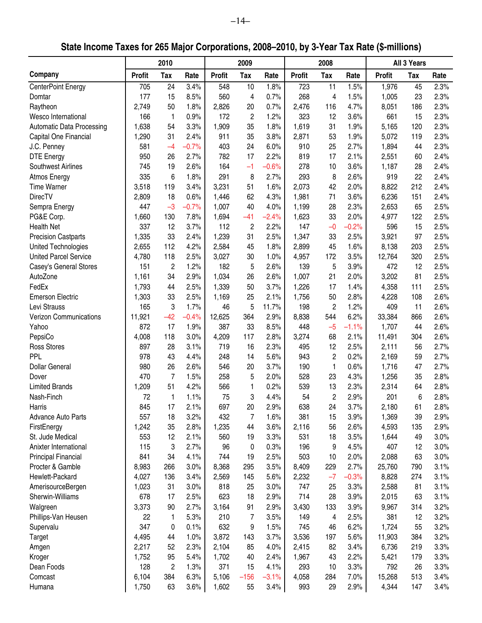**State Income Taxes for 265 Major Corporations, 2008–2010, by 3-Year Tax Rate (\$-millions)**

|                                  |               | 2010           |         |               | 2009           |         |               | 2008                 |         |               | All 3 Years |      |
|----------------------------------|---------------|----------------|---------|---------------|----------------|---------|---------------|----------------------|---------|---------------|-------------|------|
| Company                          | <b>Profit</b> | Tax            | Rate    | <b>Profit</b> | Tax            | Rate    | <b>Profit</b> | Tax                  | Rate    | <b>Profit</b> | Tax         | Rate |
| <b>CenterPoint Energy</b>        | 705           | 24             | 3.4%    | 548           | 10             | 1.8%    | 723           | 11                   | 1.5%    | 1,976         | 45          | 2.3% |
| Domtar                           | 177           | 15             | 8.5%    | 560           | 4              | 0.7%    | 268           | 4                    | 1.5%    | 1,005         | 23          | 2.3% |
| Raytheon                         | 2,749         | 50             | 1.8%    | 2,826         | 20             | 0.7%    | 2,476         | 116                  | 4.7%    | 8,051         | 186         | 2.3% |
| Wesco International              | 166           | $\mathbf{1}$   | 0.9%    | 172           | $\overline{c}$ | 1.2%    | 323           | 12                   | 3.6%    | 661           | 15          | 2.3% |
| <b>Automatic Data Processing</b> | 1,638         | 54             | 3.3%    | 1,909         | 35             | 1.8%    | 1,619         | 31                   | 1.9%    | 5,165         | 120         | 2.3% |
| Capital One Financial            | 1,290         | 31             | 2.4%    | 911           | 35             | 3.8%    | 2,871         | 53                   | 1.9%    | 5,072         | 119         | 2.3% |
| J.C. Penney                      | 581           | $-4$           | $-0.7%$ | 403           | 24             | 6.0%    | 910           | 25                   | 2.7%    | 1,894         | 44          | 2.3% |
| <b>DTE Energy</b>                | 950           | 26             | 2.7%    | 782           | 17             | 2.2%    | 819           | 17                   | 2.1%    | 2,551         | 60          | 2.4% |
| Southwest Airlines               | 745           | 19             | 2.6%    | 164           | $-1$           | $-0.6%$ | 278           | 10                   | 3.6%    | 1,187         | 28          | 2.4% |
| <b>Atmos Energy</b>              | 335           | 6              | 1.8%    | 291           | 8              | 2.7%    | 293           | 8                    | 2.6%    | 919           | 22          | 2.4% |
| <b>Time Warner</b>               | 3,518         | 119            | 3.4%    | 3,231         | 51             | 1.6%    | 2,073         | 42                   | 2.0%    | 8,822         | 212         | 2.4% |
| <b>DirecTV</b>                   | 2,809         | 18             | 0.6%    | 1,446         | 62             | 4.3%    | 1,981         | 71                   | 3.6%    | 6,236         | 151         | 2.4% |
| Sempra Energy                    | 447           | $-3$           | $-0.7%$ | 1,007         | 40             | 4.0%    | 1,199         | 28                   | 2.3%    | 2,653         | 65          | 2.5% |
| PG&E Corp.                       | 1,660         | 130            | 7.8%    | 1,694         | $-41$          | $-2.4%$ | 1,623         | 33                   | 2.0%    | 4,977         | 122         | 2.5% |
| <b>Health Net</b>                | 337           | 12             | 3.7%    | 112           | $\overline{c}$ | 2.2%    | 147           | $-0$                 | $-0.2%$ | 596           | 15          | 2.5% |
| <b>Precision Castparts</b>       | 1,335         | 33             | 2.4%    | 1,239         | 31             | 2.5%    | 1,347         | 33                   | 2.5%    | 3,921         | 97          | 2.5% |
| United Technologies              | 2,655         | 112            | 4.2%    | 2,584         | 45             | 1.8%    | 2,899         | 45                   | 1.6%    | 8,138         | 203         | 2.5% |
| <b>United Parcel Service</b>     | 4,780         | 118            | 2.5%    | 3,027         | 30             | 1.0%    | 4,957         | 172                  | 3.5%    | 12,764        | 320         | 2.5% |
| Casey's General Stores           | 151           | $\overline{c}$ | 1.2%    | 182           | 5              | 2.6%    | 139           | 5                    | 3.9%    | 472           | 12          | 2.5% |
| AutoZone                         | 1,161         | 34             | 2.9%    | 1,034         | 26             | 2.6%    | 1,007         | 21                   | 2.0%    | 3,202         | 81          | 2.5% |
| FedEx                            | 1,793         | 44             | 2.5%    | 1,339         | 50             | 3.7%    | 1,226         | 17                   | 1.4%    | 4,358         | 111         | 2.5% |
| <b>Emerson Electric</b>          | 1,303         | 33             | 2.5%    | 1,169         | 25             | 2.1%    | 1,756         | 50                   | 2.8%    | 4,228         | 108         | 2.6% |
| Levi Strauss                     | 165           | 3              | 1.7%    | 46            | 5              | 11.7%   | 198           | $\overline{c}$       | 1.2%    | 409           | 11          | 2.6% |
| <b>Verizon Communications</b>    | 11,921        | $-42$          | $-0.4%$ | 12,625        | 364            | 2.9%    | 8,838         | 544                  | 6.2%    | 33,384        | 866         | 2.6% |
| Yahoo                            | 872           | 17             | 1.9%    | 387           | 33             | 8.5%    | 448           | $-5$                 | $-1.1%$ | 1,707         | 44          | 2.6% |
| PepsiCo                          | 4,008         | 118            | 3.0%    | 4,209         | 117            | 2.8%    | 3,274         | 68                   | 2.1%    | 11,491        | 304         | 2.6% |
| Ross Stores                      | 897           | 28             | 3.1%    | 719           | 16             | 2.3%    | 495           | 12                   | 2.5%    | 2,111         |             | 2.7% |
| PPL                              | 978           | 43             | 4.4%    | 248           | 14             | 5.6%    | 943           | $\overline{c}$       | 0.2%    | 2,169         | 56          | 2.7% |
| <b>Dollar General</b>            |               |                |         |               |                | 3.7%    |               |                      | 0.6%    | 1,716         | 59          |      |
|                                  | 980           | 26             | 2.6%    | 546           | 20             |         | 190           | 1                    |         |               | 47          | 2.7% |
| Dover                            | 470           | $\overline{7}$ | 1.5%    | 258           | 5              | 2.0%    | 528           | 23                   | 4.3%    | 1,256         | 35          | 2.8% |
| <b>Limited Brands</b>            | 1,209         | 51             | 4.2%    | 566           | 1              | 0.2%    | 539           | 13                   | 2.3%    | 2,314         | 64          | 2.8% |
| Nash-Finch                       | 72<br>845     | 1<br>17        | 1.1%    | 75            | 3<br>20        | 4.4%    | 54            | $\overline{c}$<br>24 | 2.9%    | 201           | 6           | 2.8% |
| Harris                           |               |                | 2.1%    | 697           |                | 2.9%    | 638           |                      | 3.7%    | 2,180         | 61          | 2.8% |
| <b>Advance Auto Parts</b>        | 557           | 18             | 3.2%    | 432           | 7              | 1.6%    | 381           | 15                   | 3.9%    | 1,369         | 39          | 2.9% |
| FirstEnergy                      | 1,242         | 35             | 2.8%    | 1,235         | 44             | 3.6%    | 2,116         | 56                   | 2.6%    | 4,593         | 135         | 2.9% |
| St. Jude Medical                 | 553           | 12             | 2.1%    | 560           | 19             | 3.3%    | 531           | 18                   | 3.5%    | 1,644         | 49          | 3.0% |
| Anixter International            | 115           | 3              | 2.7%    | 96            | 0              | 0.3%    | 196           | 9                    | 4.5%    | 407           | 12          | 3.0% |
| Principal Financial              | 841           | 34             | 4.1%    | 744           | 19             | 2.5%    | 503           | 10                   | 2.0%    | 2,088         | 63          | 3.0% |
| Procter & Gamble                 | 8,983         | 266            | 3.0%    | 8,368         | 295            | 3.5%    | 8,409         | 229                  | 2.7%    | 25,760        | 790         | 3.1% |
| Hewlett-Packard                  | 4,027         | 136            | 3.4%    | 2,569         | 145            | 5.6%    | 2,232         | $-7$                 | $-0.3%$ | 8,828         | 274         | 3.1% |
| AmerisourceBergen                | 1,023         | 31             | 3.0%    | 818           | 25             | 3.0%    | 747           | 25                   | 3.3%    | 2,588         | 81          | 3.1% |
| Sherwin-Williams                 | 678           | 17             | 2.5%    | 623           | 18             | 2.9%    | 714           | 28                   | 3.9%    | 2,015         | 63          | 3.1% |
| Walgreen                         | 3,373         | 90             | 2.7%    | 3,164         | 91             | 2.9%    | 3,430         | 133                  | 3.9%    | 9,967         | 314         | 3.2% |
| Phillips-Van Heusen              | 22            | 1              | 5.3%    | 210           | 7              | 3.5%    | 149           | 4                    | 2.5%    | 381           | 12          | 3.2% |
| Supervalu                        | 347           | 0              | 0.1%    | 632           | 9              | 1.5%    | 745           | 46                   | 6.2%    | 1,724         | 55          | 3.2% |
| Target                           | 4,495         | 44             | 1.0%    | 3,872         | 143            | 3.7%    | 3,536         | 197                  | 5.6%    | 11,903        | 384         | 3.2% |
| Amgen                            | 2,217         | 52             | 2.3%    | 2,104         | 85             | 4.0%    | 2,415         | 82                   | 3.4%    | 6,736         | 219         | 3.3% |
| Kroger                           | 1,752         | 95             | 5.4%    | 1,702         | 40             | 2.4%    | 1,967         | 43                   | 2.2%    | 5,421         | 179         | 3.3% |
| Dean Foods                       | 128           | $\overline{c}$ | 1.3%    | 371           | 15             | 4.1%    | 293           | 10                   | 3.3%    | 792           | 26          | 3.3% |
| Comcast                          | 6,104         | 384            | 6.3%    | 5,106         | $-156$         | $-3.1%$ | 4,058         | 284                  | 7.0%    | 15,268        | 513         | 3.4% |
| Humana                           | 1,750         | 63             | 3.6%    | 1,602         | 55             | 3.4%    | 993           | 29                   | 2.9%    | 4,344         | 147         | 3.4% |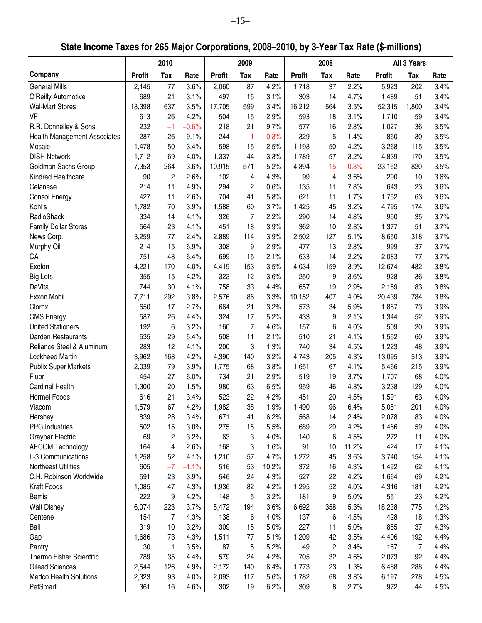**State Income Taxes for 265 Major Corporations, 2008–2010, by 3-Year Tax Rate (\$-millions)**

|                                     |               | 2010       |         |               | 2009           |         |               | 2008  |         |               | All 3 Years |      |
|-------------------------------------|---------------|------------|---------|---------------|----------------|---------|---------------|-------|---------|---------------|-------------|------|
| Company                             | <b>Profit</b> | <b>Tax</b> | Rate    | <b>Profit</b> | Tax            | Rate    | <b>Profit</b> | Tax   | Rate    | <b>Profit</b> | Tax         | Rate |
| <b>General Mills</b>                | 2,145         | 77         | 3.6%    | 2,060         | 87             | 4.2%    | 1,718         | 37    | 2.2%    | 5,923         | 202         | 3.4% |
| O'Reilly Automotive                 | 689           | 21         | 3.1%    | 497           | 15             | 3.1%    | 303           | 14    | 4.7%    | 1,489         | 51          | 3.4% |
| <b>Wal-Mart Stores</b>              | 18,398        | 637        | 3.5%    | 17,705        | 599            | 3.4%    | 16,212        | 564   | 3.5%    | 52,315        | 1,800       | 3.4% |
| <b>VF</b>                           | 613           | 26         | 4.2%    | 504           | 15             | 2.9%    | 593           | 18    | 3.1%    | 1,710         | 59          | 3.4% |
| R.R. Donnelley & Sons               | 232           | $-1$       | $-0.6%$ | 218           | 21             | 9.7%    | 577           | 16    | 2.8%    | 1,027         | 36          | 3.5% |
| <b>Health Management Associates</b> | 287           | 26         | 9.1%    | 244           | $-1$           | $-0.3%$ | 329           | 5     | 1.4%    | 860           | 30          | 3.5% |
| Mosaic                              | 1,478         | 50         | 3.4%    | 598           | 15             | 2.5%    | 1,193         | 50    | 4.2%    | 3,268         | 115         | 3.5% |
| <b>DISH Network</b>                 | 1,712         | 69         | 4.0%    | 1,337         | 44             | 3.3%    | 1,789         | 57    | 3.2%    | 4,839         | 170         | 3.5% |
| Goldman Sachs Group                 | 7,353         | 264        | 3.6%    | 10,915        | 571            | 5.2%    | 4,894         | $-15$ | $-0.3%$ | 23,162        | 820         | 3.5% |
| Kindred Healthcare                  | 90            | 2          | 2.6%    | 102           | 4              | 4.3%    | 99            | 4     | 3.6%    | 290           | 10          | 3.6% |
| Celanese                            | 214           | 11         | 4.9%    | 294           | $\overline{c}$ | 0.6%    | 135           | 11    | 7.8%    | 643           | 23          | 3.6% |
| <b>Consol Energy</b>                | 427           | 11         | 2.6%    | 704           | 41             | 5.8%    | 621           | 11    | 1.7%    | 1,752         | 63          | 3.6% |
| Kohl's                              | 1,782         | 70         | 3.9%    | 1,588         | 60             | 3.7%    | 1,425         | 45    | 3.2%    | 4,795         | 174         | 3.6% |
| RadioShack                          | 334           | 14         | 4.1%    | 326           | $\overline{7}$ | 2.2%    | 290           | 14    | 4.8%    | 950           | 35          | 3.7% |
| <b>Family Dollar Stores</b>         | 564           | 23         | 4.1%    | 451           | 18             | 3.9%    | 362           | 10    | 2.8%    | 1,377         | 51          | 3.7% |
| News Corp.                          | 3,259         | 77         | 2.4%    | 2,889         | 114            | 3.9%    | 2,502         | 127   | 5.1%    | 8,650         | 318         | 3.7% |
| Murphy Oil                          | 214           | 15         | 6.9%    | 308           | 9              | 2.9%    | 477           | 13    | 2.8%    | 999           | 37          | 3.7% |
| CA                                  | 751           | 48         | 6.4%    | 699           | 15             | 2.1%    | 633           | 14    | 2.2%    | 2,083         | 77          | 3.7% |
| Exelon                              | 4,221         | 170        | 4.0%    | 4,419         | 153            | 3.5%    | 4,034         | 159   | 3.9%    | 12,674        | 482         | 3.8% |
| <b>Big Lots</b>                     | 355           | 15         | 4.2%    | 323           | 12             | 3.6%    | 250           | 9     | 3.6%    | 928           | 36          | 3.8% |
| DaVita                              | 744           | 30         | 4.1%    | 758           | 33             | 4.4%    | 657           | 19    | 2.9%    | 2,159         | 83          | 3.8% |
| Exxon Mobil                         | 7,711         | 292        | 3.8%    | 2,576         | 86             | 3.3%    | 10,152        | 407   | 4.0%    | 20,439        | 784         | 3.8% |
|                                     |               |            |         |               | 21             | 3.2%    |               |       |         |               |             |      |
| Clorox                              | 650           | 17         | 2.7%    | 664           |                |         | 573           | 34    | 5.9%    | 1,887         | 73          | 3.9% |
| <b>CMS Energy</b>                   | 587           | 26         | 4.4%    | 324           | 17             | 5.2%    | 433           | 9     | 2.1%    | 1,344         | 52          | 3.9% |
| <b>United Stationers</b>            | 192           | 6          | 3.2%    | 160           | 7              | 4.6%    | 157           | 6     | 4.0%    | 509           | 20          | 3.9% |
| Darden Restaurants                  | 535           | 29         | 5.4%    | 508           | 11             | 2.1%    | 510           | 21    | 4.1%    | 1,552         | 60          | 3.9% |
| Reliance Steel & Aluminum           | 283           | 12         | 4.1%    | 200           | 3              | 1.3%    | 740           | 34    | 4.5%    | 1,223         | 48          | 3.9% |
| Lockheed Martin                     | 3,962         | 168        | 4.2%    | 4,390         | 140            | 3.2%    | 4,743         | 205   | 4.3%    | 13,095        | 513         | 3.9% |
| <b>Publix Super Markets</b>         | 2,039         | 79         | 3.9%    | 1,775         | 68             | 3.8%    | 1,651         | 67    | 4.1%    | 5,466         | 215         | 3.9% |
| Fluor                               | 454           | 27         | 6.0%    | 734           | 21             | 2.9%    | 519           | 19    | 3.7%    | 1,707         | 68          | 4.0% |
| <b>Cardinal Health</b>              | 1,300         | 20         | 1.5%    | 980           | 63             | 6.5%    | 959           | 46    | 4.8%    | 3,238         | 129         | 4.0% |
| Hormel Foods                        | 616           | 21         | 3.4%    | 523           | 22             | 4.2%    | 451           | 20    | 4.5%    | 1,591         | 63          | 4.0% |
| Viacom                              | 1,579         | 67         | 4.2%    | 1,982         | 38             | 1.9%    | 1,490         | 96    | 6.4%    | 5,051         | 201         | 4.0% |
| Hershey                             | 839           | 28         | 3.4%    | 671           | 41             | 6.2%    | 568           | 14    | 2.4%    | 2,078         | 83          | 4.0% |
| PPG Industries                      | 502           | 15         | 3.0%    | 275           | 15             | 5.5%    | 689           | 29    | 4.2%    | 1,466         | 59          | 4.0% |
| Graybar Electric                    | 69            | 2          | 3.2%    | 63            | 3              | 4.0%    | 140           | 6     | 4.5%    | 272           | 11          | 4.0% |
| <b>AECOM Technology</b>             | 164           | 4          | 2.6%    | 168           | 3              | 1.6%    | 91            | 10    | 11.2%   | 424           | 17          | 4.1% |
| L-3 Communications                  | 1,258         | 52         | 4.1%    | 1,210         | 57             | 4.7%    | 1,272         | 45    | 3.6%    | 3,740         | 154         | 4.1% |
| <b>Northeast Utilities</b>          | 605           | $-7$       | $-1.1%$ | 516           | 53             | 10.2%   | 372           | 16    | 4.3%    | 1,492         | 62          | 4.1% |
| C.H. Robinson Worldwide             | 591           | 23         | 3.9%    | 546           | 24             | 4.3%    | 527           | 22    | 4.2%    | 1,664         | 69          | 4.2% |
| Kraft Foods                         | 1,085         | 47         | 4.3%    | 1,936         | 82             | 4.2%    | 1,295         | 52    | 4.0%    | 4,316         | 181         | 4.2% |
| <b>Bemis</b>                        | 222           | 9          | 4.2%    | 148           | 5              | 3.2%    | 181           | 9     | 5.0%    | 551           | 23          | 4.2% |
| <b>Walt Disney</b>                  | 6,074         | 223        | 3.7%    | 5,472         | 194            | 3.6%    | 6,692         | 358   | 5.3%    | 18,238        | 775         | 4.2% |
| Centene                             | 154           | 7          | 4.3%    | 138           | 6              | 4.0%    | 137           | 6     | 4.5%    | 428           | 18          | 4.3% |
| Ball                                | 319           | 10         | 3.2%    | 309           | 15             | 5.0%    | 227           | 11    | 5.0%    | 855           | 37          | 4.3% |
| Gap                                 | 1,686         | 73         | 4.3%    | 1,511         | 77             | 5.1%    | 1,209         | 42    | 3.5%    | 4,406         | 192         | 4.4% |
| Pantry                              | 30            | 1          | 3.5%    | 87            | 5              | 5.2%    | 49            | 2     | 3.4%    | 167           | 7           | 4.4% |
| <b>Thermo Fisher Scientific</b>     | 789           | 35         | 4.4%    | 579           | 24             | 4.2%    | 705           | 32    | 4.6%    | 2,073         | 92          | 4.4% |
| <b>Gilead Sciences</b>              | 2,544         | 126        | 4.9%    | 2,172         | 140            | 6.4%    | 1,773         | 23    | 1.3%    | 6,488         | 288         | 4.4% |
| <b>Medco Health Solutions</b>       | 2,323         | 93         | 4.0%    | 2,093         | 117            | 5.6%    | 1,782         | 68    | 3.8%    | 6,197         | 278         | 4.5% |
| PetSmart                            | 361           | 16         | 4.6%    | 302           | 19             | 6.2%    | 309           | 8     | 2.7%    | 972           | 44          | 4.5% |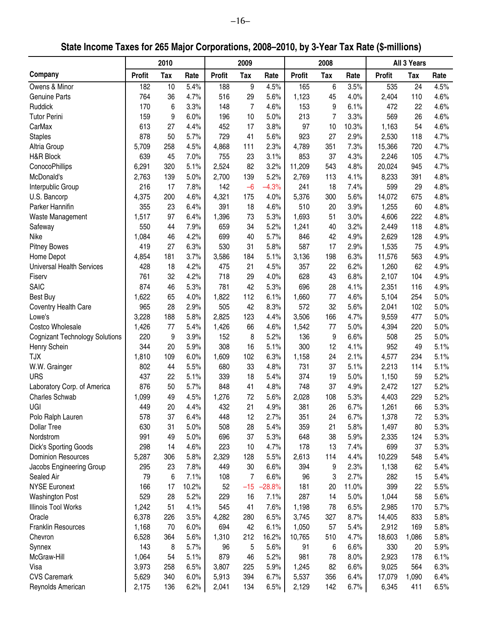# **State Income Taxes for 265 Major Corporations, 2008–2010, by 3-Year Tax Rate (\$-millions)**

|                                       |               | 2010       |       |               | 2009           |          |               | 2008 |       |               | All 3 Years |      |
|---------------------------------------|---------------|------------|-------|---------------|----------------|----------|---------------|------|-------|---------------|-------------|------|
| Company                               | <b>Profit</b> | <b>Tax</b> | Rate  | <b>Profit</b> | <b>Tax</b>     | Rate     | <b>Profit</b> | Tax  | Rate  | <b>Profit</b> | Tax         | Rate |
| Owens & Minor                         | 182           | 10         | 5.4%  | 188           | 9              | 4.5%     | 165           | 6    | 3.5%  | 535           | 24          | 4.5% |
| <b>Genuine Parts</b>                  | 764           | 36         | 4.7%  | 516           | 29             | 5.6%     | 1,123         | 45   | 4.0%  | 2,404         | 110         | 4.6% |
| Ruddick                               | 170           | 6          | 3.3%  | 148           | $\overline{7}$ | 4.6%     | 153           | 9    | 6.1%  | 472           | 22          | 4.6% |
| <b>Tutor Perini</b>                   | 159           | 9          | 6.0%  | 196           | 10             | 5.0%     | 213           | 7    | 3.3%  | 569           | 26          | 4.6% |
| CarMax                                | 613           | 27         | 4.4%  | 452           | 17             | 3.8%     | 97            | 10   | 10.3% | 1,163         | 54          | 4.6% |
| <b>Staples</b>                        | 878           | 50         | 5.7%  | 729           | 41             | 5.6%     | 923           | 27   | 2.9%  | 2,530         | 118         | 4.7% |
| Altria Group                          | 5,709         | 258        | 4.5%  | 4,868         | 111            | 2.3%     | 4,789         | 351  | 7.3%  | 15,366        | 720         | 4.7% |
| H&R Block                             | 639           | 45         | 7.0%  | 755           | 23             | 3.1%     | 853           | 37   | 4.3%  | 2,246         | 105         | 4.7% |
| ConocoPhillips                        | 6,291         | 320        | 5.1%  | 2,524         | 82             | 3.2%     | 11,209        | 543  | 4.8%  | 20,024        | 945         | 4.7% |
| McDonald's                            | 2,763         | 139        | 5.0%  | 2,700         | 139            | 5.2%     | 2,769         | 113  | 4.1%  | 8,233         | 391         | 4.8% |
| Interpublic Group                     | 216           | 17         | 7.8%  | 142           | $-6$           | $-4.3%$  | 241           | 18   | 7.4%  | 599           | 29          | 4.8% |
| U.S. Bancorp                          | 4,375         | 200        | 4.6%  | 4,321         | 175            | 4.0%     | 5,376         | 300  | 5.6%  | 14,072        | 675         | 4.8% |
| Parker Hannifin                       | 355           | 23         | 6.4%  | 391           | 18             | 4.6%     | 510           | 20   | 3.9%  | 1,255         | 60          | 4.8% |
| Waste Management                      | 1,517         | 97         | 6.4%  | 1,396         | 73             | 5.3%     | 1,693         | 51   | 3.0%  | 4,606         | 222         | 4.8% |
| Safeway                               | 550           | 44         | 7.9%  | 659           | 34             | 5.2%     | 1,241         | 40   | 3.2%  | 2,449         | 118         | 4.8% |
| Nike                                  | 1,084         | 46         | 4.2%  | 699           | 40             | 5.7%     | 846           | 42   | 4.9%  | 2,629         | 128         | 4.9% |
| <b>Pitney Bowes</b>                   | 419           | 27         | 6.3%  | 530           | 31             | 5.8%     | 587           | 17   | 2.9%  | 1,535         | 75          | 4.9% |
| Home Depot                            | 4,854         | 181        | 3.7%  | 3,586         | 184            | 5.1%     | 3,136         | 198  | 6.3%  | 11,576        | 563         | 4.9% |
| <b>Universal Health Services</b>      | 428           | 18         | 4.2%  | 475           | 21             | 4.5%     | 357           | 22   | 6.2%  | 1,260         | 62          | 4.9% |
| Fiserv                                | 761           | 32         | 4.2%  | 718           | 29             | 4.0%     | 628           | 43   | 6.8%  | 2,107         | 104         | 4.9% |
| <b>SAIC</b>                           | 874           | 46         | 5.3%  | 781           | 42             | 5.3%     | 696           | 28   | 4.1%  | 2,351         | 116         | 4.9% |
| <b>Best Buy</b>                       | 1,622         | 65         | 4.0%  | 1,822         | 112            | 6.1%     | 1,660         | 77   | 4.6%  | 5,104         | 254         | 5.0% |
| Coventry Health Care                  | 965           | 28         | 2.9%  | 505           | 42             | 8.3%     | 572           | 32   | 5.6%  | 2,041         | 102         | 5.0% |
| Lowe's                                | 3,228         | 188        | 5.8%  | 2,825         | 123            | 4.4%     | 3,506         | 166  | 4.7%  | 9,559         | 477         | 5.0% |
| Costco Wholesale                      | 1,426         | 77         | 5.4%  | 1,426         | 66             | 4.6%     | 1,542         | 77   | 5.0%  | 4,394         | 220         | 5.0% |
| <b>Cognizant Technology Solutions</b> | 220           | 9          | 3.9%  | 152           | 8              | 5.2%     | 136           | 9    | 6.6%  | 508           | 25          | 5.0% |
| Henry Schein                          | 344           | 20         | 5.9%  | 308           | 16             | 5.1%     | 300           | 12   | 4.1%  | 952           | 49          | 5.1% |
| <b>TJX</b>                            | 1,810         | 109        | 6.0%  | 1,609         | 102            | 6.3%     | 1,158         | 24   | 2.1%  | 4,577         | 234         | 5.1% |
| W.W. Grainger                         | 802           | 44         | 5.5%  | 680           | 33             | 4.8%     | 731           | 37   | 5.1%  | 2,213         | 114         | 5.1% |
| <b>URS</b>                            | 437           | 22         | 5.1%  | 339           | 18             | 5.4%     | 374           | 19   | 5.0%  | 1,150         | 59          | 5.2% |
| Laboratory Corp. of America           | 876           | 50         | 5.7%  | 848           | 41             | 4.8%     | 748           | 37   | 4.9%  | 2,472         | 127         | 5.2% |
| <b>Charles Schwab</b>                 | 1,099         | 49         | 4.5%  | 1,276         | 72             | 5.6%     | 2,028         | 108  | 5.3%  | 4,403         | 229         | 5.2% |
| UGI                                   | 449           | 20         | 4.4%  | 432           | 21             | 4.9%     | 381           | 26   | 6.7%  | 1,261         | 66          | 5.3% |
| Polo Ralph Lauren                     | 578           | 37         | 6.4%  | 448           | 12             | 2.7%     | 351           | 24   | 6.7%  | 1,378         | 72          | 5.3% |
| <b>Dollar Tree</b>                    | 630           | 31         | 5.0%  | 508           | 28             | 5.4%     | 359           | 21   | 5.8%  | 1,497         | 80          | 5.3% |
| Nordstrom                             | 991           | 49         | 5.0%  | 696           | 37             | 5.3%     | 648           | 38   | 5.9%  | 2,335         | 124         | 5.3% |
| Dick's Sporting Goods                 | 298           | 14         | 4.6%  | 223           | 10             | 4.7%     | 178           | 13   | 7.4%  | 699           | 37          | 5.3% |
| <b>Dominion Resources</b>             | 5,287         | 306        | 5.8%  | 2,329         | 128            | 5.5%     | 2,613         | 114  | 4.4%  | 10,229        | 548         | 5.4% |
| Jacobs Engineering Group              | 295           | 23         | 7.8%  | 449           | 30             | 6.6%     | 394           | 9    | 2.3%  | 1,138         | 62          | 5.4% |
| Sealed Air                            | 79            | 6          | 7.1%  | 108           | 7              | 6.6%     | 96            | 3    | 2.7%  | 282           | 15          | 5.4% |
| <b>NYSE Euronext</b>                  | 166           | 17         | 10.2% | 52            | $-15$          | $-28.8%$ | 181           | 20   | 11.0% | 399           | 22          | 5.5% |
| <b>Washington Post</b>                | 529           | 28         | 5.2%  | 229           | 16             | 7.1%     | 287           | 14   | 5.0%  | 1,044         | 58          | 5.6% |
| <b>Illinois Tool Works</b>            |               | 51         | 4.1%  | 545           | 41             | 7.6%     | 1,198         | 78   | 6.5%  |               | 170         | 5.7% |
| Oracle                                | 1,242         |            |       |               |                |          |               |      |       | 2,985         |             | 5.8% |
|                                       | 6,378         | 226        | 3.5%  | 4,282         | 280            | 6.5%     | 3,745         | 327  | 8.7%  | 14,405        | 833         |      |
| <b>Franklin Resources</b>             | 1,168         | 70         | 6.0%  | 694           | 42             | 6.1%     | 1,050         | 57   | 5.4%  | 2,912         | 169         | 5.8% |
| Chevron                               | 6,528         | 364        | 5.6%  | 1,310         | 212            | 16.2%    | 10,765        | 510  | 4.7%  | 18,603        | 1,086       | 5.8% |
| Synnex                                | 143           | 8          | 5.7%  | 96            | 5              | 5.6%     | 91            | 6    | 6.6%  | 330           | 20          | 5.9% |
| McGraw-Hill                           | 1,064         | 54         | 5.1%  | 879           | 46             | 5.2%     | 981           | 78   | 8.0%  | 2,923         | 178         | 6.1% |
| Visa                                  | 3,973         | 258        | 6.5%  | 3,807         | 225            | 5.9%     | 1,245         | 82   | 6.6%  | 9,025         | 564         | 6.3% |
| <b>CVS Caremark</b>                   | 5,629         | 340        | 6.0%  | 5,913         | 394            | 6.7%     | 5,537         | 356  | 6.4%  | 17,079        | 1,090       | 6.4% |
| Reynolds American                     | 2,175         | 136        | 6.2%  | 2,041         | 134            | 6.5%     | 2,129         | 142  | 6.7%  | 6,345         | 411         | 6.5% |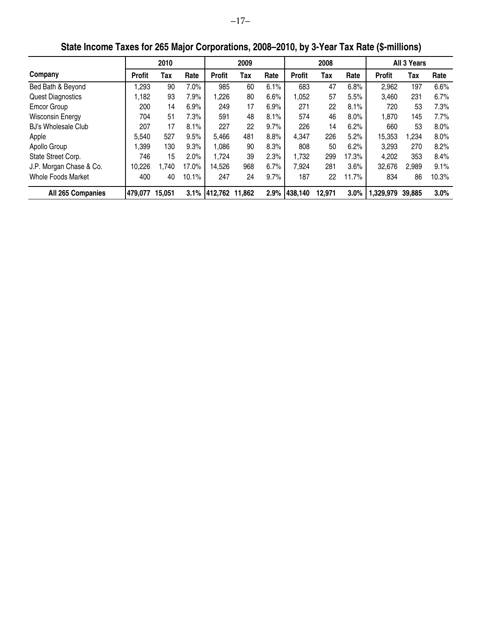|                            |               | 2010   |       |               | 2009   |      |               | 2008   |       |               | All 3 Years |         |
|----------------------------|---------------|--------|-------|---------------|--------|------|---------------|--------|-------|---------------|-------------|---------|
| Company                    | <b>Profit</b> | Tax    | Rate  | <b>Profit</b> | Tax    | Rate | <b>Profit</b> | Tax    | Rate  | <b>Profit</b> | Tax         | Rate    |
| Bed Bath & Beyond          | ,293          | 90     | 7.0%  | 985           | 60     | 6.1% | 683           | 47     | 6.8%  | 2,962         | 197         | 6.6%    |
| <b>Quest Diagnostics</b>   | 1,182         | 93     | 7.9%  | 1,226         | 80     | 6.6% | 1,052         | 57     | 5.5%  | 3,460         | 231         | 6.7%    |
| <b>Emcor Group</b>         | 200           | 14     | 6.9%  | 249           | 17     | 6.9% | 271           | 22     | 8.1%  | 720           | 53          | 7.3%    |
| <b>Wisconsin Energy</b>    | 704           | 51     | 7.3%  | 591           | 48     | 8.1% | 574           | 46     | 8.0%  | 1,870         | 145         | 7.7%    |
| <b>BJ's Wholesale Club</b> | 207           | 17     | 8.1%  | 227           | 22     | 9.7% | 226           | 14     | 6.2%  | 660           | 53          | $8.0\%$ |
| Apple                      | 5,540         | 527    | 9.5%  | 5,466         | 481    | 8.8% | 4,347         | 226    | 5.2%  | 15,353        | 1,234       | 8.0%    |
| Apollo Group               | .399          | 130    | 9.3%  | 1,086         | 90     | 8.3% | 808           | 50     | 6.2%  | 3,293         | 270         | 8.2%    |
| State Street Corp.         | 746           | 15     | 2.0%  | 1,724         | 39     | 2.3% | 1,732         | 299    | 17.3% | 4,202         | 353         | 8.4%    |
| J.P. Morgan Chase & Co.    | 10.226        | 1,740  | 17.0% | 14.526        | 968    | 6.7% | 7,924         | 281    | 3.6%  | 32,676        | 2,989       | 9.1%    |
| <b>Whole Foods Market</b>  | 400           | 40     | 10.1% | 247           | 24     | 9.7% | 187           | 22     | 11.7% | 834           | 86          | 10.3%   |
| All 265 Companies          | 479,077       | 15,051 |       | 3.1% 412.762  | 11.862 | 2.9% | 438,140       | 12,971 | 3.0%  | 1,329,979     | 39,885      | 3.0%    |

**State Income Taxes for 265 Major Corporations, 2008–2010, by 3-Year Tax Rate (\$-millions)**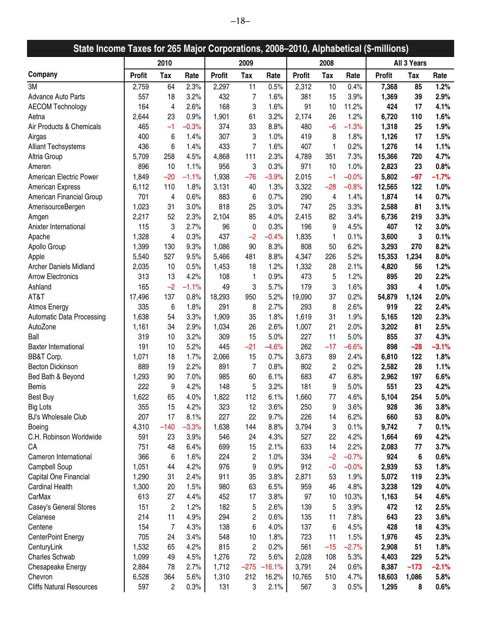| State Income Taxes for 265 Major Corporations, 2008-2010, Alphabetical (\$-millions) |               |                |         |               |                |          |               |                |         |               |             |         |
|--------------------------------------------------------------------------------------|---------------|----------------|---------|---------------|----------------|----------|---------------|----------------|---------|---------------|-------------|---------|
|                                                                                      |               | 2010           |         |               | 2009           |          |               | 2008           |         |               | All 3 Years |         |
| Company                                                                              | <b>Profit</b> | Tax            | Rate    | <b>Profit</b> | Tax            | Rate     | <b>Profit</b> | Tax            | Rate    | <b>Profit</b> | Tax         | Rate    |
| 3M                                                                                   | 2,759         | 64             | 2.3%    | 2,297         | 11             | 0.5%     | 2,312         | 10             | 0.4%    | 7,368         | 85          | 1.2%    |
| <b>Advance Auto Parts</b>                                                            | 557           | 18             | 3.2%    | 432           | 7              | 1.6%     | 381           | 15             | 3.9%    | 1,369         | 39          | 2.9%    |
| <b>AECOM Technology</b>                                                              | 164           | 4              | 2.6%    | 168           | 3              | 1.6%     | 91            | 10             | 11.2%   | 424           | 17          | 4.1%    |
| Aetna                                                                                | 2,644         | 23             | 0.9%    | 1,901         | 61             | 3.2%     | 2,174         | 26             | 1.2%    | 6,720         | 110         | 1.6%    |
| Air Products & Chemicals                                                             | 465           | $-1$           | $-0.3%$ | 374           | 33             | 8.8%     | 480           | $-6$           | $-1.3%$ | 1,318         | 25          | 1.9%    |
| Airgas                                                                               | 400           | 6              | 1.4%    | 307           | 3              | 1.0%     | 419           | 8              | 1.8%    | 1,126         | 17          | 1.5%    |
| <b>Alliant Techsystems</b>                                                           | 436           | 6              | 1.4%    | 433           | $\overline{7}$ | 1.6%     | 407           | 1              | 0.2%    | 1,276         | 14          | 1.1%    |
| Altria Group                                                                         | 5,709         | 258            | 4.5%    | 4,868         | 111            | 2.3%     | 4,789         | 351            | 7.3%    | 15,366        | 720         | 4.7%    |
| Ameren                                                                               | 896           | 10             | 1.1%    | 956           | 3              | 0.3%     | 971           | 10             | 1.0%    | 2,823         | 23          | 0.8%    |
| American Electric Power                                                              | 1,849         | $-20$          | $-1.1%$ | 1,938         | $-76$          | $-3.9%$  | 2,015         | $-1$           | $-0.0%$ | 5,802         | $-97$       | $-1.7%$ |
| <b>American Express</b>                                                              | 6,112         | 110            | 1.8%    | 3,131         | 40             | 1.3%     | 3,322         | $-28$          | $-0.8%$ | 12,565        | 122         | 1.0%    |
| American Financial Group                                                             | 701           | 4              | 0.6%    | 883           | 6              | 0.7%     | 290           | 4              | 1.4%    | 1,874         | 14          | 0.7%    |
| AmerisourceBergen                                                                    | 1,023         | 31             | 3.0%    | 818           | 25             | 3.0%     | 747           | 25             | 3.3%    | 2,588         | 81          | 3.1%    |
| Amgen                                                                                | 2,217         | 52             | 2.3%    | 2,104         | 85             | 4.0%     | 2,415         | 82             | 3.4%    | 6,736         | 219         | 3.3%    |
| Anixter International                                                                | 115           | 3              | 2.7%    | 96            | 0              | 0.3%     | 196           | 9              | 4.5%    | 407           | 12          | 3.0%    |
| Apache                                                                               | 1,328         | 4              | 0.3%    | 437           | $-2$           | $-0.4%$  | 1,835         | 1              | 0.1%    | 3,600         | 3           | 0.1%    |
| Apollo Group                                                                         | 1,399         | 130            | 9.3%    | 1,086         | 90             | 8.3%     | 808           | 50             | 6.2%    | 3,293         | 270         | 8.2%    |
| Apple                                                                                | 5,540         | 527            | 9.5%    | 5,466         | 481            | 8.8%     | 4,347         | 226            | 5.2%    | 15,353        | 1,234       | 8.0%    |
| <b>Archer Daniels Midland</b>                                                        | 2,035         | 10             | 0.5%    | 1,453         | 18             | 1.2%     | 1,332         | 28             | 2.1%    | 4,820         | 56          | 1.2%    |
| <b>Arrow Electronics</b>                                                             | 313           | 13             | 4.2%    | 108           | 1              | 0.9%     | 473           | 5              | 1.2%    | 895           | 20          | 2.2%    |
| Ashland                                                                              | 165           | $-2$           | $-1.1%$ | 49            | 3              | 5.7%     | 179           | 3              | 1.6%    | 393           | 4           | 1.0%    |
| AT&T                                                                                 | 17,496        | 137            | 0.8%    | 18,293        | 950            | 5.2%     | 19,090        | 37             | 0.2%    | 54,879        | 1,124       | 2.0%    |
| Atmos Energy                                                                         | 335           | 6              | 1.8%    | 291           | 8              | 2.7%     | 293           | 8              | 2.6%    | 919           | 22          | 2.4%    |
| <b>Automatic Data Processing</b>                                                     | 1,638         | 54             | 3.3%    | 1,909         | 35             | 1.8%     | 1,619         | 31             | 1.9%    | 5,165         | 120         | 2.3%    |
| AutoZone                                                                             | 1,161         | 34             | 2.9%    | 1,034         | 26             | 2.6%     | 1,007         | 21             | 2.0%    | 3,202         | 81          | 2.5%    |
| Ball                                                                                 | 319           | 10             | 3.2%    | 309           | 15             | 5.0%     | 227           | 11             | 5.0%    | 855           | 37          | 4.3%    |
| <b>Baxter International</b>                                                          | 191           | 10             | 5.2%    | 445           | $-21$          | $-4.6%$  | 262           | $-17$          | $-6.6%$ | 898           | $-28$       | $-3.1%$ |
| BB&T Corp.                                                                           | 1,071         | 18             | 1.7%    | 2,066         | 15             | 0.7%     | 3,673         | 89             | 2.4%    | 6,810         | 122         | 1.8%    |
| <b>Becton Dickinson</b>                                                              | 889           | 19             | 2.2%    | 891           | $\overline{7}$ | 0.8%     | 802           | $\overline{c}$ | 0.2%    | 2,582         | 28          | 1.1%    |
| Bed Bath & Beyond                                                                    | 1,293         | 90             | 7.0%    | 985           | 60             | 6.1%     | 683           | 47             | 6.8%    | 2,962         | 197         | 6.6%    |
| <b>Bemis</b>                                                                         | 222           | 9              | 4.2%    | 148           | 5              | 3.2%     | 181           | 9              | 5.0%    | 551           | 23          | 4.2%    |
| <b>Best Buy</b>                                                                      | 1,622         | 65             | 4.0%    | 1,822         | 112            | 6.1%     | 1,660         | 77             | 4.6%    | 5,104         | 254         | 5.0%    |
| <b>Big Lots</b>                                                                      | 355           | 15             | 4.2%    | 323           | 12             | 3.6%     | 250           | 9              | 3.6%    | 928           | 36          | 3.8%    |
| <b>BJ's Wholesale Club</b>                                                           | 207           | 17             | 8.1%    | 227           | 22             | 9.7%     | 226           | 14             | 6.2%    | 660           | 53          | 8.0%    |
| Boeing                                                                               | 4,310         | $-140$         | $-3.3%$ | 1,638         | 144            | 8.8%     | 3,794         | 3              | 0.1%    | 9,742         | 7           | 0.1%    |
| C.H. Robinson Worldwide                                                              | 591           | 23             | 3.9%    | 546           | 24             | 4.3%     | 527           | 22             | 4.2%    | 1,664         | 69          | 4.2%    |
| CA                                                                                   | 751           | 48             | 6.4%    | 699           | 15             | 2.1%     | 633           | 14             | 2.2%    | 2,083         | 77          | 3.7%    |
| Cameron International                                                                | 366           | 6              | 1.6%    | 224           | 2              | 1.0%     | 334           | $-2$           | $-0.7%$ | 924           | 6           | 0.6%    |
| Campbell Soup                                                                        | 1,051         | 44             | 4.2%    | 976           | 9              | 0.9%     | 912           | $-0$           | $-0.0%$ | 2,939         | 53          | 1.8%    |
| Capital One Financial                                                                | 1,290         | 31             | 2.4%    | 911           | 35             | 3.8%     | 2,871         | 53             | 1.9%    | 5,072         | 119         | 2.3%    |
| <b>Cardinal Health</b>                                                               | 1,300         | 20             | 1.5%    | 980           | 63             | 6.5%     | 959           | 46             | 4.8%    | 3,238         | 129         | 4.0%    |
| CarMax                                                                               | 613           | 27             | 4.4%    | 452           | 17             | 3.8%     | 97            | 10             | 10.3%   | 1,163         | 54          | 4.6%    |
| Casey's General Stores                                                               | 151           | $\overline{c}$ | 1.2%    | 182           | 5              | 2.6%     | 139           | 5              | 3.9%    | 472           | 12          | 2.5%    |
| Celanese                                                                             | 214           | 11             | 4.9%    | 294           | 2              | 0.6%     | 135           | 11             | 7.8%    | 643           | 23          | 3.6%    |
| Centene                                                                              | 154           | 7              | 4.3%    | 138           | 6              | 4.0%     | 137           | 6              | 4.5%    | 428           | 18          | 4.3%    |
| <b>CenterPoint Energy</b>                                                            | 705           | 24             | 3.4%    | 548           | 10             | 1.8%     | 723           | 11             | 1.5%    | 1,976         | 45          | 2.3%    |
| CenturyLink                                                                          | 1,532         | 65             | 4.2%    | 815           | 2              | 0.2%     | 561           | $-15$          | $-2.7%$ | 2,908         | 51          | 1.8%    |
| Charles Schwab                                                                       | 1,099         | 49             | 4.5%    | 1,276         | 72             | 5.6%     | 2,028         | 108            | 5.3%    | 4,403         | 229         | 5.2%    |
| Chesapeake Energy                                                                    | 2,884         | 78             | 2.7%    | 1,712         | $-275$         | $-16.1%$ | 3,791         | 24             | 0.6%    | 8,387         | $-173$      | $-2.1%$ |
| Chevron                                                                              | 6,528         | 364            | 5.6%    | 1,310         | 212            | 16.2%    | 10,765        | 510            | 4.7%    | 18,603        | 1,086       | 5.8%    |
| <b>Cliffs Natural Resources</b>                                                      | 597           | $\overline{c}$ | 0.3%    | 131           | 3              | 2.1%     | 567           | 3              | 0.5%    | 1,295         | 8           | 0.6%    |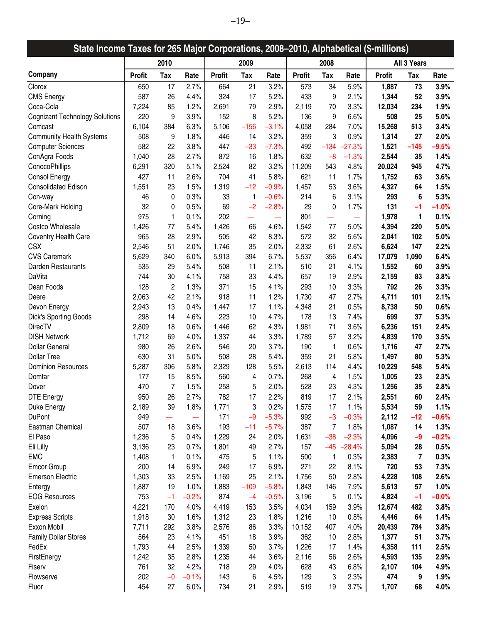| 2010<br>2009<br>2008<br>All 3 Years<br><b>Tax</b><br>Tax<br>Tax<br><b>Profit</b><br><b>Profit</b><br>Tax<br><b>Profit</b><br>Rate<br><b>Profit</b><br>Rate<br>Rate<br>Rate<br>3.2%<br>73<br>3.9%<br>650<br>17<br>2.7%<br>664<br>21<br>573<br>34<br>5.9%<br>1,887<br>587<br>324<br>5.2%<br>52<br>26<br>4.4%<br>17<br>433<br>9<br>2.1%<br>1,344<br>3.9%<br>7,224<br>1.2%<br>2.9%<br>3.3%<br>12,034<br>234<br>1.9%<br>85<br>2,691<br>79<br>2,119<br>70<br>220<br>5.2%<br>9<br>3.9%<br>152<br>8<br>136<br>6.6%<br>508<br>25<br>5.0%<br>9<br>6,104<br>384<br>6.3%<br>5,106<br>$-156$<br>$-3.1%$<br>4,058<br>284<br>7.0%<br>15,268<br>513<br>3.4%<br>3.2%<br>508<br>1.8%<br>3<br>0.9%<br>27<br>2.0%<br>9<br>446<br>14<br>359<br>1,314<br>582<br>3.8%<br>447<br>$-33$<br>$-7.3%$<br>492<br>$-134$<br>$-27.3%$<br>1,521<br>$-145$<br>$-9.5%$<br>22<br>1,040<br>28<br>2.7%<br>872<br>1.8%<br>632<br>$-8$<br>1.4%<br>16<br>$-1.3%$<br>2,544<br>35<br>2,524<br>3.2%<br>4.7%<br>6,291<br>320<br>5.1%<br>82<br>11,209<br>543<br>4.8%<br>20,024<br>945<br>5.8%<br>427<br>11<br>2.6%<br>704<br>41<br>621<br>1.7%<br>1,752<br>3.6%<br>11<br>63<br>1,551<br>1.5%<br>1,319<br>$-12$<br>$-0.9%$<br>3.6%<br>4,327<br>1.5%<br>23<br>1,457<br>53<br>64<br>0.3%<br>5.3%<br>46<br>33<br>1<br>$-0.6%$<br>214<br>6<br>3.1%<br>293<br>6<br>0<br>$-1.0%$<br>32<br>0.5%<br>69<br>$-2.8%$<br>0<br>1.7%<br>131<br>Core-Mark Holding<br>0<br>$-2$<br>29<br>$-1$<br>975<br>0.1%<br>202<br>801<br>1,978<br>1<br>0.1%<br>1<br>—<br>1,426<br>1,426<br>5.0%<br>77<br>5.4%<br>66<br>4.6%<br>1,542<br>77<br>5.0%<br>4,394<br>220<br>965<br>2.9%<br>505<br>8.3%<br>572<br>5.6%<br>5.0%<br>Coventry Health Care<br>28<br>42<br>32<br>2,041<br>102<br><b>CSX</b><br>2.2%<br>2,546<br>51<br>2.0%<br>1,746<br>35<br>2.0%<br>2,332<br>61<br>2.6%<br>6,624<br>147<br>5,629<br>6.0%<br>5,913<br>6.7%<br>5,537<br>6.4%<br>17,079<br>1,090<br>6.4%<br>340<br>394<br>356<br>Darden Restaurants<br>535<br>5.4%<br>508<br>2.1%<br>4.1%<br>1,552<br>3.9%<br>29<br>11<br>510<br>21<br>60<br>DaVita<br>744<br>4.1%<br>758<br>33<br>4.4%<br>657<br>2.9%<br>3.8%<br>30<br>19<br>2,159<br>83<br>1.3%<br>3.3%<br>Dean Foods<br>128<br>$\overline{c}$<br>371<br>15<br>4.1%<br>293<br>3.3%<br>792<br>26<br>10<br>2,063<br>42<br>2.1%<br>918<br>11<br>1.2%<br>1,730<br>2.7%<br>4,711<br>101<br>2.1%<br>47<br>0.6%<br>2,943<br>13<br>0.4%<br>1,447<br>1.1%<br>0.5%<br>8,738<br>50<br>17<br>4,348<br>21<br>Devon Energy<br>Dick's Sporting Goods<br>298<br>4.6%<br>223<br>4.7%<br>178<br>699<br>37<br>5.3%<br>14<br>10<br>13<br>7.4%<br><b>DirecTV</b><br>2,809<br>0.6%<br>1,446<br>62<br>4.3%<br>1,981<br>6,236<br>151<br>2.4%<br>18<br>71<br>3.6%<br><b>DISH Network</b><br>1,712<br>69<br>4.0%<br>1,337<br>3.3%<br>1,789<br>3.2%<br>4,839<br>170<br>3.5%<br>44<br>57<br>3.7%<br><b>Dollar General</b><br>980<br>2.6%<br>546<br>190<br>1<br>0.6%<br>1,716<br>47<br>2.7%<br>26<br>20<br><b>Dollar Tree</b><br>630<br>31<br>5.0%<br>508<br>28<br>5.4%<br>359<br>21<br>5.8%<br>5.3%<br>1,497<br>80<br>5.8%<br><b>Dominion Resources</b><br>5,287<br>2,329<br>5.5%<br>4.4%<br>10,229<br>5.4%<br>306<br>128<br>2,613<br>114<br>548<br>177<br>8.5%<br>560<br>0.7%<br>1.5%<br>1,005<br>2.3%<br>Domtar<br>15<br>4<br>268<br>23<br>4<br>2.0%<br>528<br>470<br>7<br>1.5%<br>258<br>5<br>23<br>4.3%<br>1,256<br>35<br>2.8%<br>Dover<br><b>DTE Energy</b><br>950<br>26<br>2.7%<br>782<br>17<br>2.2%<br>819<br>17<br>2.1%<br>2,551<br>60<br>2.4%<br>0.2%<br>2,189<br>1.8%<br>1,771<br>3<br>59<br>1.1%<br>Duke Energy<br>39<br>1,575<br>1.1%<br>5,534<br>17<br><b>DuPont</b><br>$-5.3%$<br>$-12$<br>$-0.6%$<br>949<br>171<br>$-9$<br>992<br>$-3$<br>$-0.3%$<br>2,112<br>-<br>507<br>3.6%<br>193<br>$-11$<br>$-5.7%$<br>387<br>7<br>1,087<br>14<br>1.3%<br>Eastman Chemical<br>18<br>1.8%<br>0.4%<br>$-38$<br>$-2.3%$<br>$-0.2%$<br>El Paso<br>1,236<br>5<br>1,229<br>24<br>2.0%<br>1,631<br>4,096<br>$-9$<br>2.7%<br>3,136<br>0.7%<br>$-45$<br>$-28.4%$<br>5,094<br>0.5%<br>Eli Lilly<br>23<br>1,801<br>49<br>157<br>28<br><b>EMC</b><br>0.1%<br>1.1%<br>0.3%<br>$\overline{\mathbf{r}}$<br>0.3%<br>1,408<br>475<br>5<br>500<br>1<br>2,383<br>1<br><b>Emcor Group</b><br>200<br>6.9%<br>249<br>6.9%<br>271<br>8.1%<br>720<br>53<br>7.3%<br>14<br>17<br>22<br>1,303<br>2.1%<br>4,228<br>2.6%<br><b>Emerson Electric</b><br>33<br>2.5%<br>1,169<br>25<br>1,756<br>50<br>2.8%<br>108<br>1,887<br>1.0%<br>1,883<br>$-5.8%$<br>5,613<br>57<br>1.0%<br>19<br>$-109$<br>1,843<br>7.9%<br>Entergy<br>146<br><b>EOG Resources</b><br>753<br>$-0.2%$<br>874<br>$-1$<br>$-0.0%$<br>$-1$<br>$-0.5%$<br>3,196<br>5<br>0.1%<br>4,824<br>$-4$<br>4,221<br>3.5%<br>3.9%<br>3.8%<br>Exelon<br>170<br>4.0%<br>4,419<br>153<br>4,034<br>12,674<br>482<br>159<br>1.8%<br>1.4%<br><b>Express Scripts</b><br>1,918<br>30<br>1.6%<br>1,312<br>23<br>1,216<br>10<br>0.8%<br>4,446<br>64<br>Exxon Mobil<br>7,711<br>3.8%<br>3.3%<br>4.0%<br>3.8%<br>292<br>2,576<br>86<br>10,152<br>20,439<br>784<br>407<br>564<br>4.1%<br>3.9%<br>3.7%<br><b>Family Dollar Stores</b><br>23<br>451<br>18<br>362<br>10<br>2.8%<br>1,377<br>51<br>3.7%<br>2.5%<br>1.4%<br>2.5%<br>FedEx<br>1,793<br>44<br>1,339<br>50<br>1,226<br>4,358<br>111<br>17<br>3.6%<br>135<br>2.9%<br>FirstEnergy<br>1,242<br>35<br>2.8%<br>1,235<br>2,116<br>56<br>2.6%<br>4,593<br>44<br>32<br>4.2%<br>718<br>4.0%<br>4.9%<br>761<br>29<br>628<br>6.8%<br>2,107<br>104<br>Fiserv<br>43<br>202<br>143<br>474<br>9<br>1.9%<br>Flowserve<br>$-0$<br>$-0.1%$<br>6<br>4.5%<br>129<br>3<br>2.3% | State Income Taxes for 265 Major Corporations, 2008-2010, Alphabetical (\$-millions) |     |    |      |     |    |      |     |    |      |       |    |      |
|------------------------------------------------------------------------------------------------------------------------------------------------------------------------------------------------------------------------------------------------------------------------------------------------------------------------------------------------------------------------------------------------------------------------------------------------------------------------------------------------------------------------------------------------------------------------------------------------------------------------------------------------------------------------------------------------------------------------------------------------------------------------------------------------------------------------------------------------------------------------------------------------------------------------------------------------------------------------------------------------------------------------------------------------------------------------------------------------------------------------------------------------------------------------------------------------------------------------------------------------------------------------------------------------------------------------------------------------------------------------------------------------------------------------------------------------------------------------------------------------------------------------------------------------------------------------------------------------------------------------------------------------------------------------------------------------------------------------------------------------------------------------------------------------------------------------------------------------------------------------------------------------------------------------------------------------------------------------------------------------------------------------------------------------------------------------------------------------------------------------------------------------------------------------------------------------------------------------------------------------------------------------------------------------------------------------------------------------------------------------------------------------------------------------------------------------------------------------------------------------------------------------------------------------------------------------------------------------------------------------------------------------------------------------------------------------------------------------------------------------------------------------------------------------------------------------------------------------------------------------------------------------------------------------------------------------------------------------------------------------------------------------------------------------------------------------------------------------------------------------------------------------------------------------------------------------------------------------------------------------------------------------------------------------------------------------------------------------------------------------------------------------------------------------------------------------------------------------------------------------------------------------------------------------------------------------------------------------------------------------------------------------------------------------------------------------------------------------------------------------------------------------------------------------------------------------------------------------------------------------------------------------------------------------------------------------------------------------------------------------------------------------------------------------------------------------------------------------------------------------------------------------------------------------------------------------------------------------------------------------------------------------------------------------------------------------------------------------------------------------------------------------------------------------------------------------------------------------------------------------------------------------------------------------------------------------------------------------------------------------------------------------------------------------------------------------------------------------------------------------------------------------------------------------------------------------------------------------------------------------------------------------------------------------------------------------------------------------------------------------------------------------------------------------------------------------------------------------------------------------------------------------------------------------------------------------------------------------------------------------------------------------------------------------------------------------------------------------------------------------------------------------------------------------------------------------------------------------------------------------------------------------------------------------|--------------------------------------------------------------------------------------|-----|----|------|-----|----|------|-----|----|------|-------|----|------|
|                                                                                                                                                                                                                                                                                                                                                                                                                                                                                                                                                                                                                                                                                                                                                                                                                                                                                                                                                                                                                                                                                                                                                                                                                                                                                                                                                                                                                                                                                                                                                                                                                                                                                                                                                                                                                                                                                                                                                                                                                                                                                                                                                                                                                                                                                                                                                                                                                                                                                                                                                                                                                                                                                                                                                                                                                                                                                                                                                                                                                                                                                                                                                                                                                                                                                                                                                                                                                                                                                                                                                                                                                                                                                                                                                                                                                                                                                                                                                                                                                                                                                                                                                                                                                                                                                                                                                                                                                                                                                                                                                                                                                                                                                                                                                                                                                                                                                                                                                                                                                                                                                                                                                                                                                                                                                                                                                                                                                                                                                                                                                |                                                                                      |     |    |      |     |    |      |     |    |      |       |    |      |
|                                                                                                                                                                                                                                                                                                                                                                                                                                                                                                                                                                                                                                                                                                                                                                                                                                                                                                                                                                                                                                                                                                                                                                                                                                                                                                                                                                                                                                                                                                                                                                                                                                                                                                                                                                                                                                                                                                                                                                                                                                                                                                                                                                                                                                                                                                                                                                                                                                                                                                                                                                                                                                                                                                                                                                                                                                                                                                                                                                                                                                                                                                                                                                                                                                                                                                                                                                                                                                                                                                                                                                                                                                                                                                                                                                                                                                                                                                                                                                                                                                                                                                                                                                                                                                                                                                                                                                                                                                                                                                                                                                                                                                                                                                                                                                                                                                                                                                                                                                                                                                                                                                                                                                                                                                                                                                                                                                                                                                                                                                                                                | Company                                                                              |     |    |      |     |    |      |     |    |      |       |    |      |
|                                                                                                                                                                                                                                                                                                                                                                                                                                                                                                                                                                                                                                                                                                                                                                                                                                                                                                                                                                                                                                                                                                                                                                                                                                                                                                                                                                                                                                                                                                                                                                                                                                                                                                                                                                                                                                                                                                                                                                                                                                                                                                                                                                                                                                                                                                                                                                                                                                                                                                                                                                                                                                                                                                                                                                                                                                                                                                                                                                                                                                                                                                                                                                                                                                                                                                                                                                                                                                                                                                                                                                                                                                                                                                                                                                                                                                                                                                                                                                                                                                                                                                                                                                                                                                                                                                                                                                                                                                                                                                                                                                                                                                                                                                                                                                                                                                                                                                                                                                                                                                                                                                                                                                                                                                                                                                                                                                                                                                                                                                                                                | Clorox                                                                               |     |    |      |     |    |      |     |    |      |       |    |      |
|                                                                                                                                                                                                                                                                                                                                                                                                                                                                                                                                                                                                                                                                                                                                                                                                                                                                                                                                                                                                                                                                                                                                                                                                                                                                                                                                                                                                                                                                                                                                                                                                                                                                                                                                                                                                                                                                                                                                                                                                                                                                                                                                                                                                                                                                                                                                                                                                                                                                                                                                                                                                                                                                                                                                                                                                                                                                                                                                                                                                                                                                                                                                                                                                                                                                                                                                                                                                                                                                                                                                                                                                                                                                                                                                                                                                                                                                                                                                                                                                                                                                                                                                                                                                                                                                                                                                                                                                                                                                                                                                                                                                                                                                                                                                                                                                                                                                                                                                                                                                                                                                                                                                                                                                                                                                                                                                                                                                                                                                                                                                                | <b>CMS</b> Energy                                                                    |     |    |      |     |    |      |     |    |      |       |    |      |
|                                                                                                                                                                                                                                                                                                                                                                                                                                                                                                                                                                                                                                                                                                                                                                                                                                                                                                                                                                                                                                                                                                                                                                                                                                                                                                                                                                                                                                                                                                                                                                                                                                                                                                                                                                                                                                                                                                                                                                                                                                                                                                                                                                                                                                                                                                                                                                                                                                                                                                                                                                                                                                                                                                                                                                                                                                                                                                                                                                                                                                                                                                                                                                                                                                                                                                                                                                                                                                                                                                                                                                                                                                                                                                                                                                                                                                                                                                                                                                                                                                                                                                                                                                                                                                                                                                                                                                                                                                                                                                                                                                                                                                                                                                                                                                                                                                                                                                                                                                                                                                                                                                                                                                                                                                                                                                                                                                                                                                                                                                                                                | Coca-Cola                                                                            |     |    |      |     |    |      |     |    |      |       |    |      |
|                                                                                                                                                                                                                                                                                                                                                                                                                                                                                                                                                                                                                                                                                                                                                                                                                                                                                                                                                                                                                                                                                                                                                                                                                                                                                                                                                                                                                                                                                                                                                                                                                                                                                                                                                                                                                                                                                                                                                                                                                                                                                                                                                                                                                                                                                                                                                                                                                                                                                                                                                                                                                                                                                                                                                                                                                                                                                                                                                                                                                                                                                                                                                                                                                                                                                                                                                                                                                                                                                                                                                                                                                                                                                                                                                                                                                                                                                                                                                                                                                                                                                                                                                                                                                                                                                                                                                                                                                                                                                                                                                                                                                                                                                                                                                                                                                                                                                                                                                                                                                                                                                                                                                                                                                                                                                                                                                                                                                                                                                                                                                | <b>Cognizant Technology Solutions</b>                                                |     |    |      |     |    |      |     |    |      |       |    |      |
|                                                                                                                                                                                                                                                                                                                                                                                                                                                                                                                                                                                                                                                                                                                                                                                                                                                                                                                                                                                                                                                                                                                                                                                                                                                                                                                                                                                                                                                                                                                                                                                                                                                                                                                                                                                                                                                                                                                                                                                                                                                                                                                                                                                                                                                                                                                                                                                                                                                                                                                                                                                                                                                                                                                                                                                                                                                                                                                                                                                                                                                                                                                                                                                                                                                                                                                                                                                                                                                                                                                                                                                                                                                                                                                                                                                                                                                                                                                                                                                                                                                                                                                                                                                                                                                                                                                                                                                                                                                                                                                                                                                                                                                                                                                                                                                                                                                                                                                                                                                                                                                                                                                                                                                                                                                                                                                                                                                                                                                                                                                                                | Comcast                                                                              |     |    |      |     |    |      |     |    |      |       |    |      |
|                                                                                                                                                                                                                                                                                                                                                                                                                                                                                                                                                                                                                                                                                                                                                                                                                                                                                                                                                                                                                                                                                                                                                                                                                                                                                                                                                                                                                                                                                                                                                                                                                                                                                                                                                                                                                                                                                                                                                                                                                                                                                                                                                                                                                                                                                                                                                                                                                                                                                                                                                                                                                                                                                                                                                                                                                                                                                                                                                                                                                                                                                                                                                                                                                                                                                                                                                                                                                                                                                                                                                                                                                                                                                                                                                                                                                                                                                                                                                                                                                                                                                                                                                                                                                                                                                                                                                                                                                                                                                                                                                                                                                                                                                                                                                                                                                                                                                                                                                                                                                                                                                                                                                                                                                                                                                                                                                                                                                                                                                                                                                | <b>Community Health Systems</b>                                                      |     |    |      |     |    |      |     |    |      |       |    |      |
|                                                                                                                                                                                                                                                                                                                                                                                                                                                                                                                                                                                                                                                                                                                                                                                                                                                                                                                                                                                                                                                                                                                                                                                                                                                                                                                                                                                                                                                                                                                                                                                                                                                                                                                                                                                                                                                                                                                                                                                                                                                                                                                                                                                                                                                                                                                                                                                                                                                                                                                                                                                                                                                                                                                                                                                                                                                                                                                                                                                                                                                                                                                                                                                                                                                                                                                                                                                                                                                                                                                                                                                                                                                                                                                                                                                                                                                                                                                                                                                                                                                                                                                                                                                                                                                                                                                                                                                                                                                                                                                                                                                                                                                                                                                                                                                                                                                                                                                                                                                                                                                                                                                                                                                                                                                                                                                                                                                                                                                                                                                                                | <b>Computer Sciences</b>                                                             |     |    |      |     |    |      |     |    |      |       |    |      |
|                                                                                                                                                                                                                                                                                                                                                                                                                                                                                                                                                                                                                                                                                                                                                                                                                                                                                                                                                                                                                                                                                                                                                                                                                                                                                                                                                                                                                                                                                                                                                                                                                                                                                                                                                                                                                                                                                                                                                                                                                                                                                                                                                                                                                                                                                                                                                                                                                                                                                                                                                                                                                                                                                                                                                                                                                                                                                                                                                                                                                                                                                                                                                                                                                                                                                                                                                                                                                                                                                                                                                                                                                                                                                                                                                                                                                                                                                                                                                                                                                                                                                                                                                                                                                                                                                                                                                                                                                                                                                                                                                                                                                                                                                                                                                                                                                                                                                                                                                                                                                                                                                                                                                                                                                                                                                                                                                                                                                                                                                                                                                | ConAgra Foods                                                                        |     |    |      |     |    |      |     |    |      |       |    |      |
|                                                                                                                                                                                                                                                                                                                                                                                                                                                                                                                                                                                                                                                                                                                                                                                                                                                                                                                                                                                                                                                                                                                                                                                                                                                                                                                                                                                                                                                                                                                                                                                                                                                                                                                                                                                                                                                                                                                                                                                                                                                                                                                                                                                                                                                                                                                                                                                                                                                                                                                                                                                                                                                                                                                                                                                                                                                                                                                                                                                                                                                                                                                                                                                                                                                                                                                                                                                                                                                                                                                                                                                                                                                                                                                                                                                                                                                                                                                                                                                                                                                                                                                                                                                                                                                                                                                                                                                                                                                                                                                                                                                                                                                                                                                                                                                                                                                                                                                                                                                                                                                                                                                                                                                                                                                                                                                                                                                                                                                                                                                                                | ConocoPhillips                                                                       |     |    |      |     |    |      |     |    |      |       |    |      |
|                                                                                                                                                                                                                                                                                                                                                                                                                                                                                                                                                                                                                                                                                                                                                                                                                                                                                                                                                                                                                                                                                                                                                                                                                                                                                                                                                                                                                                                                                                                                                                                                                                                                                                                                                                                                                                                                                                                                                                                                                                                                                                                                                                                                                                                                                                                                                                                                                                                                                                                                                                                                                                                                                                                                                                                                                                                                                                                                                                                                                                                                                                                                                                                                                                                                                                                                                                                                                                                                                                                                                                                                                                                                                                                                                                                                                                                                                                                                                                                                                                                                                                                                                                                                                                                                                                                                                                                                                                                                                                                                                                                                                                                                                                                                                                                                                                                                                                                                                                                                                                                                                                                                                                                                                                                                                                                                                                                                                                                                                                                                                | <b>Consol Energy</b>                                                                 |     |    |      |     |    |      |     |    |      |       |    |      |
|                                                                                                                                                                                                                                                                                                                                                                                                                                                                                                                                                                                                                                                                                                                                                                                                                                                                                                                                                                                                                                                                                                                                                                                                                                                                                                                                                                                                                                                                                                                                                                                                                                                                                                                                                                                                                                                                                                                                                                                                                                                                                                                                                                                                                                                                                                                                                                                                                                                                                                                                                                                                                                                                                                                                                                                                                                                                                                                                                                                                                                                                                                                                                                                                                                                                                                                                                                                                                                                                                                                                                                                                                                                                                                                                                                                                                                                                                                                                                                                                                                                                                                                                                                                                                                                                                                                                                                                                                                                                                                                                                                                                                                                                                                                                                                                                                                                                                                                                                                                                                                                                                                                                                                                                                                                                                                                                                                                                                                                                                                                                                | <b>Consolidated Edison</b>                                                           |     |    |      |     |    |      |     |    |      |       |    |      |
|                                                                                                                                                                                                                                                                                                                                                                                                                                                                                                                                                                                                                                                                                                                                                                                                                                                                                                                                                                                                                                                                                                                                                                                                                                                                                                                                                                                                                                                                                                                                                                                                                                                                                                                                                                                                                                                                                                                                                                                                                                                                                                                                                                                                                                                                                                                                                                                                                                                                                                                                                                                                                                                                                                                                                                                                                                                                                                                                                                                                                                                                                                                                                                                                                                                                                                                                                                                                                                                                                                                                                                                                                                                                                                                                                                                                                                                                                                                                                                                                                                                                                                                                                                                                                                                                                                                                                                                                                                                                                                                                                                                                                                                                                                                                                                                                                                                                                                                                                                                                                                                                                                                                                                                                                                                                                                                                                                                                                                                                                                                                                | Con-way                                                                              |     |    |      |     |    |      |     |    |      |       |    |      |
|                                                                                                                                                                                                                                                                                                                                                                                                                                                                                                                                                                                                                                                                                                                                                                                                                                                                                                                                                                                                                                                                                                                                                                                                                                                                                                                                                                                                                                                                                                                                                                                                                                                                                                                                                                                                                                                                                                                                                                                                                                                                                                                                                                                                                                                                                                                                                                                                                                                                                                                                                                                                                                                                                                                                                                                                                                                                                                                                                                                                                                                                                                                                                                                                                                                                                                                                                                                                                                                                                                                                                                                                                                                                                                                                                                                                                                                                                                                                                                                                                                                                                                                                                                                                                                                                                                                                                                                                                                                                                                                                                                                                                                                                                                                                                                                                                                                                                                                                                                                                                                                                                                                                                                                                                                                                                                                                                                                                                                                                                                                                                |                                                                                      |     |    |      |     |    |      |     |    |      |       |    |      |
|                                                                                                                                                                                                                                                                                                                                                                                                                                                                                                                                                                                                                                                                                                                                                                                                                                                                                                                                                                                                                                                                                                                                                                                                                                                                                                                                                                                                                                                                                                                                                                                                                                                                                                                                                                                                                                                                                                                                                                                                                                                                                                                                                                                                                                                                                                                                                                                                                                                                                                                                                                                                                                                                                                                                                                                                                                                                                                                                                                                                                                                                                                                                                                                                                                                                                                                                                                                                                                                                                                                                                                                                                                                                                                                                                                                                                                                                                                                                                                                                                                                                                                                                                                                                                                                                                                                                                                                                                                                                                                                                                                                                                                                                                                                                                                                                                                                                                                                                                                                                                                                                                                                                                                                                                                                                                                                                                                                                                                                                                                                                                | Corning                                                                              |     |    |      |     |    |      |     |    |      |       |    |      |
|                                                                                                                                                                                                                                                                                                                                                                                                                                                                                                                                                                                                                                                                                                                                                                                                                                                                                                                                                                                                                                                                                                                                                                                                                                                                                                                                                                                                                                                                                                                                                                                                                                                                                                                                                                                                                                                                                                                                                                                                                                                                                                                                                                                                                                                                                                                                                                                                                                                                                                                                                                                                                                                                                                                                                                                                                                                                                                                                                                                                                                                                                                                                                                                                                                                                                                                                                                                                                                                                                                                                                                                                                                                                                                                                                                                                                                                                                                                                                                                                                                                                                                                                                                                                                                                                                                                                                                                                                                                                                                                                                                                                                                                                                                                                                                                                                                                                                                                                                                                                                                                                                                                                                                                                                                                                                                                                                                                                                                                                                                                                                | Costco Wholesale                                                                     |     |    |      |     |    |      |     |    |      |       |    |      |
|                                                                                                                                                                                                                                                                                                                                                                                                                                                                                                                                                                                                                                                                                                                                                                                                                                                                                                                                                                                                                                                                                                                                                                                                                                                                                                                                                                                                                                                                                                                                                                                                                                                                                                                                                                                                                                                                                                                                                                                                                                                                                                                                                                                                                                                                                                                                                                                                                                                                                                                                                                                                                                                                                                                                                                                                                                                                                                                                                                                                                                                                                                                                                                                                                                                                                                                                                                                                                                                                                                                                                                                                                                                                                                                                                                                                                                                                                                                                                                                                                                                                                                                                                                                                                                                                                                                                                                                                                                                                                                                                                                                                                                                                                                                                                                                                                                                                                                                                                                                                                                                                                                                                                                                                                                                                                                                                                                                                                                                                                                                                                |                                                                                      |     |    |      |     |    |      |     |    |      |       |    |      |
|                                                                                                                                                                                                                                                                                                                                                                                                                                                                                                                                                                                                                                                                                                                                                                                                                                                                                                                                                                                                                                                                                                                                                                                                                                                                                                                                                                                                                                                                                                                                                                                                                                                                                                                                                                                                                                                                                                                                                                                                                                                                                                                                                                                                                                                                                                                                                                                                                                                                                                                                                                                                                                                                                                                                                                                                                                                                                                                                                                                                                                                                                                                                                                                                                                                                                                                                                                                                                                                                                                                                                                                                                                                                                                                                                                                                                                                                                                                                                                                                                                                                                                                                                                                                                                                                                                                                                                                                                                                                                                                                                                                                                                                                                                                                                                                                                                                                                                                                                                                                                                                                                                                                                                                                                                                                                                                                                                                                                                                                                                                                                |                                                                                      |     |    |      |     |    |      |     |    |      |       |    |      |
|                                                                                                                                                                                                                                                                                                                                                                                                                                                                                                                                                                                                                                                                                                                                                                                                                                                                                                                                                                                                                                                                                                                                                                                                                                                                                                                                                                                                                                                                                                                                                                                                                                                                                                                                                                                                                                                                                                                                                                                                                                                                                                                                                                                                                                                                                                                                                                                                                                                                                                                                                                                                                                                                                                                                                                                                                                                                                                                                                                                                                                                                                                                                                                                                                                                                                                                                                                                                                                                                                                                                                                                                                                                                                                                                                                                                                                                                                                                                                                                                                                                                                                                                                                                                                                                                                                                                                                                                                                                                                                                                                                                                                                                                                                                                                                                                                                                                                                                                                                                                                                                                                                                                                                                                                                                                                                                                                                                                                                                                                                                                                | <b>CVS Caremark</b>                                                                  |     |    |      |     |    |      |     |    |      |       |    |      |
|                                                                                                                                                                                                                                                                                                                                                                                                                                                                                                                                                                                                                                                                                                                                                                                                                                                                                                                                                                                                                                                                                                                                                                                                                                                                                                                                                                                                                                                                                                                                                                                                                                                                                                                                                                                                                                                                                                                                                                                                                                                                                                                                                                                                                                                                                                                                                                                                                                                                                                                                                                                                                                                                                                                                                                                                                                                                                                                                                                                                                                                                                                                                                                                                                                                                                                                                                                                                                                                                                                                                                                                                                                                                                                                                                                                                                                                                                                                                                                                                                                                                                                                                                                                                                                                                                                                                                                                                                                                                                                                                                                                                                                                                                                                                                                                                                                                                                                                                                                                                                                                                                                                                                                                                                                                                                                                                                                                                                                                                                                                                                |                                                                                      |     |    |      |     |    |      |     |    |      |       |    |      |
|                                                                                                                                                                                                                                                                                                                                                                                                                                                                                                                                                                                                                                                                                                                                                                                                                                                                                                                                                                                                                                                                                                                                                                                                                                                                                                                                                                                                                                                                                                                                                                                                                                                                                                                                                                                                                                                                                                                                                                                                                                                                                                                                                                                                                                                                                                                                                                                                                                                                                                                                                                                                                                                                                                                                                                                                                                                                                                                                                                                                                                                                                                                                                                                                                                                                                                                                                                                                                                                                                                                                                                                                                                                                                                                                                                                                                                                                                                                                                                                                                                                                                                                                                                                                                                                                                                                                                                                                                                                                                                                                                                                                                                                                                                                                                                                                                                                                                                                                                                                                                                                                                                                                                                                                                                                                                                                                                                                                                                                                                                                                                |                                                                                      |     |    |      |     |    |      |     |    |      |       |    |      |
|                                                                                                                                                                                                                                                                                                                                                                                                                                                                                                                                                                                                                                                                                                                                                                                                                                                                                                                                                                                                                                                                                                                                                                                                                                                                                                                                                                                                                                                                                                                                                                                                                                                                                                                                                                                                                                                                                                                                                                                                                                                                                                                                                                                                                                                                                                                                                                                                                                                                                                                                                                                                                                                                                                                                                                                                                                                                                                                                                                                                                                                                                                                                                                                                                                                                                                                                                                                                                                                                                                                                                                                                                                                                                                                                                                                                                                                                                                                                                                                                                                                                                                                                                                                                                                                                                                                                                                                                                                                                                                                                                                                                                                                                                                                                                                                                                                                                                                                                                                                                                                                                                                                                                                                                                                                                                                                                                                                                                                                                                                                                                |                                                                                      |     |    |      |     |    |      |     |    |      |       |    |      |
|                                                                                                                                                                                                                                                                                                                                                                                                                                                                                                                                                                                                                                                                                                                                                                                                                                                                                                                                                                                                                                                                                                                                                                                                                                                                                                                                                                                                                                                                                                                                                                                                                                                                                                                                                                                                                                                                                                                                                                                                                                                                                                                                                                                                                                                                                                                                                                                                                                                                                                                                                                                                                                                                                                                                                                                                                                                                                                                                                                                                                                                                                                                                                                                                                                                                                                                                                                                                                                                                                                                                                                                                                                                                                                                                                                                                                                                                                                                                                                                                                                                                                                                                                                                                                                                                                                                                                                                                                                                                                                                                                                                                                                                                                                                                                                                                                                                                                                                                                                                                                                                                                                                                                                                                                                                                                                                                                                                                                                                                                                                                                | Deere                                                                                |     |    |      |     |    |      |     |    |      |       |    |      |
|                                                                                                                                                                                                                                                                                                                                                                                                                                                                                                                                                                                                                                                                                                                                                                                                                                                                                                                                                                                                                                                                                                                                                                                                                                                                                                                                                                                                                                                                                                                                                                                                                                                                                                                                                                                                                                                                                                                                                                                                                                                                                                                                                                                                                                                                                                                                                                                                                                                                                                                                                                                                                                                                                                                                                                                                                                                                                                                                                                                                                                                                                                                                                                                                                                                                                                                                                                                                                                                                                                                                                                                                                                                                                                                                                                                                                                                                                                                                                                                                                                                                                                                                                                                                                                                                                                                                                                                                                                                                                                                                                                                                                                                                                                                                                                                                                                                                                                                                                                                                                                                                                                                                                                                                                                                                                                                                                                                                                                                                                                                                                |                                                                                      |     |    |      |     |    |      |     |    |      |       |    |      |
|                                                                                                                                                                                                                                                                                                                                                                                                                                                                                                                                                                                                                                                                                                                                                                                                                                                                                                                                                                                                                                                                                                                                                                                                                                                                                                                                                                                                                                                                                                                                                                                                                                                                                                                                                                                                                                                                                                                                                                                                                                                                                                                                                                                                                                                                                                                                                                                                                                                                                                                                                                                                                                                                                                                                                                                                                                                                                                                                                                                                                                                                                                                                                                                                                                                                                                                                                                                                                                                                                                                                                                                                                                                                                                                                                                                                                                                                                                                                                                                                                                                                                                                                                                                                                                                                                                                                                                                                                                                                                                                                                                                                                                                                                                                                                                                                                                                                                                                                                                                                                                                                                                                                                                                                                                                                                                                                                                                                                                                                                                                                                |                                                                                      |     |    |      |     |    |      |     |    |      |       |    |      |
|                                                                                                                                                                                                                                                                                                                                                                                                                                                                                                                                                                                                                                                                                                                                                                                                                                                                                                                                                                                                                                                                                                                                                                                                                                                                                                                                                                                                                                                                                                                                                                                                                                                                                                                                                                                                                                                                                                                                                                                                                                                                                                                                                                                                                                                                                                                                                                                                                                                                                                                                                                                                                                                                                                                                                                                                                                                                                                                                                                                                                                                                                                                                                                                                                                                                                                                                                                                                                                                                                                                                                                                                                                                                                                                                                                                                                                                                                                                                                                                                                                                                                                                                                                                                                                                                                                                                                                                                                                                                                                                                                                                                                                                                                                                                                                                                                                                                                                                                                                                                                                                                                                                                                                                                                                                                                                                                                                                                                                                                                                                                                |                                                                                      |     |    |      |     |    |      |     |    |      |       |    |      |
|                                                                                                                                                                                                                                                                                                                                                                                                                                                                                                                                                                                                                                                                                                                                                                                                                                                                                                                                                                                                                                                                                                                                                                                                                                                                                                                                                                                                                                                                                                                                                                                                                                                                                                                                                                                                                                                                                                                                                                                                                                                                                                                                                                                                                                                                                                                                                                                                                                                                                                                                                                                                                                                                                                                                                                                                                                                                                                                                                                                                                                                                                                                                                                                                                                                                                                                                                                                                                                                                                                                                                                                                                                                                                                                                                                                                                                                                                                                                                                                                                                                                                                                                                                                                                                                                                                                                                                                                                                                                                                                                                                                                                                                                                                                                                                                                                                                                                                                                                                                                                                                                                                                                                                                                                                                                                                                                                                                                                                                                                                                                                |                                                                                      |     |    |      |     |    |      |     |    |      |       |    |      |
|                                                                                                                                                                                                                                                                                                                                                                                                                                                                                                                                                                                                                                                                                                                                                                                                                                                                                                                                                                                                                                                                                                                                                                                                                                                                                                                                                                                                                                                                                                                                                                                                                                                                                                                                                                                                                                                                                                                                                                                                                                                                                                                                                                                                                                                                                                                                                                                                                                                                                                                                                                                                                                                                                                                                                                                                                                                                                                                                                                                                                                                                                                                                                                                                                                                                                                                                                                                                                                                                                                                                                                                                                                                                                                                                                                                                                                                                                                                                                                                                                                                                                                                                                                                                                                                                                                                                                                                                                                                                                                                                                                                                                                                                                                                                                                                                                                                                                                                                                                                                                                                                                                                                                                                                                                                                                                                                                                                                                                                                                                                                                |                                                                                      |     |    |      |     |    |      |     |    |      |       |    |      |
|                                                                                                                                                                                                                                                                                                                                                                                                                                                                                                                                                                                                                                                                                                                                                                                                                                                                                                                                                                                                                                                                                                                                                                                                                                                                                                                                                                                                                                                                                                                                                                                                                                                                                                                                                                                                                                                                                                                                                                                                                                                                                                                                                                                                                                                                                                                                                                                                                                                                                                                                                                                                                                                                                                                                                                                                                                                                                                                                                                                                                                                                                                                                                                                                                                                                                                                                                                                                                                                                                                                                                                                                                                                                                                                                                                                                                                                                                                                                                                                                                                                                                                                                                                                                                                                                                                                                                                                                                                                                                                                                                                                                                                                                                                                                                                                                                                                                                                                                                                                                                                                                                                                                                                                                                                                                                                                                                                                                                                                                                                                                                |                                                                                      |     |    |      |     |    |      |     |    |      |       |    |      |
|                                                                                                                                                                                                                                                                                                                                                                                                                                                                                                                                                                                                                                                                                                                                                                                                                                                                                                                                                                                                                                                                                                                                                                                                                                                                                                                                                                                                                                                                                                                                                                                                                                                                                                                                                                                                                                                                                                                                                                                                                                                                                                                                                                                                                                                                                                                                                                                                                                                                                                                                                                                                                                                                                                                                                                                                                                                                                                                                                                                                                                                                                                                                                                                                                                                                                                                                                                                                                                                                                                                                                                                                                                                                                                                                                                                                                                                                                                                                                                                                                                                                                                                                                                                                                                                                                                                                                                                                                                                                                                                                                                                                                                                                                                                                                                                                                                                                                                                                                                                                                                                                                                                                                                                                                                                                                                                                                                                                                                                                                                                                                |                                                                                      |     |    |      |     |    |      |     |    |      |       |    |      |
|                                                                                                                                                                                                                                                                                                                                                                                                                                                                                                                                                                                                                                                                                                                                                                                                                                                                                                                                                                                                                                                                                                                                                                                                                                                                                                                                                                                                                                                                                                                                                                                                                                                                                                                                                                                                                                                                                                                                                                                                                                                                                                                                                                                                                                                                                                                                                                                                                                                                                                                                                                                                                                                                                                                                                                                                                                                                                                                                                                                                                                                                                                                                                                                                                                                                                                                                                                                                                                                                                                                                                                                                                                                                                                                                                                                                                                                                                                                                                                                                                                                                                                                                                                                                                                                                                                                                                                                                                                                                                                                                                                                                                                                                                                                                                                                                                                                                                                                                                                                                                                                                                                                                                                                                                                                                                                                                                                                                                                                                                                                                                |                                                                                      |     |    |      |     |    |      |     |    |      |       |    |      |
|                                                                                                                                                                                                                                                                                                                                                                                                                                                                                                                                                                                                                                                                                                                                                                                                                                                                                                                                                                                                                                                                                                                                                                                                                                                                                                                                                                                                                                                                                                                                                                                                                                                                                                                                                                                                                                                                                                                                                                                                                                                                                                                                                                                                                                                                                                                                                                                                                                                                                                                                                                                                                                                                                                                                                                                                                                                                                                                                                                                                                                                                                                                                                                                                                                                                                                                                                                                                                                                                                                                                                                                                                                                                                                                                                                                                                                                                                                                                                                                                                                                                                                                                                                                                                                                                                                                                                                                                                                                                                                                                                                                                                                                                                                                                                                                                                                                                                                                                                                                                                                                                                                                                                                                                                                                                                                                                                                                                                                                                                                                                                |                                                                                      |     |    |      |     |    |      |     |    |      |       |    |      |
|                                                                                                                                                                                                                                                                                                                                                                                                                                                                                                                                                                                                                                                                                                                                                                                                                                                                                                                                                                                                                                                                                                                                                                                                                                                                                                                                                                                                                                                                                                                                                                                                                                                                                                                                                                                                                                                                                                                                                                                                                                                                                                                                                                                                                                                                                                                                                                                                                                                                                                                                                                                                                                                                                                                                                                                                                                                                                                                                                                                                                                                                                                                                                                                                                                                                                                                                                                                                                                                                                                                                                                                                                                                                                                                                                                                                                                                                                                                                                                                                                                                                                                                                                                                                                                                                                                                                                                                                                                                                                                                                                                                                                                                                                                                                                                                                                                                                                                                                                                                                                                                                                                                                                                                                                                                                                                                                                                                                                                                                                                                                                |                                                                                      |     |    |      |     |    |      |     |    |      |       |    |      |
|                                                                                                                                                                                                                                                                                                                                                                                                                                                                                                                                                                                                                                                                                                                                                                                                                                                                                                                                                                                                                                                                                                                                                                                                                                                                                                                                                                                                                                                                                                                                                                                                                                                                                                                                                                                                                                                                                                                                                                                                                                                                                                                                                                                                                                                                                                                                                                                                                                                                                                                                                                                                                                                                                                                                                                                                                                                                                                                                                                                                                                                                                                                                                                                                                                                                                                                                                                                                                                                                                                                                                                                                                                                                                                                                                                                                                                                                                                                                                                                                                                                                                                                                                                                                                                                                                                                                                                                                                                                                                                                                                                                                                                                                                                                                                                                                                                                                                                                                                                                                                                                                                                                                                                                                                                                                                                                                                                                                                                                                                                                                                |                                                                                      |     |    |      |     |    |      |     |    |      |       |    |      |
|                                                                                                                                                                                                                                                                                                                                                                                                                                                                                                                                                                                                                                                                                                                                                                                                                                                                                                                                                                                                                                                                                                                                                                                                                                                                                                                                                                                                                                                                                                                                                                                                                                                                                                                                                                                                                                                                                                                                                                                                                                                                                                                                                                                                                                                                                                                                                                                                                                                                                                                                                                                                                                                                                                                                                                                                                                                                                                                                                                                                                                                                                                                                                                                                                                                                                                                                                                                                                                                                                                                                                                                                                                                                                                                                                                                                                                                                                                                                                                                                                                                                                                                                                                                                                                                                                                                                                                                                                                                                                                                                                                                                                                                                                                                                                                                                                                                                                                                                                                                                                                                                                                                                                                                                                                                                                                                                                                                                                                                                                                                                                |                                                                                      |     |    |      |     |    |      |     |    |      |       |    |      |
|                                                                                                                                                                                                                                                                                                                                                                                                                                                                                                                                                                                                                                                                                                                                                                                                                                                                                                                                                                                                                                                                                                                                                                                                                                                                                                                                                                                                                                                                                                                                                                                                                                                                                                                                                                                                                                                                                                                                                                                                                                                                                                                                                                                                                                                                                                                                                                                                                                                                                                                                                                                                                                                                                                                                                                                                                                                                                                                                                                                                                                                                                                                                                                                                                                                                                                                                                                                                                                                                                                                                                                                                                                                                                                                                                                                                                                                                                                                                                                                                                                                                                                                                                                                                                                                                                                                                                                                                                                                                                                                                                                                                                                                                                                                                                                                                                                                                                                                                                                                                                                                                                                                                                                                                                                                                                                                                                                                                                                                                                                                                                |                                                                                      |     |    |      |     |    |      |     |    |      |       |    |      |
|                                                                                                                                                                                                                                                                                                                                                                                                                                                                                                                                                                                                                                                                                                                                                                                                                                                                                                                                                                                                                                                                                                                                                                                                                                                                                                                                                                                                                                                                                                                                                                                                                                                                                                                                                                                                                                                                                                                                                                                                                                                                                                                                                                                                                                                                                                                                                                                                                                                                                                                                                                                                                                                                                                                                                                                                                                                                                                                                                                                                                                                                                                                                                                                                                                                                                                                                                                                                                                                                                                                                                                                                                                                                                                                                                                                                                                                                                                                                                                                                                                                                                                                                                                                                                                                                                                                                                                                                                                                                                                                                                                                                                                                                                                                                                                                                                                                                                                                                                                                                                                                                                                                                                                                                                                                                                                                                                                                                                                                                                                                                                |                                                                                      |     |    |      |     |    |      |     |    |      |       |    |      |
|                                                                                                                                                                                                                                                                                                                                                                                                                                                                                                                                                                                                                                                                                                                                                                                                                                                                                                                                                                                                                                                                                                                                                                                                                                                                                                                                                                                                                                                                                                                                                                                                                                                                                                                                                                                                                                                                                                                                                                                                                                                                                                                                                                                                                                                                                                                                                                                                                                                                                                                                                                                                                                                                                                                                                                                                                                                                                                                                                                                                                                                                                                                                                                                                                                                                                                                                                                                                                                                                                                                                                                                                                                                                                                                                                                                                                                                                                                                                                                                                                                                                                                                                                                                                                                                                                                                                                                                                                                                                                                                                                                                                                                                                                                                                                                                                                                                                                                                                                                                                                                                                                                                                                                                                                                                                                                                                                                                                                                                                                                                                                |                                                                                      |     |    |      |     |    |      |     |    |      |       |    |      |
|                                                                                                                                                                                                                                                                                                                                                                                                                                                                                                                                                                                                                                                                                                                                                                                                                                                                                                                                                                                                                                                                                                                                                                                                                                                                                                                                                                                                                                                                                                                                                                                                                                                                                                                                                                                                                                                                                                                                                                                                                                                                                                                                                                                                                                                                                                                                                                                                                                                                                                                                                                                                                                                                                                                                                                                                                                                                                                                                                                                                                                                                                                                                                                                                                                                                                                                                                                                                                                                                                                                                                                                                                                                                                                                                                                                                                                                                                                                                                                                                                                                                                                                                                                                                                                                                                                                                                                                                                                                                                                                                                                                                                                                                                                                                                                                                                                                                                                                                                                                                                                                                                                                                                                                                                                                                                                                                                                                                                                                                                                                                                |                                                                                      |     |    |      |     |    |      |     |    |      |       |    |      |
|                                                                                                                                                                                                                                                                                                                                                                                                                                                                                                                                                                                                                                                                                                                                                                                                                                                                                                                                                                                                                                                                                                                                                                                                                                                                                                                                                                                                                                                                                                                                                                                                                                                                                                                                                                                                                                                                                                                                                                                                                                                                                                                                                                                                                                                                                                                                                                                                                                                                                                                                                                                                                                                                                                                                                                                                                                                                                                                                                                                                                                                                                                                                                                                                                                                                                                                                                                                                                                                                                                                                                                                                                                                                                                                                                                                                                                                                                                                                                                                                                                                                                                                                                                                                                                                                                                                                                                                                                                                                                                                                                                                                                                                                                                                                                                                                                                                                                                                                                                                                                                                                                                                                                                                                                                                                                                                                                                                                                                                                                                                                                |                                                                                      |     |    |      |     |    |      |     |    |      |       |    |      |
|                                                                                                                                                                                                                                                                                                                                                                                                                                                                                                                                                                                                                                                                                                                                                                                                                                                                                                                                                                                                                                                                                                                                                                                                                                                                                                                                                                                                                                                                                                                                                                                                                                                                                                                                                                                                                                                                                                                                                                                                                                                                                                                                                                                                                                                                                                                                                                                                                                                                                                                                                                                                                                                                                                                                                                                                                                                                                                                                                                                                                                                                                                                                                                                                                                                                                                                                                                                                                                                                                                                                                                                                                                                                                                                                                                                                                                                                                                                                                                                                                                                                                                                                                                                                                                                                                                                                                                                                                                                                                                                                                                                                                                                                                                                                                                                                                                                                                                                                                                                                                                                                                                                                                                                                                                                                                                                                                                                                                                                                                                                                                |                                                                                      |     |    |      |     |    |      |     |    |      |       |    |      |
|                                                                                                                                                                                                                                                                                                                                                                                                                                                                                                                                                                                                                                                                                                                                                                                                                                                                                                                                                                                                                                                                                                                                                                                                                                                                                                                                                                                                                                                                                                                                                                                                                                                                                                                                                                                                                                                                                                                                                                                                                                                                                                                                                                                                                                                                                                                                                                                                                                                                                                                                                                                                                                                                                                                                                                                                                                                                                                                                                                                                                                                                                                                                                                                                                                                                                                                                                                                                                                                                                                                                                                                                                                                                                                                                                                                                                                                                                                                                                                                                                                                                                                                                                                                                                                                                                                                                                                                                                                                                                                                                                                                                                                                                                                                                                                                                                                                                                                                                                                                                                                                                                                                                                                                                                                                                                                                                                                                                                                                                                                                                                |                                                                                      |     |    |      |     |    |      |     |    |      |       |    |      |
|                                                                                                                                                                                                                                                                                                                                                                                                                                                                                                                                                                                                                                                                                                                                                                                                                                                                                                                                                                                                                                                                                                                                                                                                                                                                                                                                                                                                                                                                                                                                                                                                                                                                                                                                                                                                                                                                                                                                                                                                                                                                                                                                                                                                                                                                                                                                                                                                                                                                                                                                                                                                                                                                                                                                                                                                                                                                                                                                                                                                                                                                                                                                                                                                                                                                                                                                                                                                                                                                                                                                                                                                                                                                                                                                                                                                                                                                                                                                                                                                                                                                                                                                                                                                                                                                                                                                                                                                                                                                                                                                                                                                                                                                                                                                                                                                                                                                                                                                                                                                                                                                                                                                                                                                                                                                                                                                                                                                                                                                                                                                                |                                                                                      |     |    |      |     |    |      |     |    |      |       |    |      |
|                                                                                                                                                                                                                                                                                                                                                                                                                                                                                                                                                                                                                                                                                                                                                                                                                                                                                                                                                                                                                                                                                                                                                                                                                                                                                                                                                                                                                                                                                                                                                                                                                                                                                                                                                                                                                                                                                                                                                                                                                                                                                                                                                                                                                                                                                                                                                                                                                                                                                                                                                                                                                                                                                                                                                                                                                                                                                                                                                                                                                                                                                                                                                                                                                                                                                                                                                                                                                                                                                                                                                                                                                                                                                                                                                                                                                                                                                                                                                                                                                                                                                                                                                                                                                                                                                                                                                                                                                                                                                                                                                                                                                                                                                                                                                                                                                                                                                                                                                                                                                                                                                                                                                                                                                                                                                                                                                                                                                                                                                                                                                |                                                                                      |     |    |      |     |    |      |     |    |      |       |    |      |
|                                                                                                                                                                                                                                                                                                                                                                                                                                                                                                                                                                                                                                                                                                                                                                                                                                                                                                                                                                                                                                                                                                                                                                                                                                                                                                                                                                                                                                                                                                                                                                                                                                                                                                                                                                                                                                                                                                                                                                                                                                                                                                                                                                                                                                                                                                                                                                                                                                                                                                                                                                                                                                                                                                                                                                                                                                                                                                                                                                                                                                                                                                                                                                                                                                                                                                                                                                                                                                                                                                                                                                                                                                                                                                                                                                                                                                                                                                                                                                                                                                                                                                                                                                                                                                                                                                                                                                                                                                                                                                                                                                                                                                                                                                                                                                                                                                                                                                                                                                                                                                                                                                                                                                                                                                                                                                                                                                                                                                                                                                                                                |                                                                                      |     |    |      |     |    |      |     |    |      |       |    |      |
|                                                                                                                                                                                                                                                                                                                                                                                                                                                                                                                                                                                                                                                                                                                                                                                                                                                                                                                                                                                                                                                                                                                                                                                                                                                                                                                                                                                                                                                                                                                                                                                                                                                                                                                                                                                                                                                                                                                                                                                                                                                                                                                                                                                                                                                                                                                                                                                                                                                                                                                                                                                                                                                                                                                                                                                                                                                                                                                                                                                                                                                                                                                                                                                                                                                                                                                                                                                                                                                                                                                                                                                                                                                                                                                                                                                                                                                                                                                                                                                                                                                                                                                                                                                                                                                                                                                                                                                                                                                                                                                                                                                                                                                                                                                                                                                                                                                                                                                                                                                                                                                                                                                                                                                                                                                                                                                                                                                                                                                                                                                                                |                                                                                      |     |    |      |     |    |      |     |    |      |       |    |      |
|                                                                                                                                                                                                                                                                                                                                                                                                                                                                                                                                                                                                                                                                                                                                                                                                                                                                                                                                                                                                                                                                                                                                                                                                                                                                                                                                                                                                                                                                                                                                                                                                                                                                                                                                                                                                                                                                                                                                                                                                                                                                                                                                                                                                                                                                                                                                                                                                                                                                                                                                                                                                                                                                                                                                                                                                                                                                                                                                                                                                                                                                                                                                                                                                                                                                                                                                                                                                                                                                                                                                                                                                                                                                                                                                                                                                                                                                                                                                                                                                                                                                                                                                                                                                                                                                                                                                                                                                                                                                                                                                                                                                                                                                                                                                                                                                                                                                                                                                                                                                                                                                                                                                                                                                                                                                                                                                                                                                                                                                                                                                                |                                                                                      |     |    |      |     |    |      |     |    |      |       |    |      |
|                                                                                                                                                                                                                                                                                                                                                                                                                                                                                                                                                                                                                                                                                                                                                                                                                                                                                                                                                                                                                                                                                                                                                                                                                                                                                                                                                                                                                                                                                                                                                                                                                                                                                                                                                                                                                                                                                                                                                                                                                                                                                                                                                                                                                                                                                                                                                                                                                                                                                                                                                                                                                                                                                                                                                                                                                                                                                                                                                                                                                                                                                                                                                                                                                                                                                                                                                                                                                                                                                                                                                                                                                                                                                                                                                                                                                                                                                                                                                                                                                                                                                                                                                                                                                                                                                                                                                                                                                                                                                                                                                                                                                                                                                                                                                                                                                                                                                                                                                                                                                                                                                                                                                                                                                                                                                                                                                                                                                                                                                                                                                |                                                                                      |     |    |      |     |    |      |     |    |      |       |    |      |
|                                                                                                                                                                                                                                                                                                                                                                                                                                                                                                                                                                                                                                                                                                                                                                                                                                                                                                                                                                                                                                                                                                                                                                                                                                                                                                                                                                                                                                                                                                                                                                                                                                                                                                                                                                                                                                                                                                                                                                                                                                                                                                                                                                                                                                                                                                                                                                                                                                                                                                                                                                                                                                                                                                                                                                                                                                                                                                                                                                                                                                                                                                                                                                                                                                                                                                                                                                                                                                                                                                                                                                                                                                                                                                                                                                                                                                                                                                                                                                                                                                                                                                                                                                                                                                                                                                                                                                                                                                                                                                                                                                                                                                                                                                                                                                                                                                                                                                                                                                                                                                                                                                                                                                                                                                                                                                                                                                                                                                                                                                                                                |                                                                                      |     |    |      |     |    |      |     |    |      |       |    |      |
|                                                                                                                                                                                                                                                                                                                                                                                                                                                                                                                                                                                                                                                                                                                                                                                                                                                                                                                                                                                                                                                                                                                                                                                                                                                                                                                                                                                                                                                                                                                                                                                                                                                                                                                                                                                                                                                                                                                                                                                                                                                                                                                                                                                                                                                                                                                                                                                                                                                                                                                                                                                                                                                                                                                                                                                                                                                                                                                                                                                                                                                                                                                                                                                                                                                                                                                                                                                                                                                                                                                                                                                                                                                                                                                                                                                                                                                                                                                                                                                                                                                                                                                                                                                                                                                                                                                                                                                                                                                                                                                                                                                                                                                                                                                                                                                                                                                                                                                                                                                                                                                                                                                                                                                                                                                                                                                                                                                                                                                                                                                                                |                                                                                      |     |    |      |     |    |      |     |    |      |       |    |      |
|                                                                                                                                                                                                                                                                                                                                                                                                                                                                                                                                                                                                                                                                                                                                                                                                                                                                                                                                                                                                                                                                                                                                                                                                                                                                                                                                                                                                                                                                                                                                                                                                                                                                                                                                                                                                                                                                                                                                                                                                                                                                                                                                                                                                                                                                                                                                                                                                                                                                                                                                                                                                                                                                                                                                                                                                                                                                                                                                                                                                                                                                                                                                                                                                                                                                                                                                                                                                                                                                                                                                                                                                                                                                                                                                                                                                                                                                                                                                                                                                                                                                                                                                                                                                                                                                                                                                                                                                                                                                                                                                                                                                                                                                                                                                                                                                                                                                                                                                                                                                                                                                                                                                                                                                                                                                                                                                                                                                                                                                                                                                                |                                                                                      |     |    |      |     |    |      |     |    |      |       |    |      |
|                                                                                                                                                                                                                                                                                                                                                                                                                                                                                                                                                                                                                                                                                                                                                                                                                                                                                                                                                                                                                                                                                                                                                                                                                                                                                                                                                                                                                                                                                                                                                                                                                                                                                                                                                                                                                                                                                                                                                                                                                                                                                                                                                                                                                                                                                                                                                                                                                                                                                                                                                                                                                                                                                                                                                                                                                                                                                                                                                                                                                                                                                                                                                                                                                                                                                                                                                                                                                                                                                                                                                                                                                                                                                                                                                                                                                                                                                                                                                                                                                                                                                                                                                                                                                                                                                                                                                                                                                                                                                                                                                                                                                                                                                                                                                                                                                                                                                                                                                                                                                                                                                                                                                                                                                                                                                                                                                                                                                                                                                                                                                | Fluor                                                                                | 454 | 27 | 6.0% | 734 | 21 | 2.9% | 519 | 19 | 3.7% | 1,707 | 68 | 4.0% |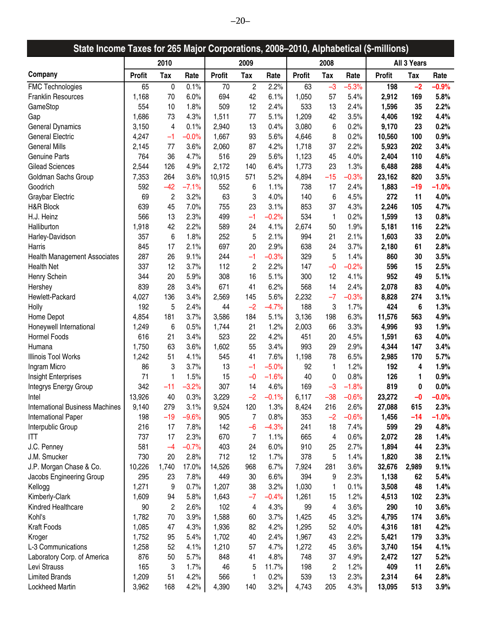| State Income Taxes for 265 Major Corporations, 2008-2010, Alphabetical (\$-millions) |               |                |         |               |                |         |               |                         |         |               |             |          |
|--------------------------------------------------------------------------------------|---------------|----------------|---------|---------------|----------------|---------|---------------|-------------------------|---------|---------------|-------------|----------|
|                                                                                      |               | 2010           |         |               | 2009           |         |               | 2008                    |         |               | All 3 Years |          |
| Company                                                                              | <b>Profit</b> | <b>Tax</b>     | Rate    | <b>Profit</b> | Tax            | Rate    | <b>Profit</b> | <b>Tax</b>              | Rate    | <b>Profit</b> | Tax         | Rate     |
| <b>FMC Technologies</b>                                                              | 65            | 0              | 0.1%    | 70            | $\overline{c}$ | 2.2%    | 63            | $-3$                    | $-5.3%$ | 198           | $-2$        | $-0.9%$  |
| <b>Franklin Resources</b>                                                            | 1,168         | 70             | 6.0%    | 694           | 42             | 6.1%    | 1,050         | 57                      | 5.4%    | 2,912         | 169         | 5.8%     |
| GameStop                                                                             | 554           | 10             | 1.8%    | 509           | 12             | 2.4%    | 533           | 13                      | 2.4%    | 1,596         | 35          | 2.2%     |
| Gap                                                                                  | 1,686         | 73             | 4.3%    | 1,511         | 77             | 5.1%    | 1,209         | 42                      | 3.5%    | 4,406         | 192         | 4.4%     |
| <b>General Dynamics</b>                                                              | 3,150         | 4              | 0.1%    | 2,940         | 13             | 0.4%    | 3,080         | 6                       | 0.2%    | 9,170         | 23          | 0.2%     |
| <b>General Electric</b>                                                              | 4,247         | $-1$           | $-0.0%$ | 1,667         | 93             | 5.6%    | 4,646         | 8                       | 0.2%    | 10,560        | 100         | 0.9%     |
| <b>General Mills</b>                                                                 | 2,145         | 77             | 3.6%    | 2,060         | 87             | 4.2%    | 1,718         | 37                      | 2.2%    | 5,923         | 202         | 3.4%     |
| <b>Genuine Parts</b>                                                                 | 764           | 36             | 4.7%    | 516           | 29             | 5.6%    | 1,123         | 45                      | 4.0%    | 2,404         | 110         | 4.6%     |
| <b>Gilead Sciences</b>                                                               | 2,544         | 126            | 4.9%    | 2,172         | 140            | 6.4%    | 1,773         | 23                      | 1.3%    | 6,488         | 288         | 4.4%     |
| Goldman Sachs Group                                                                  | 7,353         | 264            | 3.6%    | 10,915        | 571            | 5.2%    | 4,894         | $-15$                   | $-0.3%$ | 23,162        | 820         | 3.5%     |
| Goodrich                                                                             | 592           | $-42$          | $-7.1%$ | 552           | 6              | 1.1%    | 738           | 17                      | 2.4%    | 1,883         | $-19$       | $-1.0%$  |
| Graybar Electric                                                                     | 69            | $\overline{c}$ | 3.2%    | 63            | 3              | 4.0%    | 140           | 6                       | 4.5%    | 272           | 11          | 4.0%     |
| H&R Block                                                                            | 639           | 45             | 7.0%    | 755           | 23             | 3.1%    | 853           | 37                      | 4.3%    | 2,246         | 105         | 4.7%     |
| H.J. Heinz                                                                           | 566           | 13             | 2.3%    | 499           | $-1$           | $-0.2%$ | 534           | $\mathbf{1}$            | 0.2%    | 1,599         | 13          | 0.8%     |
|                                                                                      |               |                |         |               |                |         |               |                         |         |               |             |          |
| Halliburton                                                                          | 1,918         | 42             | 2.2%    | 589           | 24             | 4.1%    | 2,674         | 50                      | 1.9%    | 5,181         | 116         | 2.2%     |
| Harley-Davidson                                                                      | 357           | 6              | 1.8%    | 252           | 5              | 2.1%    | 994           | 21                      | 2.1%    | 1,603         | 33          | 2.0%     |
| Harris                                                                               | 845           | 17             | 2.1%    | 697           | 20             | 2.9%    | 638           | 24                      | 3.7%    | 2,180         | 61          | 2.8%     |
| Health Management Associates                                                         | 287           | 26             | 9.1%    | 244           | $-1$           | $-0.3%$ | 329           | 5                       | 1.4%    | 860           | 30          | 3.5%     |
| <b>Health Net</b>                                                                    | 337           | 12             | 3.7%    | 112           | $\overline{c}$ | 2.2%    | 147           | $-0$                    | $-0.2%$ | 596           | 15          | 2.5%     |
| Henry Schein                                                                         | 344           | 20             | 5.9%    | 308           | 16             | 5.1%    | 300           | 12                      | 4.1%    | 952           | 49          | 5.1%     |
| Hershey                                                                              | 839           | 28             | 3.4%    | 671           | 41             | 6.2%    | 568           | 14                      | 2.4%    | 2,078         | 83          | 4.0%     |
| Hewlett-Packard                                                                      | 4,027         | 136            | 3.4%    | 2,569         | 145            | 5.6%    | 2,232         | $-7$                    | $-0.3%$ | 8,828         | 274         | 3.1%     |
| Holly                                                                                | 192           | 5              | 2.4%    | 44            | $-2$           | $-4.7%$ | 188           | 3                       | 1.7%    | 424           | 6           | 1.3%     |
| Home Depot                                                                           | 4,854         | 181            | 3.7%    | 3,586         | 184            | 5.1%    | 3,136         | 198                     | 6.3%    | 11,576        | 563         | 4.9%     |
| Honeywell International                                                              | 1,249         | 6              | 0.5%    | 1,744         | 21             | 1.2%    | 2,003         | 66                      | 3.3%    | 4,996         | 93          | 1.9%     |
| Hormel Foods                                                                         | 616           | 21             | 3.4%    | 523           | 22             | 4.2%    | 451           | 20                      | 4.5%    | 1,591         | 63          | 4.0%     |
| Humana                                                                               | 1,750         | 63             | 3.6%    | 1,602         | 55             | 3.4%    | 993           | 29                      | 2.9%    | 4,344         | 147         | 3.4%     |
| Illinois Tool Works                                                                  | 1,242         | 51             | 4.1%    | 545           | 41             | 7.6%    | 1,198         | 78                      | 6.5%    | 2,985         | 170         | 5.7%     |
| Ingram Micro                                                                         | 86            | 3              | 3.7%    | 13            | $-1$           | $-5.0%$ | 92            | $\mathbf{1}$            | 1.2%    | 192           | 4           | 1.9%     |
| Insight Enterprises                                                                  | 71            | 1              | 1.5%    | 15            | $-0$           | $-1.6%$ | 40            | 0                       | 0.8%    | 126           | 1           | 0.9%     |
| Integrys Energy Group                                                                | 342           | $-11$          | $-3.2%$ | 307           | 14             | 4.6%    | 169           | $-3$                    | $-1.8%$ | 819           | 0           | 0.0%     |
| Intel                                                                                | 13,926        | 40             | 0.3%    | 3,229         | $-2$           | $-0.1%$ | 6,117         | $-38$                   | $-0.6%$ | 23,272        | -0          | $-0.0\%$ |
| <b>International Business Machines</b>                                               | 9,140         | 279            | 3.1%    | 9,524         | 120            | 1.3%    | 8,424         | 216                     | 2.6%    | 27,088        | 615         | 2.3%     |
| International Paper                                                                  | 198           | $-19$          | $-9.6%$ | 905           | 7              | 0.8%    | 353           | $-2$                    | $-0.6%$ | 1,456         | $-14$       | $-1.0%$  |
| Interpublic Group                                                                    | 216           | 17             | 7.8%    | 142           | $-6$           | $-4.3%$ | 241           | 18                      | 7.4%    | 599           | 29          | 4.8%     |
| ITT                                                                                  | 737           | 17             | 2.3%    | 670           | 7              | 1.1%    | 665           | 4                       | 0.6%    | 2,072         | 28          | 1.4%     |
| J.C. Penney                                                                          | 581           | $-4$           | $-0.7%$ | 403           | 24             | 6.0%    | 910           | 25                      | 2.7%    | 1,894         | 44          | 2.3%     |
| J.M. Smucker                                                                         | 730           | 20             | 2.8%    | 712           | 12             | 1.7%    | 378           | 5                       | 1.4%    | 1,820         | 38          | 2.1%     |
| J.P. Morgan Chase & Co.                                                              | 10,226        | 1,740          | 17.0%   | 14,526        | 968            | 6.7%    | 7,924         | 281                     | 3.6%    | 32,676        | 2,989       | 9.1%     |
| Jacobs Engineering Group                                                             | 295           | 23             | 7.8%    | 449           | 30             | 6.6%    | 394           | 9                       | 2.3%    | 1,138         | 62          | 5.4%     |
| Kellogg                                                                              | 1,271         | 9              | 0.7%    | 1,207         | 38             | 3.2%    | 1,030         | 1                       | 0.1%    | 3,508         | 48          | 1.4%     |
| Kimberly-Clark                                                                       | 1,609         | 94             | 5.8%    | 1,643         | $-7$           | $-0.4%$ | 1,261         | 15                      | 1.2%    | 4,513         | 102         | 2.3%     |
| Kindred Healthcare                                                                   | 90            | 2              | 2.6%    | 102           | 4              | 4.3%    | 99            | 4                       | 3.6%    | 290           | 10          | 3.6%     |
| Kohl's                                                                               | 1,782         | 70             | 3.9%    | 1,588         | 60             | 3.7%    | 1,425         | 45                      | 3.2%    | 4,795         | 174         | 3.6%     |
| <b>Kraft Foods</b>                                                                   | 1,085         | 47             | 4.3%    | 1,936         | 82             | 4.2%    | 1,295         | 52                      | 4.0%    | 4,316         | 181         | 4.2%     |
| Kroger                                                                               | 1,752         | 95             | 5.4%    | 1,702         | 40             | 2.4%    | 1,967         | 43                      | 2.2%    | 5,421         | 179         | 3.3%     |
| L-3 Communications                                                                   | 1,258         | 52             | 4.1%    | 1,210         | 57             | 4.7%    | 1,272         | 45                      | 3.6%    | 3,740         | 154         | 4.1%     |
|                                                                                      | 876           | 50             | 5.7%    |               | 41             | 4.8%    | 748           | 37                      | 4.9%    |               |             |          |
| Laboratory Corp. of America                                                          |               |                |         | 848           |                |         |               |                         |         | 2,472         | 127         | 5.2%     |
| Levi Strauss                                                                         | 165           | 3              | 1.7%    | 46            | 5              | 11.7%   | 198           | $\overline{\mathbf{c}}$ | 1.2%    | 409           | 11          | 2.6%     |
| <b>Limited Brands</b>                                                                | 1,209         | 51             | 4.2%    | 566           | 1              | 0.2%    | 539           | 13                      | 2.3%    | 2,314         | 64          | 2.8%     |
| Lockheed Martin                                                                      | 3,962         | 168            | 4.2%    | 4,390         | 140            | 3.2%    | 4,743         | 205                     | 4.3%    | 13,095        | 513         | 3.9%     |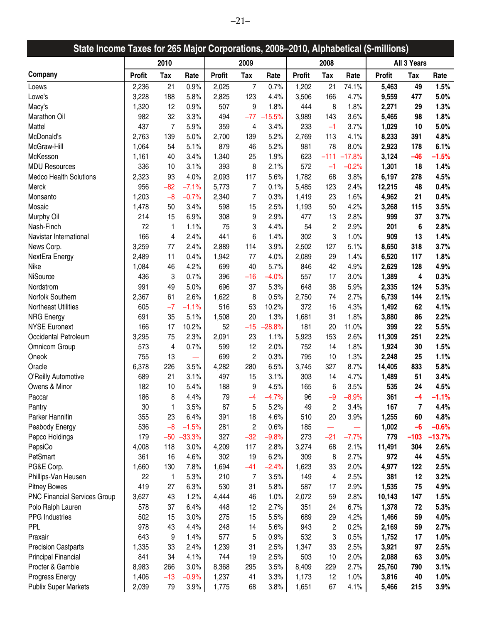| State Income Taxes for 265 Major Corporations, 2008-2010, Alphabetical (\$-millions) |               |            |          |               |                |          |               |                |          |               |             |          |
|--------------------------------------------------------------------------------------|---------------|------------|----------|---------------|----------------|----------|---------------|----------------|----------|---------------|-------------|----------|
|                                                                                      |               | 2010       |          |               | 2009           |          |               | 2008           |          |               | All 3 Years |          |
| Company                                                                              | <b>Profit</b> | <b>Tax</b> | Rate     | <b>Profit</b> | Tax            | Rate     | <b>Profit</b> | Tax            | Rate     | <b>Profit</b> | Tax         | Rate     |
| Loews                                                                                | 2,236         | 21         | 0.9%     | 2,025         | $\overline{7}$ | 0.7%     | 1,202         | 21             | 74.1%    | 5,463         | 49          | 1.5%     |
| Lowe's                                                                               | 3,228         | 188        | 5.8%     | 2,825         | 123            | 4.4%     | 3,506         | 166            | 4.7%     | 9,559         | 477         | 5.0%     |
| Macy's                                                                               | 1,320         | 12         | 0.9%     | 507           | 9              | 1.8%     | 444           | 8              | 1.8%     | 2,271         | 29          | 1.3%     |
| Marathon Oil                                                                         | 982           | 32         | 3.3%     | 494           | $-77$          | $-15.5%$ | 3,989         | 143            | 3.6%     | 5,465         | 98          | 1.8%     |
| Mattel                                                                               | 437           | 7          | 5.9%     | 359           | 4              | 3.4%     | 233           | $-1$           | 3.7%     | 1,029         | 10          | 5.0%     |
| McDonald's                                                                           | 2,763         | 139        | 5.0%     | 2,700         | 139            | 5.2%     | 2,769         | 113            | 4.1%     | 8,233         | 391         | 4.8%     |
| McGraw-Hill                                                                          | 1,064         | 54         | 5.1%     | 879           | 46             | 5.2%     | 981           | 78             | 8.0%     | 2,923         | 178         | 6.1%     |
| McKesson                                                                             | 1,161         | 40         | 3.4%     | 1,340         | 25             | 1.9%     | 623           | $-111$         | $-17.8%$ | 3,124         | $-46$       | $-1.5%$  |
| <b>MDU Resources</b>                                                                 | 336           | 10         | 3.1%     | 393           | 8              | 2.1%     | 572           | $-1$           | $-0.2%$  | 1,301         | 18          | 1.4%     |
| <b>Medco Health Solutions</b>                                                        | 2,323         | 93         | 4.0%     | 2,093         | 117            | 5.6%     | 1,782         | 68             | 3.8%     | 6,197         | 278         | 4.5%     |
| Merck                                                                                | 956           | $-82$      | $-7.1%$  | 5,773         | $\overline{7}$ | 0.1%     | 5,485         | 123            | 2.4%     | 12,215        | 48          | 0.4%     |
| Monsanto                                                                             | 1,203         | $-8$       | $-0.7%$  | 2,340         | $\overline{7}$ | 0.3%     | 1,419         | 23             | 1.6%     | 4,962         | 21          | 0.4%     |
| Mosaic                                                                               | 1,478         | 50         | 3.4%     | 598           | 15             | 2.5%     | 1,193         | 50             | 4.2%     | 3,268         | 115         | 3.5%     |
| Murphy Oil                                                                           | 214           | 15         | 6.9%     | 308           | 9              | 2.9%     | 477           | 13             | 2.8%     | 999           | 37          | 3.7%     |
| Nash-Finch                                                                           | 72            | 1          | 1.1%     | 75            | 3              | 4.4%     | 54            | $\overline{c}$ | 2.9%     | 201           | 6           | 2.8%     |
| Navistar International                                                               | 166           | 4          | 2.4%     | 441           | 6              | 1.4%     | 302           | 3              | 1.0%     | 909           | 13          | 1.4%     |
| News Corp.                                                                           | 3,259         | 77         | 2.4%     | 2,889         | 114            | 3.9%     | 2,502         | 127            | 5.1%     | 8,650         | 318         | 3.7%     |
| NextEra Energy                                                                       | 2,489         | 11         | 0.4%     | 1,942         | 77             | 4.0%     | 2,089         | 29             | 1.4%     | 6,520         | 117         | 1.8%     |
| Nike                                                                                 | 1,084         | 46         | 4.2%     | 699           | 40             | 5.7%     | 846           | 42             | 4.9%     | 2,629         | 128         | 4.9%     |
| NiSource                                                                             | 436           | 3          | 0.7%     | 396           | $-16$          | $-4.0%$  | 557           | 17             | 3.0%     | 1,389         | 4           | 0.3%     |
| Nordstrom                                                                            | 991           | 49         | 5.0%     | 696           | 37             | 5.3%     | 648           | 38             | 5.9%     | 2,335         | 124         | 5.3%     |
| Norfolk Southern                                                                     |               | 61         | 2.6%     |               | 8              | 0.5%     |               | 74             | 2.7%     | 6,739         | 144         | 2.1%     |
|                                                                                      | 2,367         | $-7$       |          | 1,622         |                |          | 2,750         |                |          |               |             |          |
| Northeast Utilities                                                                  | 605           |            | $-1.1%$  | 516           | 53             | 10.2%    | 372           | 16             | 4.3%     | 1,492         | 62          | 4.1%     |
| <b>NRG Energy</b>                                                                    | 691           | 35         | 5.1%     | 1,508         | 20             | 1.3%     | 1,681         | 31             | 1.8%     | 3,880         | 86          | 2.2%     |
| <b>NYSE Euronext</b>                                                                 | 166           | 17         | 10.2%    | 52            | $-15$          | $-28.8%$ | 181           | 20             | 11.0%    | 399           | 22          | 5.5%     |
| Occidental Petroleum                                                                 | 3,295         | 75         | 2.3%     | 2,091         | 23             | 1.1%     | 5,923         | 153            | 2.6%     | 11,309        | 251         | 2.2%     |
| Omnicom Group                                                                        | 573           | 4          | 0.7%     | 599           | 12             | 2.0%     | 752           | 14             | 1.8%     | 1,924         | 30          | 1.5%     |
| Oneok                                                                                | 755           | 13         |          | 699           | $\overline{c}$ | 0.3%     | 795           | 10             | 1.3%     | 2,248         | 25          | 1.1%     |
| Oracle                                                                               | 6,378         | 226        | 3.5%     | 4,282         | 280            | 6.5%     | 3,745         | 327            | 8.7%     | 14,405        | 833         | 5.8%     |
| O'Reilly Automotive                                                                  | 689           | 21         | 3.1%     | 497           | 15             | 3.1%     | 303           | 14             | 4.7%     | 1,489         | 51          | 3.4%     |
| Owens & Minor                                                                        | 182           | 10         | 5.4%     | 188           | 9              | 4.5%     | 165           | 6              | 3.5%     | 535           | 24          | 4.5%     |
| Paccar                                                                               | 186           | 8          | 4.4%     | 79            | -4             | $-4.7%$  | 96            | -9             | $-8.9%$  | 361           | -4          | $-1.1\%$ |
| Pantry                                                                               | 30            | 1          | 3.5%     | 87            | 5              | 5.2%     | 49            | $\overline{c}$ | 3.4%     | 167           | 7           | 4.4%     |
| Parker Hannifin                                                                      | 355           | 23         | 6.4%     | 391           | 18             | 4.6%     | 510           | 20             | 3.9%     | 1,255         | 60          | 4.8%     |
| Peabody Energy                                                                       | 536           | $-8$       | $-1.5%$  | 281           | $\overline{c}$ | 0.6%     | 185           | -              |          | 1,002         | $-6$        | $-0.6%$  |
| Pepco Holdings                                                                       | 179           | $-50$      | $-33.3%$ | 327           | $-32$          | $-9.8%$  | 273           | $-21$          | $-7.7%$  | 779           | $-103$      | $-13.7%$ |
| PepsiCo                                                                              | 4,008         | 118        | 3.0%     | 4,209         | 117            | 2.8%     | 3,274         | 68             | 2.1%     | 11,491        | 304         | 2.6%     |
| PetSmart                                                                             | 361           | 16         | 4.6%     | 302           | 19             | 6.2%     | 309           | 8              | 2.7%     | 972           | 44          | 4.5%     |
| PG&E Corp.                                                                           | 1,660         | 130        | 7.8%     | 1,694         | $-41$          | $-2.4%$  | 1,623         | 33             | 2.0%     | 4,977         | 122         | 2.5%     |
| Phillips-Van Heusen                                                                  | 22            | 1          | 5.3%     | 210           | 7              | 3.5%     | 149           | 4              | 2.5%     | 381           | 12          | 3.2%     |
| <b>Pitney Bowes</b>                                                                  | 419           | 27         | 6.3%     | 530           | 31             | 5.8%     | 587           | 17             | 2.9%     | 1,535         | 75          | 4.9%     |
| <b>PNC Financial Services Group</b>                                                  | 3,627         | 43         | 1.2%     | 4,444         | 46             | 1.0%     | 2,072         | 59             | 2.8%     | 10,143        | 147         | 1.5%     |
| Polo Ralph Lauren                                                                    | 578           | 37         | 6.4%     | 448           | 12             | 2.7%     | 351           | 24             | 6.7%     | 1,378         | 72          | 5.3%     |
| PPG Industries                                                                       | 502           | 15         | 3.0%     | 275           | 15             | 5.5%     | 689           | 29             | 4.2%     | 1,466         | 59          | 4.0%     |
| <b>PPL</b>                                                                           | 978           | 43         | 4.4%     | 248           | 14             | 5.6%     | 943           | $\overline{c}$ | 0.2%     | 2,169         | 59          | 2.7%     |
| Praxair                                                                              | 643           | 9          | 1.4%     | 577           | 5              | 0.9%     | 532           | 3              | 0.5%     | 1,752         | 17          | 1.0%     |
| <b>Precision Castparts</b>                                                           | 1,335         | 33         | 2.4%     | 1,239         | 31             | 2.5%     | 1,347         | 33             | 2.5%     | 3,921         | 97          | 2.5%     |
| Principal Financial                                                                  | 841           | 34         | 4.1%     | 744           | 19             | 2.5%     | 503           | 10             | 2.0%     | 2,088         | 63          | 3.0%     |
| Procter & Gamble                                                                     | 8,983         | 266        | 3.0%     | 8,368         | 295            | 3.5%     | 8,409         | 229            | 2.7%     | 25,760        | 790         | 3.1%     |
| Progress Energy                                                                      | 1,406         | $-13$      | $-0.9%$  | 1,237         | 41             | 3.3%     | 1,173         | 12             | 1.0%     | 3,816         | 40          | 1.0%     |
| <b>Publix Super Markets</b>                                                          | 2,039         | 79         | 3.9%     | 1,775         | 68             | 3.8%     | 1,651         | 67             | 4.1%     | 5,466         | 215         | 3.9%     |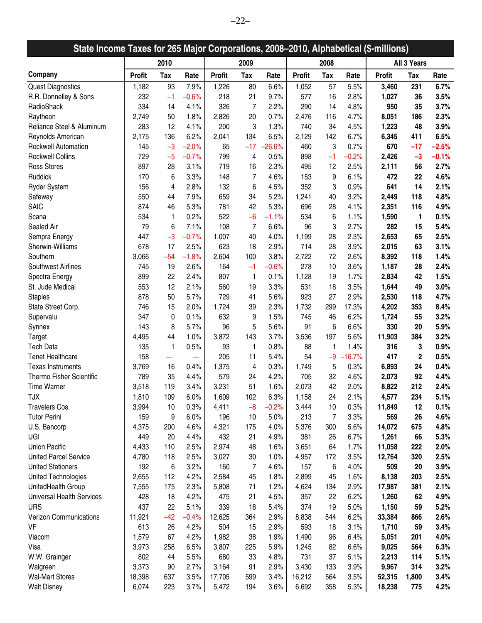| State Income Taxes for 265 Major Corporations, 2008-2010, Alphabetical (\$-millions) |               |       |         |               |                         |          |               |            |          |               |             |         |
|--------------------------------------------------------------------------------------|---------------|-------|---------|---------------|-------------------------|----------|---------------|------------|----------|---------------|-------------|---------|
|                                                                                      |               | 2010  |         |               | 2009                    |          |               | 2008       |          |               | All 3 Years |         |
| Company                                                                              | <b>Profit</b> | Tax   | Rate    | <b>Profit</b> | <b>Tax</b>              | Rate     | <b>Profit</b> | <b>Tax</b> | Rate     | <b>Profit</b> | Tax         | Rate    |
| <b>Quest Diagnostics</b>                                                             | 1,182         | 93    | 7.9%    | 1,226         | 80                      | 6.6%     | 1,052         | 57         | 5.5%     | 3,460         | 231         | 6.7%    |
| R.R. Donnelley & Sons                                                                | 232           | $-1$  | $-0.6%$ | 218           | 21                      | 9.7%     | 577           | 16         | 2.8%     | 1,027         | 36          | 3.5%    |
| RadioShack                                                                           | 334           | 14    | 4.1%    | 326           | 7                       | 2.2%     | 290           | 14         | 4.8%     | 950           | 35          | 3.7%    |
| Raytheon                                                                             | 2,749         | 50    | 1.8%    | 2,826         | 20                      | 0.7%     | 2,476         | 116        | 4.7%     | 8,051         | 186         | 2.3%    |
| Reliance Steel & Aluminum                                                            | 283           | 12    | 4.1%    | 200           | 3                       | 1.3%     | 740           | 34         | 4.5%     | 1,223         | 48          | 3.9%    |
| Reynolds American                                                                    | 2,175         | 136   | 6.2%    | 2,041         | 134                     | 6.5%     | 2,129         | 142        | 6.7%     | 6,345         | 411         | 6.5%    |
| Rockwell Automation                                                                  | 145           | $-3$  | $-2.0%$ | 65            | $-17$                   | $-26.6%$ | 460           | 3          | 0.7%     | 670           | $-17$       | $-2.5%$ |
| <b>Rockwell Collins</b>                                                              | 729           | $-5$  | $-0.7%$ | 799           | 4                       | 0.5%     | 898           | $-1$       | $-0.2%$  | 2,426         | $-3$        | $-0.1%$ |
| <b>Ross Stores</b>                                                                   | 897           | 28    | 3.1%    | 719           | 16                      | 2.3%     | 495           | 12         | 2.5%     | 2,111         | 56          | 2.7%    |
| Ruddick                                                                              | 170           | 6     | 3.3%    | 148           | $\overline{7}$          | 4.6%     | 153           | 9          | 6.1%     | 472           | 22          | 4.6%    |
| <b>Ryder System</b>                                                                  | 156           | 4     | 2.8%    | 132           | 6                       | 4.5%     | 352           | 3          | 0.9%     | 641           | 14          | 2.1%    |
| Safeway                                                                              | 550           | 44    | 7.9%    | 659           | 34                      | 5.2%     | 1,241         | 40         | 3.2%     | 2,449         | 118         | 4.8%    |
| <b>SAIC</b>                                                                          | 874           | 46    | 5.3%    | 781           | 42                      | 5.3%     | 696           | 28         | 4.1%     | 2,351         | 116         | 4.9%    |
| Scana                                                                                | 534           | 1     | 0.2%    | 522           | $-6$                    | $-1.1%$  | 534           | 6          | 1.1%     | 1,590         | 1           | 0.1%    |
| Sealed Air                                                                           | 79            | 6     | 7.1%    | 108           | 7                       | 6.6%     | 96            | 3          | 2.7%     | 282           | 15          | 5.4%    |
| Sempra Energy                                                                        | 447           | $-3$  | $-0.7%$ | 1,007         | 40                      | 4.0%     | 1,199         | 28         | 2.3%     | 2,653         | 65          | 2.5%    |
| Sherwin-Williams                                                                     | 678           | 17    | 2.5%    | 623           | 18                      | 2.9%     | 714           | 28         | 3.9%     | 2,015         | 63          | 3.1%    |
| Southern                                                                             | 3,066         | $-54$ | $-1.8%$ | 2,604         | 100                     | 3.8%     | 2,722         | 72         | 2.6%     | 8,392         | 118         | 1.4%    |
| <b>Southwest Airlines</b>                                                            | 745           | 19    | 2.6%    | 164           | $-1$                    | $-0.6%$  | 278           | 10         | 3.6%     | 1,187         | 28          | 2.4%    |
| Spectra Energy                                                                       | 899           | 22    | 2.4%    | 807           | $\mathbf{1}$            | 0.1%     | 1,128         | 19         | 1.7%     | 2,834         | 42          | 1.5%    |
| St. Jude Medical                                                                     | 553           | 12    | 2.1%    | 560           | 19                      | 3.3%     | 531           | 18         | 3.5%     | 1,644         | 49          | 3.0%    |
| <b>Staples</b>                                                                       | 878           | 50    | 5.7%    | 729           | 41                      | 5.6%     | 923           | 27         | 2.9%     | 2,530         | 118         | 4.7%    |
| State Street Corp.                                                                   | 746           | 15    | 2.0%    | 1,724         | 39                      | 2.3%     | 1,732         | 299        | 17.3%    | 4,202         | 353         | 8.4%    |
| Supervalu                                                                            | 347           | 0     | 0.1%    | 632           | 9                       | 1.5%     | 745           | 46         | 6.2%     | 1,724         | 55          | 3.2%    |
| Synnex                                                                               | 143           | 8     | 5.7%    | 96            | 5                       | 5.6%     | 91            | 6          | 6.6%     | 330           | 20          | 5.9%    |
| Target                                                                               | 4,495         | 44    | 1.0%    | 3,872         | 143                     | 3.7%     | 3,536         | 197        | 5.6%     | 11,903        | 384         | 3.2%    |
| <b>Tech Data</b>                                                                     | 135           | 1     | 0.5%    | 93            | 1                       | 0.8%     | 88            | 1          | 1.4%     | 316           | 3           | 0.9%    |
| <b>Tenet Healthcare</b>                                                              | 158           |       |         | 205           | 11                      | 5.4%     | 54            | $-9$       | $-16.7%$ | 417           | $\mathbf 2$ | 0.5%    |
| <b>Texas Instruments</b>                                                             | 3,769         | 16    | 0.4%    | 1,375         | $\overline{\mathbf{4}}$ | 0.3%     | 1,749         | 5          | 0.3%     | 6,893         | 24          | 0.4%    |
| Thermo Fisher Scientific                                                             | 789           | 35    | 4.4%    | 579           | 24                      | 4.2%     | 705           | 32         | 4.6%     | 2,073         | 92          | 4.4%    |
| <b>Time Warner</b>                                                                   | 3,518         | 119   | 3.4%    | 3,231         | 51                      | 1.6%     | 2,073         | 42         | 2.0%     | 8,822         | 212         | 2.4%    |
| TJX                                                                                  | 1,810         | 109   | $6.0\%$ | 1,609         | 102                     | 6.3%     | 1,158         | 24         | 2.1%     | 4,577         | 234         | 5.1%    |
| Travelers Cos.                                                                       | 3,994         | 10    | 0.3%    | 4,411         | $-8$                    | $-0.2%$  | 3,444         | 10         | 0.3%     | 11,849        | 12          | 0.1%    |
| <b>Tutor Perini</b>                                                                  | 159           | 9     | 6.0%    | 196           | 10                      | 5.0%     | 213           | 7          | 3.3%     | 569           | 26          | 4.6%    |
| U.S. Bancorp                                                                         | 4,375         | 200   | 4.6%    | 4,321         | 175                     | 4.0%     | 5,376         | 300        | 5.6%     | 14,072        | 675         | 4.8%    |
| UGI                                                                                  | 449           | 20    | 4.4%    | 432           | 21                      | 4.9%     | 381           | 26         | 6.7%     | 1,261         | 66          | 5.3%    |
| <b>Union Pacific</b>                                                                 | 4,433         | 110   | 2.5%    | 2,974         | 48                      | 1.6%     | 3,651         | 64         | 1.7%     | 11,058        | 222         | 2.0%    |
| <b>United Parcel Service</b>                                                         | 4,780         | 118   | 2.5%    | 3,027         | 30                      | 1.0%     | 4,957         | 172        | 3.5%     | 12,764        | 320         | 2.5%    |
| <b>United Stationers</b>                                                             | 192           | 6     | 3.2%    | 160           | $\overline{7}$          | 4.6%     | 157           | 6          | 4.0%     | 509           | 20          | 3.9%    |
| United Technologies                                                                  | 2,655         | 112   | 4.2%    | 2,584         | 45                      | 1.8%     | 2,899         | 45         | 1.6%     | 8,138         | 203         | 2.5%    |
| UnitedHealth Group                                                                   | 7,555         | 175   | 2.3%    | 5,808         | 71                      | 1.2%     | 4,624         | 134        | 2.9%     | 17,987        | 381         | 2.1%    |
| <b>Universal Health Services</b>                                                     | 428           | 18    | 4.2%    | 475           | 21                      | 4.5%     | 357           | 22         | 6.2%     | 1,260         | 62          | 4.9%    |
| <b>URS</b>                                                                           | 437           | 22    | 5.1%    | 339           | 18                      | 5.4%     | 374           | 19         | 5.0%     | 1,150         | 59          | 5.2%    |
| Verizon Communications                                                               | 11,921        | $-42$ | $-0.4%$ | 12,625        | 364                     | 2.9%     | 8,838         | 544        | 6.2%     | 33,384        | 866         | 2.6%    |
| VF                                                                                   | 613           | 26    | 4.2%    | 504           | 15                      | 2.9%     | 593           | 18         | 3.1%     | 1,710         | 59          | 3.4%    |
| Viacom                                                                               | 1,579         | 67    | 4.2%    | 1,982         | 38                      | 1.9%     | 1,490         | 96         | 6.4%     | 5,051         | 201         | 4.0%    |
| Visa                                                                                 | 3,973         | 258   | 6.5%    | 3,807         | 225                     | 5.9%     | 1,245         | 82         | 6.6%     | 9,025         | 564         | 6.3%    |
| W.W. Grainger                                                                        | 802           | 44    | 5.5%    | 680           | 33                      | 4.8%     | 731           | 37         | 5.1%     | 2,213         | 114         | 5.1%    |
| Walgreen                                                                             | 3,373         | 90    | 2.7%    | 3,164         | 91                      | 2.9%     | 3,430         | 133        | 3.9%     | 9,967         | 314         | 3.2%    |
| <b>Wal-Mart Stores</b>                                                               | 18,398        | 637   | 3.5%    | 17,705        | 599                     | 3.4%     | 16,212        | 564        | 3.5%     | 52,315        | 1,800       | 3.4%    |
| <b>Walt Disney</b>                                                                   | 6,074         | 223   | 3.7%    | 5,472         | 194                     | 3.6%     | 6,692         | 358        | 5.3%     | 18,238        | 775         | 4.2%    |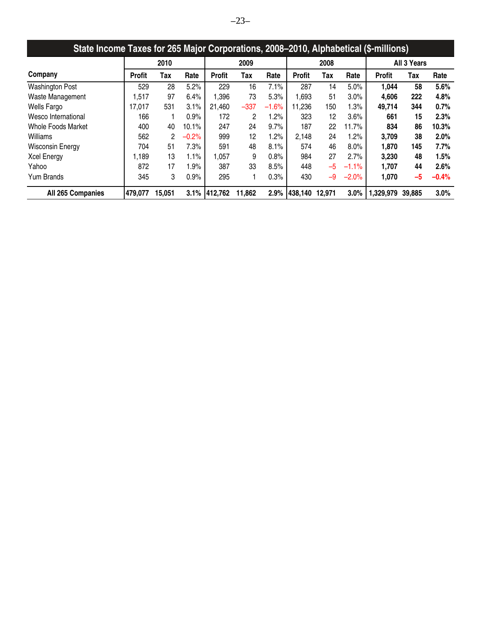| State Income Taxes for 265 Major Corporations, 2008–2010, Alphabetical (\$-millions) |               |        |         |               |                |         |               |        |         |               |             |         |
|--------------------------------------------------------------------------------------|---------------|--------|---------|---------------|----------------|---------|---------------|--------|---------|---------------|-------------|---------|
|                                                                                      |               | 2010   |         |               | 2009           |         |               | 2008   |         |               | All 3 Years |         |
| Company                                                                              | <b>Profit</b> | Tax    | Rate    | <b>Profit</b> | Tax            | Rate    | <b>Profit</b> | Tax    | Rate    | <b>Profit</b> | Tax         | Rate    |
| <b>Washington Post</b>                                                               | 529           | 28     | 5.2%    | 229           | 16             | 7.1%    | 287           | 14     | 5.0%    | 1,044         | 58          | 5.6%    |
| Waste Management                                                                     | .517          | 97     | 6.4%    | 1,396         | 73             | 5.3%    | 1,693         | 51     | 3.0%    | 4,606         | 222         | 4.8%    |
| <b>Wells Fargo</b>                                                                   | 17.017        | 531    | 3.1%    | 21,460        | $-337$         | $-1.6%$ | 11,236        | 150    | 1.3%    | 49,714        | 344         | 0.7%    |
| Wesco International                                                                  | 166           |        | 0.9%    | 172           | $\overline{2}$ | 1.2%    | 323           | 12     | 3.6%    | 661           | 15          | 2.3%    |
| <b>Whole Foods Market</b>                                                            | 400           | 40     | 10.1%   | 247           | 24             | 9.7%    | 187           | 22     | 11.7%   | 834           | 86          | 10.3%   |
| Williams                                                                             | 562           | 2      | $-0.2%$ | 999           | 12             | 1.2%    | 2.148         | 24     | 1.2%    | 3,709         | 38          | 2.0%    |
| <b>Wisconsin Energy</b>                                                              | 704           | 51     | 7.3%    | 591           | 48             | 8.1%    | 574           | 46     | 8.0%    | 1,870         | 145         | 7.7%    |
| <b>Xcel Energy</b>                                                                   | 1,189         | 13     | 1.1%    | 1,057         | 9              | 0.8%    | 984           | 27     | 2.7%    | 3,230         | 48          | 1.5%    |
| Yahoo                                                                                | 872           | 17     | 1.9%    | 387           | 33             | 8.5%    | 448           | $-5$   | $-1.1%$ | 1,707         | 44          | 2.6%    |
| Yum Brands                                                                           | 345           | 3      | 0.9%    | 295           |                | 0.3%    | 430           | $-9$   | $-2.0%$ | 1,070         | $-5$        | $-0.4%$ |
| All 265 Companies                                                                    | 479,077       | 15,051 | 3.1%    | 412,762       | 11,862         | 2.9%    | 438,140       | 12,971 | 3.0%    | 1,329,979     | 39,885      | 3.0%    |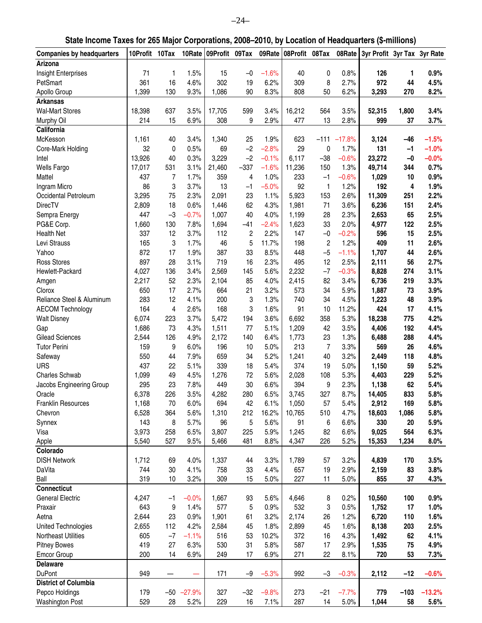| Arizona<br>Insight Enterprises<br>71<br>1.5%<br>15<br>$-1.6%$<br>40<br>0.8%<br>0.9%<br>1<br>$-0$<br>0<br>126<br>1<br>302<br>2.7%<br>972<br>44<br>PetSmart<br>361<br>16<br>4.6%<br>19<br>6.2%<br>309<br>8<br>4.5%<br>1,399<br>130<br>9.3%<br>1,086<br>90<br>8.3%<br>808<br>50<br>6.2%<br>3,293<br>270<br>8.2%<br>Apollo Group<br><b>Arkansas</b><br><b>Wal-Mart Stores</b><br>18,398<br>637<br>3.5%<br>17,705<br>599<br>3.4%<br>16,212<br>564<br>3.5%<br>52,315<br>1,800<br>3.4%<br>214<br>15<br>6.9%<br>308<br>9<br>2.9%<br>477<br>13<br>2.8%<br>999<br>37<br>3.7%<br>Murphy Oil<br>California<br>McKesson<br>3.4%<br>1,340<br>1.9%<br>623<br>$-17.8%$<br>$-1.5%$<br>1,161<br>40<br>25<br>$-111$<br>3,124<br>$-46$<br>32<br>$-2.8%$<br>29<br>$-1.0%$<br>0<br>0.5%<br>69<br>$-2$<br>0<br>1.7%<br>131<br>$-1$<br>Core-Mark Holding<br>13,926<br>40<br>0.3%<br>3,229<br>$-2$<br>$-0.1%$<br>6,117<br>$-38$<br>$-0.6%$<br>23,272<br>$-0.0%$<br>Intel<br>$-0$<br><b>Wells Fargo</b><br>17,017<br>531<br>3.1%<br>21,460<br>$-337$<br>$-1.6%$<br>11,236<br>1.3%<br>49,714<br>344<br>0.7%<br>150<br>Mattel<br>437<br>7<br>1.7%<br>359<br>1.0%<br>233<br>$-1$<br>$-0.6%$<br>1,029<br>10<br>0.9%<br>4<br>3<br>13<br>Ingram Micro<br>86<br>3.7%<br>$-5.0%$<br>92<br>1.2%<br>192<br>4<br>1.9%<br>$-1$<br>1<br>Occidental Petroleum<br>3,295<br>2.3%<br>2,091<br>23<br>1.1%<br>5,923<br>153<br>2.6%<br>11,309<br>251<br>2.2%<br>75<br><b>DirecTV</b><br>2,809<br>18<br>0.6%<br>1,446<br>62<br>4.3%<br>1,981<br>71<br>3.6%<br>6,236<br>151<br>2.4%<br>$-3$<br>1,007<br>447<br>$-0.7%$<br>40<br>4.0%<br>1,199<br>28<br>2.3%<br>2,653<br>65<br>2.5%<br>Sempra Energy<br>PG&E Corp.<br>1,660<br>130<br>7.8%<br>1,694<br>$-41$<br>$-2.4%$<br>1,623<br>33<br>2.0%<br>4,977<br>122<br>2.5%<br><b>Health Net</b><br>337<br>12<br>3.7%<br>112<br>2<br>2.2%<br>147<br>$-0$<br>$-0.2%$<br>596<br>15<br>2.5%<br>3<br>5<br>409<br>Levi Strauss<br>165<br>1.7%<br>46<br>11.7%<br>198<br>2<br>1.2%<br>11<br>2.6%<br>$-5$<br>Yahoo<br>872<br>17<br>1.9%<br>387<br>33<br>8.5%<br>448<br>$-1.1%$<br>1,707<br>44<br>2.6%<br><b>Ross Stores</b><br>897<br>28<br>3.1%<br>719<br>16<br>2.3%<br>495<br>12<br>2.5%<br>2,111<br>56<br>2.7%<br>$-7$<br>Hewlett-Packard<br>4,027<br>3.4%<br>2,569<br>5.6%<br>2,232<br>$-0.3%$<br>8,828<br>274<br>3.1%<br>136<br>145<br>2,217<br>52<br>2.3%<br>2,104<br>85<br>4.0%<br>2,415<br>82<br>3.4%<br>6,736<br>219<br>3.3%<br>Amgen<br>650<br>17<br>2.7%<br>664<br>21<br>3.2%<br>573<br>34<br>5.9%<br>1,887<br>73<br>3.9%<br>Clorox<br>3<br>Reliance Steel & Aluminum<br>283<br>12<br>4.1%<br>200<br>1.3%<br>740<br>34<br>4.5%<br>1,223<br>48<br>3.9%<br>424<br>164<br>4<br>2.6%<br>168<br>3<br>1.6%<br>91<br>10<br>11.2%<br>17<br>4.1%<br><b>AECOM Technology</b><br>6,074<br>223<br>3.7%<br>5,472<br>194<br>3.6%<br>6,692<br>358<br>5.3%<br>18,238<br>775<br>4.2%<br><b>Walt Disney</b><br>1,686<br>73<br>4.3%<br>1,511<br>77<br>5.1%<br>1,209<br>42<br>3.5%<br>4,406<br>192<br>4.4%<br>Gap<br><b>Gilead Sciences</b><br>2,544<br>126<br>4.9%<br>2,172<br>140<br>6.4%<br>1,773<br>23<br>1.3%<br>6,488<br>288<br>4.4%<br>213<br>$\overline{7}$<br><b>Tutor Perini</b><br>159<br>9<br>6.0%<br>196<br>10<br>5.0%<br>3.3%<br>569<br>26<br>4.6%<br>550<br>7.9%<br>659<br>34<br>5.2%<br>1,241<br>40<br>3.2%<br>2,449<br>118<br>4.8%<br>Safeway<br>44<br><b>URS</b><br>437<br>22<br>5.1%<br>339<br>18<br>5.4%<br>374<br>19<br>5.0%<br>59<br>5.2%<br>1,150<br><b>Charles Schwab</b><br>1,099<br>49<br>4.5%<br>1,276<br>72<br>5.6%<br>2,028<br>108<br>5.3%<br>4,403<br>229<br>5.2%<br>295<br>23<br>7.8%<br>449<br>30<br>6.6%<br>394<br>9<br>2.3%<br>62<br>5.4%<br>Jacobs Engineering Group<br>1,138<br>3.5%<br>8.7%<br>6,378<br>226<br>4,282<br>280<br>6.5%<br>3,745<br>327<br>14,405<br>833<br>5.8%<br>Oracle<br>2,912<br><b>Franklin Resources</b><br>1,168<br>6.0%<br>694<br>42<br>6.1%<br>1,050<br>5.4%<br>169<br>5.8%<br>70<br>57<br>6,528<br>364<br>5.6%<br>1,310<br>212<br>16.2%<br>10,765<br>510<br>4.7%<br>18,603<br>1,086<br>5.8%<br>Chevron<br>8<br>5.7%<br>5<br>5.6%<br>91<br>6.6%<br>330<br>20<br>5.9%<br>Synnex<br>143<br>96<br>6<br>3,973<br>258<br>6.5%<br>3,807<br>225<br>5.9%<br>82<br>6.6%<br>9,025<br>564<br>6.3%<br>Visa<br>1,245<br>5,540<br>527<br>9.5%<br>481<br>8.8%<br>4,347<br>226<br>5.2%<br>15,353<br>1,234<br>8.0%<br>Apple<br>5,466<br>Colorado<br><b>DISH Network</b><br>1,712<br>4.0%<br>3.3%<br>3.2%<br>3.5%<br>69<br>1,337<br>44<br>1,789<br>57<br>4,839<br>170<br>DaVita<br>744<br>30<br>4.1%<br>758<br>33<br>4.4%<br>657<br>19<br>2.9%<br>83<br>3.8%<br>2,159<br>Ball<br>319<br>10<br>3.2%<br>309<br>5.0%<br>227<br>5.0%<br>855<br>37<br>4.3%<br>15<br>11<br><b>Connecticut</b><br><b>General Electric</b><br>$-0.0%$<br>93<br>5.6%<br>0.2%<br>10,560<br>0.9%<br>4,247<br>$-1$<br>1,667<br>4,646<br>8<br>100<br>643<br>9<br>577<br>5<br>0.9%<br>532<br>3<br>0.5%<br>17<br>1.0%<br>Praxair<br>1.4%<br>1,752<br>Aetna<br>2,644<br>23<br>0.9%<br>1,901<br>3.2%<br>2,174<br>26<br>1.2%<br>6,720<br>110<br>1.6%<br>61<br>112<br>4.2%<br>1.8%<br>2,899<br>45<br>1.6%<br>2.5%<br>United Technologies<br>2,655<br>2,584<br>45<br>8,138<br>203<br>$-7$<br>Northeast Utilities<br>605<br>53<br>372<br>16<br>4.3%<br>1,492<br>62<br>4.1%<br>$-1.1%$<br>516<br>10.2%<br><b>Pitney Bowes</b><br>419<br>27<br>6.3%<br>530<br>31<br>5.8%<br>587<br>17<br>2.9%<br>75<br>4.9%<br>1,535<br><b>Emcor Group</b><br>200<br>14<br>6.9%<br>249<br>17<br>6.9%<br>271<br>22<br>720<br>53<br>7.3%<br>8.1%<br><b>Delaware</b><br><b>DuPont</b><br>949<br>171<br>$-9$<br>$-5.3%$<br>992<br>$-3$<br>$-0.3%$<br>2,112<br>$-12$<br>$-0.6%$<br><b>District of Columbia</b><br>Pepco Holdings<br>$-50 -27.9%$<br>$-32$<br>$-9.8%$<br>$-21$<br>$-7.7%$<br>779<br>$-13.2%$<br>179<br>327<br>273<br>$-103$<br>529<br><b>Washington Post</b><br>28<br>5.2%<br>229<br>16<br>7.1%<br>287<br>14<br>5.0%<br>1,044<br>58<br>5.6% | <b>Companies by headquarters</b> | 10Profit 10Tax |  | 10Rate 09Profit 09Tax |  | 09Rate 08Profit 08Tax | 08Rate | 3yr Profit 3yr Tax 3yr Rate |  |
|-------------------------------------------------------------------------------------------------------------------------------------------------------------------------------------------------------------------------------------------------------------------------------------------------------------------------------------------------------------------------------------------------------------------------------------------------------------------------------------------------------------------------------------------------------------------------------------------------------------------------------------------------------------------------------------------------------------------------------------------------------------------------------------------------------------------------------------------------------------------------------------------------------------------------------------------------------------------------------------------------------------------------------------------------------------------------------------------------------------------------------------------------------------------------------------------------------------------------------------------------------------------------------------------------------------------------------------------------------------------------------------------------------------------------------------------------------------------------------------------------------------------------------------------------------------------------------------------------------------------------------------------------------------------------------------------------------------------------------------------------------------------------------------------------------------------------------------------------------------------------------------------------------------------------------------------------------------------------------------------------------------------------------------------------------------------------------------------------------------------------------------------------------------------------------------------------------------------------------------------------------------------------------------------------------------------------------------------------------------------------------------------------------------------------------------------------------------------------------------------------------------------------------------------------------------------------------------------------------------------------------------------------------------------------------------------------------------------------------------------------------------------------------------------------------------------------------------------------------------------------------------------------------------------------------------------------------------------------------------------------------------------------------------------------------------------------------------------------------------------------------------------------------------------------------------------------------------------------------------------------------------------------------------------------------------------------------------------------------------------------------------------------------------------------------------------------------------------------------------------------------------------------------------------------------------------------------------------------------------------------------------------------------------------------------------------------------------------------------------------------------------------------------------------------------------------------------------------------------------------------------------------------------------------------------------------------------------------------------------------------------------------------------------------------------------------------------------------------------------------------------------------------------------------------------------------------------------------------------------------------------------------------------------------------------------------------------------------------------------------------------------------------------------------------------------------------------------------------------------------------------------------------------------------------------------------------------------------------------------------------------------------------------------------------------------------------------------------------------------------------------------------------------------------------------------------------------------------------------------------------------------------------------------------------------------------------------------------------------------------------------------------------------------------------------------------------------------------------------------------------------------------------------------------------------------------------------------------------------------------------------------------------------------------------------------------------------------------------------------------------------------------------------------------------------------------------------------------------------------------------------------------------------------------------------------------------------------------------------------------------------------------------------------------------------------------------------------------------------------------------------------------------------------------------------------------------------------------------------------------------------------------------------------------|----------------------------------|----------------|--|-----------------------|--|-----------------------|--------|-----------------------------|--|
|                                                                                                                                                                                                                                                                                                                                                                                                                                                                                                                                                                                                                                                                                                                                                                                                                                                                                                                                                                                                                                                                                                                                                                                                                                                                                                                                                                                                                                                                                                                                                                                                                                                                                                                                                                                                                                                                                                                                                                                                                                                                                                                                                                                                                                                                                                                                                                                                                                                                                                                                                                                                                                                                                                                                                                                                                                                                                                                                                                                                                                                                                                                                                                                                                                                                                                                                                                                                                                                                                                                                                                                                                                                                                                                                                                                                                                                                                                                                                                                                                                                                                                                                                                                                                                                                                                                                                                                                                                                                                                                                                                                                                                                                                                                                                                                                                                                                                                                                                                                                                                                                                                                                                                                                                                                                                                                                                                                                                                                                                                                                                                                                                                                                                                                                                                                                                                                                                                                   |                                  |                |  |                       |  |                       |        |                             |  |
|                                                                                                                                                                                                                                                                                                                                                                                                                                                                                                                                                                                                                                                                                                                                                                                                                                                                                                                                                                                                                                                                                                                                                                                                                                                                                                                                                                                                                                                                                                                                                                                                                                                                                                                                                                                                                                                                                                                                                                                                                                                                                                                                                                                                                                                                                                                                                                                                                                                                                                                                                                                                                                                                                                                                                                                                                                                                                                                                                                                                                                                                                                                                                                                                                                                                                                                                                                                                                                                                                                                                                                                                                                                                                                                                                                                                                                                                                                                                                                                                                                                                                                                                                                                                                                                                                                                                                                                                                                                                                                                                                                                                                                                                                                                                                                                                                                                                                                                                                                                                                                                                                                                                                                                                                                                                                                                                                                                                                                                                                                                                                                                                                                                                                                                                                                                                                                                                                                                   |                                  |                |  |                       |  |                       |        |                             |  |
|                                                                                                                                                                                                                                                                                                                                                                                                                                                                                                                                                                                                                                                                                                                                                                                                                                                                                                                                                                                                                                                                                                                                                                                                                                                                                                                                                                                                                                                                                                                                                                                                                                                                                                                                                                                                                                                                                                                                                                                                                                                                                                                                                                                                                                                                                                                                                                                                                                                                                                                                                                                                                                                                                                                                                                                                                                                                                                                                                                                                                                                                                                                                                                                                                                                                                                                                                                                                                                                                                                                                                                                                                                                                                                                                                                                                                                                                                                                                                                                                                                                                                                                                                                                                                                                                                                                                                                                                                                                                                                                                                                                                                                                                                                                                                                                                                                                                                                                                                                                                                                                                                                                                                                                                                                                                                                                                                                                                                                                                                                                                                                                                                                                                                                                                                                                                                                                                                                                   |                                  |                |  |                       |  |                       |        |                             |  |
|                                                                                                                                                                                                                                                                                                                                                                                                                                                                                                                                                                                                                                                                                                                                                                                                                                                                                                                                                                                                                                                                                                                                                                                                                                                                                                                                                                                                                                                                                                                                                                                                                                                                                                                                                                                                                                                                                                                                                                                                                                                                                                                                                                                                                                                                                                                                                                                                                                                                                                                                                                                                                                                                                                                                                                                                                                                                                                                                                                                                                                                                                                                                                                                                                                                                                                                                                                                                                                                                                                                                                                                                                                                                                                                                                                                                                                                                                                                                                                                                                                                                                                                                                                                                                                                                                                                                                                                                                                                                                                                                                                                                                                                                                                                                                                                                                                                                                                                                                                                                                                                                                                                                                                                                                                                                                                                                                                                                                                                                                                                                                                                                                                                                                                                                                                                                                                                                                                                   |                                  |                |  |                       |  |                       |        |                             |  |
|                                                                                                                                                                                                                                                                                                                                                                                                                                                                                                                                                                                                                                                                                                                                                                                                                                                                                                                                                                                                                                                                                                                                                                                                                                                                                                                                                                                                                                                                                                                                                                                                                                                                                                                                                                                                                                                                                                                                                                                                                                                                                                                                                                                                                                                                                                                                                                                                                                                                                                                                                                                                                                                                                                                                                                                                                                                                                                                                                                                                                                                                                                                                                                                                                                                                                                                                                                                                                                                                                                                                                                                                                                                                                                                                                                                                                                                                                                                                                                                                                                                                                                                                                                                                                                                                                                                                                                                                                                                                                                                                                                                                                                                                                                                                                                                                                                                                                                                                                                                                                                                                                                                                                                                                                                                                                                                                                                                                                                                                                                                                                                                                                                                                                                                                                                                                                                                                                                                   |                                  |                |  |                       |  |                       |        |                             |  |
|                                                                                                                                                                                                                                                                                                                                                                                                                                                                                                                                                                                                                                                                                                                                                                                                                                                                                                                                                                                                                                                                                                                                                                                                                                                                                                                                                                                                                                                                                                                                                                                                                                                                                                                                                                                                                                                                                                                                                                                                                                                                                                                                                                                                                                                                                                                                                                                                                                                                                                                                                                                                                                                                                                                                                                                                                                                                                                                                                                                                                                                                                                                                                                                                                                                                                                                                                                                                                                                                                                                                                                                                                                                                                                                                                                                                                                                                                                                                                                                                                                                                                                                                                                                                                                                                                                                                                                                                                                                                                                                                                                                                                                                                                                                                                                                                                                                                                                                                                                                                                                                                                                                                                                                                                                                                                                                                                                                                                                                                                                                                                                                                                                                                                                                                                                                                                                                                                                                   |                                  |                |  |                       |  |                       |        |                             |  |
|                                                                                                                                                                                                                                                                                                                                                                                                                                                                                                                                                                                                                                                                                                                                                                                                                                                                                                                                                                                                                                                                                                                                                                                                                                                                                                                                                                                                                                                                                                                                                                                                                                                                                                                                                                                                                                                                                                                                                                                                                                                                                                                                                                                                                                                                                                                                                                                                                                                                                                                                                                                                                                                                                                                                                                                                                                                                                                                                                                                                                                                                                                                                                                                                                                                                                                                                                                                                                                                                                                                                                                                                                                                                                                                                                                                                                                                                                                                                                                                                                                                                                                                                                                                                                                                                                                                                                                                                                                                                                                                                                                                                                                                                                                                                                                                                                                                                                                                                                                                                                                                                                                                                                                                                                                                                                                                                                                                                                                                                                                                                                                                                                                                                                                                                                                                                                                                                                                                   |                                  |                |  |                       |  |                       |        |                             |  |
|                                                                                                                                                                                                                                                                                                                                                                                                                                                                                                                                                                                                                                                                                                                                                                                                                                                                                                                                                                                                                                                                                                                                                                                                                                                                                                                                                                                                                                                                                                                                                                                                                                                                                                                                                                                                                                                                                                                                                                                                                                                                                                                                                                                                                                                                                                                                                                                                                                                                                                                                                                                                                                                                                                                                                                                                                                                                                                                                                                                                                                                                                                                                                                                                                                                                                                                                                                                                                                                                                                                                                                                                                                                                                                                                                                                                                                                                                                                                                                                                                                                                                                                                                                                                                                                                                                                                                                                                                                                                                                                                                                                                                                                                                                                                                                                                                                                                                                                                                                                                                                                                                                                                                                                                                                                                                                                                                                                                                                                                                                                                                                                                                                                                                                                                                                                                                                                                                                                   |                                  |                |  |                       |  |                       |        |                             |  |
|                                                                                                                                                                                                                                                                                                                                                                                                                                                                                                                                                                                                                                                                                                                                                                                                                                                                                                                                                                                                                                                                                                                                                                                                                                                                                                                                                                                                                                                                                                                                                                                                                                                                                                                                                                                                                                                                                                                                                                                                                                                                                                                                                                                                                                                                                                                                                                                                                                                                                                                                                                                                                                                                                                                                                                                                                                                                                                                                                                                                                                                                                                                                                                                                                                                                                                                                                                                                                                                                                                                                                                                                                                                                                                                                                                                                                                                                                                                                                                                                                                                                                                                                                                                                                                                                                                                                                                                                                                                                                                                                                                                                                                                                                                                                                                                                                                                                                                                                                                                                                                                                                                                                                                                                                                                                                                                                                                                                                                                                                                                                                                                                                                                                                                                                                                                                                                                                                                                   |                                  |                |  |                       |  |                       |        |                             |  |
|                                                                                                                                                                                                                                                                                                                                                                                                                                                                                                                                                                                                                                                                                                                                                                                                                                                                                                                                                                                                                                                                                                                                                                                                                                                                                                                                                                                                                                                                                                                                                                                                                                                                                                                                                                                                                                                                                                                                                                                                                                                                                                                                                                                                                                                                                                                                                                                                                                                                                                                                                                                                                                                                                                                                                                                                                                                                                                                                                                                                                                                                                                                                                                                                                                                                                                                                                                                                                                                                                                                                                                                                                                                                                                                                                                                                                                                                                                                                                                                                                                                                                                                                                                                                                                                                                                                                                                                                                                                                                                                                                                                                                                                                                                                                                                                                                                                                                                                                                                                                                                                                                                                                                                                                                                                                                                                                                                                                                                                                                                                                                                                                                                                                                                                                                                                                                                                                                                                   |                                  |                |  |                       |  |                       |        |                             |  |
|                                                                                                                                                                                                                                                                                                                                                                                                                                                                                                                                                                                                                                                                                                                                                                                                                                                                                                                                                                                                                                                                                                                                                                                                                                                                                                                                                                                                                                                                                                                                                                                                                                                                                                                                                                                                                                                                                                                                                                                                                                                                                                                                                                                                                                                                                                                                                                                                                                                                                                                                                                                                                                                                                                                                                                                                                                                                                                                                                                                                                                                                                                                                                                                                                                                                                                                                                                                                                                                                                                                                                                                                                                                                                                                                                                                                                                                                                                                                                                                                                                                                                                                                                                                                                                                                                                                                                                                                                                                                                                                                                                                                                                                                                                                                                                                                                                                                                                                                                                                                                                                                                                                                                                                                                                                                                                                                                                                                                                                                                                                                                                                                                                                                                                                                                                                                                                                                                                                   |                                  |                |  |                       |  |                       |        |                             |  |
|                                                                                                                                                                                                                                                                                                                                                                                                                                                                                                                                                                                                                                                                                                                                                                                                                                                                                                                                                                                                                                                                                                                                                                                                                                                                                                                                                                                                                                                                                                                                                                                                                                                                                                                                                                                                                                                                                                                                                                                                                                                                                                                                                                                                                                                                                                                                                                                                                                                                                                                                                                                                                                                                                                                                                                                                                                                                                                                                                                                                                                                                                                                                                                                                                                                                                                                                                                                                                                                                                                                                                                                                                                                                                                                                                                                                                                                                                                                                                                                                                                                                                                                                                                                                                                                                                                                                                                                                                                                                                                                                                                                                                                                                                                                                                                                                                                                                                                                                                                                                                                                                                                                                                                                                                                                                                                                                                                                                                                                                                                                                                                                                                                                                                                                                                                                                                                                                                                                   |                                  |                |  |                       |  |                       |        |                             |  |
|                                                                                                                                                                                                                                                                                                                                                                                                                                                                                                                                                                                                                                                                                                                                                                                                                                                                                                                                                                                                                                                                                                                                                                                                                                                                                                                                                                                                                                                                                                                                                                                                                                                                                                                                                                                                                                                                                                                                                                                                                                                                                                                                                                                                                                                                                                                                                                                                                                                                                                                                                                                                                                                                                                                                                                                                                                                                                                                                                                                                                                                                                                                                                                                                                                                                                                                                                                                                                                                                                                                                                                                                                                                                                                                                                                                                                                                                                                                                                                                                                                                                                                                                                                                                                                                                                                                                                                                                                                                                                                                                                                                                                                                                                                                                                                                                                                                                                                                                                                                                                                                                                                                                                                                                                                                                                                                                                                                                                                                                                                                                                                                                                                                                                                                                                                                                                                                                                                                   |                                  |                |  |                       |  |                       |        |                             |  |
|                                                                                                                                                                                                                                                                                                                                                                                                                                                                                                                                                                                                                                                                                                                                                                                                                                                                                                                                                                                                                                                                                                                                                                                                                                                                                                                                                                                                                                                                                                                                                                                                                                                                                                                                                                                                                                                                                                                                                                                                                                                                                                                                                                                                                                                                                                                                                                                                                                                                                                                                                                                                                                                                                                                                                                                                                                                                                                                                                                                                                                                                                                                                                                                                                                                                                                                                                                                                                                                                                                                                                                                                                                                                                                                                                                                                                                                                                                                                                                                                                                                                                                                                                                                                                                                                                                                                                                                                                                                                                                                                                                                                                                                                                                                                                                                                                                                                                                                                                                                                                                                                                                                                                                                                                                                                                                                                                                                                                                                                                                                                                                                                                                                                                                                                                                                                                                                                                                                   |                                  |                |  |                       |  |                       |        |                             |  |
|                                                                                                                                                                                                                                                                                                                                                                                                                                                                                                                                                                                                                                                                                                                                                                                                                                                                                                                                                                                                                                                                                                                                                                                                                                                                                                                                                                                                                                                                                                                                                                                                                                                                                                                                                                                                                                                                                                                                                                                                                                                                                                                                                                                                                                                                                                                                                                                                                                                                                                                                                                                                                                                                                                                                                                                                                                                                                                                                                                                                                                                                                                                                                                                                                                                                                                                                                                                                                                                                                                                                                                                                                                                                                                                                                                                                                                                                                                                                                                                                                                                                                                                                                                                                                                                                                                                                                                                                                                                                                                                                                                                                                                                                                                                                                                                                                                                                                                                                                                                                                                                                                                                                                                                                                                                                                                                                                                                                                                                                                                                                                                                                                                                                                                                                                                                                                                                                                                                   |                                  |                |  |                       |  |                       |        |                             |  |
|                                                                                                                                                                                                                                                                                                                                                                                                                                                                                                                                                                                                                                                                                                                                                                                                                                                                                                                                                                                                                                                                                                                                                                                                                                                                                                                                                                                                                                                                                                                                                                                                                                                                                                                                                                                                                                                                                                                                                                                                                                                                                                                                                                                                                                                                                                                                                                                                                                                                                                                                                                                                                                                                                                                                                                                                                                                                                                                                                                                                                                                                                                                                                                                                                                                                                                                                                                                                                                                                                                                                                                                                                                                                                                                                                                                                                                                                                                                                                                                                                                                                                                                                                                                                                                                                                                                                                                                                                                                                                                                                                                                                                                                                                                                                                                                                                                                                                                                                                                                                                                                                                                                                                                                                                                                                                                                                                                                                                                                                                                                                                                                                                                                                                                                                                                                                                                                                                                                   |                                  |                |  |                       |  |                       |        |                             |  |
|                                                                                                                                                                                                                                                                                                                                                                                                                                                                                                                                                                                                                                                                                                                                                                                                                                                                                                                                                                                                                                                                                                                                                                                                                                                                                                                                                                                                                                                                                                                                                                                                                                                                                                                                                                                                                                                                                                                                                                                                                                                                                                                                                                                                                                                                                                                                                                                                                                                                                                                                                                                                                                                                                                                                                                                                                                                                                                                                                                                                                                                                                                                                                                                                                                                                                                                                                                                                                                                                                                                                                                                                                                                                                                                                                                                                                                                                                                                                                                                                                                                                                                                                                                                                                                                                                                                                                                                                                                                                                                                                                                                                                                                                                                                                                                                                                                                                                                                                                                                                                                                                                                                                                                                                                                                                                                                                                                                                                                                                                                                                                                                                                                                                                                                                                                                                                                                                                                                   |                                  |                |  |                       |  |                       |        |                             |  |
|                                                                                                                                                                                                                                                                                                                                                                                                                                                                                                                                                                                                                                                                                                                                                                                                                                                                                                                                                                                                                                                                                                                                                                                                                                                                                                                                                                                                                                                                                                                                                                                                                                                                                                                                                                                                                                                                                                                                                                                                                                                                                                                                                                                                                                                                                                                                                                                                                                                                                                                                                                                                                                                                                                                                                                                                                                                                                                                                                                                                                                                                                                                                                                                                                                                                                                                                                                                                                                                                                                                                                                                                                                                                                                                                                                                                                                                                                                                                                                                                                                                                                                                                                                                                                                                                                                                                                                                                                                                                                                                                                                                                                                                                                                                                                                                                                                                                                                                                                                                                                                                                                                                                                                                                                                                                                                                                                                                                                                                                                                                                                                                                                                                                                                                                                                                                                                                                                                                   |                                  |                |  |                       |  |                       |        |                             |  |
|                                                                                                                                                                                                                                                                                                                                                                                                                                                                                                                                                                                                                                                                                                                                                                                                                                                                                                                                                                                                                                                                                                                                                                                                                                                                                                                                                                                                                                                                                                                                                                                                                                                                                                                                                                                                                                                                                                                                                                                                                                                                                                                                                                                                                                                                                                                                                                                                                                                                                                                                                                                                                                                                                                                                                                                                                                                                                                                                                                                                                                                                                                                                                                                                                                                                                                                                                                                                                                                                                                                                                                                                                                                                                                                                                                                                                                                                                                                                                                                                                                                                                                                                                                                                                                                                                                                                                                                                                                                                                                                                                                                                                                                                                                                                                                                                                                                                                                                                                                                                                                                                                                                                                                                                                                                                                                                                                                                                                                                                                                                                                                                                                                                                                                                                                                                                                                                                                                                   |                                  |                |  |                       |  |                       |        |                             |  |
|                                                                                                                                                                                                                                                                                                                                                                                                                                                                                                                                                                                                                                                                                                                                                                                                                                                                                                                                                                                                                                                                                                                                                                                                                                                                                                                                                                                                                                                                                                                                                                                                                                                                                                                                                                                                                                                                                                                                                                                                                                                                                                                                                                                                                                                                                                                                                                                                                                                                                                                                                                                                                                                                                                                                                                                                                                                                                                                                                                                                                                                                                                                                                                                                                                                                                                                                                                                                                                                                                                                                                                                                                                                                                                                                                                                                                                                                                                                                                                                                                                                                                                                                                                                                                                                                                                                                                                                                                                                                                                                                                                                                                                                                                                                                                                                                                                                                                                                                                                                                                                                                                                                                                                                                                                                                                                                                                                                                                                                                                                                                                                                                                                                                                                                                                                                                                                                                                                                   |                                  |                |  |                       |  |                       |        |                             |  |
|                                                                                                                                                                                                                                                                                                                                                                                                                                                                                                                                                                                                                                                                                                                                                                                                                                                                                                                                                                                                                                                                                                                                                                                                                                                                                                                                                                                                                                                                                                                                                                                                                                                                                                                                                                                                                                                                                                                                                                                                                                                                                                                                                                                                                                                                                                                                                                                                                                                                                                                                                                                                                                                                                                                                                                                                                                                                                                                                                                                                                                                                                                                                                                                                                                                                                                                                                                                                                                                                                                                                                                                                                                                                                                                                                                                                                                                                                                                                                                                                                                                                                                                                                                                                                                                                                                                                                                                                                                                                                                                                                                                                                                                                                                                                                                                                                                                                                                                                                                                                                                                                                                                                                                                                                                                                                                                                                                                                                                                                                                                                                                                                                                                                                                                                                                                                                                                                                                                   |                                  |                |  |                       |  |                       |        |                             |  |
|                                                                                                                                                                                                                                                                                                                                                                                                                                                                                                                                                                                                                                                                                                                                                                                                                                                                                                                                                                                                                                                                                                                                                                                                                                                                                                                                                                                                                                                                                                                                                                                                                                                                                                                                                                                                                                                                                                                                                                                                                                                                                                                                                                                                                                                                                                                                                                                                                                                                                                                                                                                                                                                                                                                                                                                                                                                                                                                                                                                                                                                                                                                                                                                                                                                                                                                                                                                                                                                                                                                                                                                                                                                                                                                                                                                                                                                                                                                                                                                                                                                                                                                                                                                                                                                                                                                                                                                                                                                                                                                                                                                                                                                                                                                                                                                                                                                                                                                                                                                                                                                                                                                                                                                                                                                                                                                                                                                                                                                                                                                                                                                                                                                                                                                                                                                                                                                                                                                   |                                  |                |  |                       |  |                       |        |                             |  |
|                                                                                                                                                                                                                                                                                                                                                                                                                                                                                                                                                                                                                                                                                                                                                                                                                                                                                                                                                                                                                                                                                                                                                                                                                                                                                                                                                                                                                                                                                                                                                                                                                                                                                                                                                                                                                                                                                                                                                                                                                                                                                                                                                                                                                                                                                                                                                                                                                                                                                                                                                                                                                                                                                                                                                                                                                                                                                                                                                                                                                                                                                                                                                                                                                                                                                                                                                                                                                                                                                                                                                                                                                                                                                                                                                                                                                                                                                                                                                                                                                                                                                                                                                                                                                                                                                                                                                                                                                                                                                                                                                                                                                                                                                                                                                                                                                                                                                                                                                                                                                                                                                                                                                                                                                                                                                                                                                                                                                                                                                                                                                                                                                                                                                                                                                                                                                                                                                                                   |                                  |                |  |                       |  |                       |        |                             |  |
|                                                                                                                                                                                                                                                                                                                                                                                                                                                                                                                                                                                                                                                                                                                                                                                                                                                                                                                                                                                                                                                                                                                                                                                                                                                                                                                                                                                                                                                                                                                                                                                                                                                                                                                                                                                                                                                                                                                                                                                                                                                                                                                                                                                                                                                                                                                                                                                                                                                                                                                                                                                                                                                                                                                                                                                                                                                                                                                                                                                                                                                                                                                                                                                                                                                                                                                                                                                                                                                                                                                                                                                                                                                                                                                                                                                                                                                                                                                                                                                                                                                                                                                                                                                                                                                                                                                                                                                                                                                                                                                                                                                                                                                                                                                                                                                                                                                                                                                                                                                                                                                                                                                                                                                                                                                                                                                                                                                                                                                                                                                                                                                                                                                                                                                                                                                                                                                                                                                   |                                  |                |  |                       |  |                       |        |                             |  |
|                                                                                                                                                                                                                                                                                                                                                                                                                                                                                                                                                                                                                                                                                                                                                                                                                                                                                                                                                                                                                                                                                                                                                                                                                                                                                                                                                                                                                                                                                                                                                                                                                                                                                                                                                                                                                                                                                                                                                                                                                                                                                                                                                                                                                                                                                                                                                                                                                                                                                                                                                                                                                                                                                                                                                                                                                                                                                                                                                                                                                                                                                                                                                                                                                                                                                                                                                                                                                                                                                                                                                                                                                                                                                                                                                                                                                                                                                                                                                                                                                                                                                                                                                                                                                                                                                                                                                                                                                                                                                                                                                                                                                                                                                                                                                                                                                                                                                                                                                                                                                                                                                                                                                                                                                                                                                                                                                                                                                                                                                                                                                                                                                                                                                                                                                                                                                                                                                                                   |                                  |                |  |                       |  |                       |        |                             |  |
|                                                                                                                                                                                                                                                                                                                                                                                                                                                                                                                                                                                                                                                                                                                                                                                                                                                                                                                                                                                                                                                                                                                                                                                                                                                                                                                                                                                                                                                                                                                                                                                                                                                                                                                                                                                                                                                                                                                                                                                                                                                                                                                                                                                                                                                                                                                                                                                                                                                                                                                                                                                                                                                                                                                                                                                                                                                                                                                                                                                                                                                                                                                                                                                                                                                                                                                                                                                                                                                                                                                                                                                                                                                                                                                                                                                                                                                                                                                                                                                                                                                                                                                                                                                                                                                                                                                                                                                                                                                                                                                                                                                                                                                                                                                                                                                                                                                                                                                                                                                                                                                                                                                                                                                                                                                                                                                                                                                                                                                                                                                                                                                                                                                                                                                                                                                                                                                                                                                   |                                  |                |  |                       |  |                       |        |                             |  |
|                                                                                                                                                                                                                                                                                                                                                                                                                                                                                                                                                                                                                                                                                                                                                                                                                                                                                                                                                                                                                                                                                                                                                                                                                                                                                                                                                                                                                                                                                                                                                                                                                                                                                                                                                                                                                                                                                                                                                                                                                                                                                                                                                                                                                                                                                                                                                                                                                                                                                                                                                                                                                                                                                                                                                                                                                                                                                                                                                                                                                                                                                                                                                                                                                                                                                                                                                                                                                                                                                                                                                                                                                                                                                                                                                                                                                                                                                                                                                                                                                                                                                                                                                                                                                                                                                                                                                                                                                                                                                                                                                                                                                                                                                                                                                                                                                                                                                                                                                                                                                                                                                                                                                                                                                                                                                                                                                                                                                                                                                                                                                                                                                                                                                                                                                                                                                                                                                                                   |                                  |                |  |                       |  |                       |        |                             |  |
|                                                                                                                                                                                                                                                                                                                                                                                                                                                                                                                                                                                                                                                                                                                                                                                                                                                                                                                                                                                                                                                                                                                                                                                                                                                                                                                                                                                                                                                                                                                                                                                                                                                                                                                                                                                                                                                                                                                                                                                                                                                                                                                                                                                                                                                                                                                                                                                                                                                                                                                                                                                                                                                                                                                                                                                                                                                                                                                                                                                                                                                                                                                                                                                                                                                                                                                                                                                                                                                                                                                                                                                                                                                                                                                                                                                                                                                                                                                                                                                                                                                                                                                                                                                                                                                                                                                                                                                                                                                                                                                                                                                                                                                                                                                                                                                                                                                                                                                                                                                                                                                                                                                                                                                                                                                                                                                                                                                                                                                                                                                                                                                                                                                                                                                                                                                                                                                                                                                   |                                  |                |  |                       |  |                       |        |                             |  |
|                                                                                                                                                                                                                                                                                                                                                                                                                                                                                                                                                                                                                                                                                                                                                                                                                                                                                                                                                                                                                                                                                                                                                                                                                                                                                                                                                                                                                                                                                                                                                                                                                                                                                                                                                                                                                                                                                                                                                                                                                                                                                                                                                                                                                                                                                                                                                                                                                                                                                                                                                                                                                                                                                                                                                                                                                                                                                                                                                                                                                                                                                                                                                                                                                                                                                                                                                                                                                                                                                                                                                                                                                                                                                                                                                                                                                                                                                                                                                                                                                                                                                                                                                                                                                                                                                                                                                                                                                                                                                                                                                                                                                                                                                                                                                                                                                                                                                                                                                                                                                                                                                                                                                                                                                                                                                                                                                                                                                                                                                                                                                                                                                                                                                                                                                                                                                                                                                                                   |                                  |                |  |                       |  |                       |        |                             |  |
|                                                                                                                                                                                                                                                                                                                                                                                                                                                                                                                                                                                                                                                                                                                                                                                                                                                                                                                                                                                                                                                                                                                                                                                                                                                                                                                                                                                                                                                                                                                                                                                                                                                                                                                                                                                                                                                                                                                                                                                                                                                                                                                                                                                                                                                                                                                                                                                                                                                                                                                                                                                                                                                                                                                                                                                                                                                                                                                                                                                                                                                                                                                                                                                                                                                                                                                                                                                                                                                                                                                                                                                                                                                                                                                                                                                                                                                                                                                                                                                                                                                                                                                                                                                                                                                                                                                                                                                                                                                                                                                                                                                                                                                                                                                                                                                                                                                                                                                                                                                                                                                                                                                                                                                                                                                                                                                                                                                                                                                                                                                                                                                                                                                                                                                                                                                                                                                                                                                   |                                  |                |  |                       |  |                       |        |                             |  |
|                                                                                                                                                                                                                                                                                                                                                                                                                                                                                                                                                                                                                                                                                                                                                                                                                                                                                                                                                                                                                                                                                                                                                                                                                                                                                                                                                                                                                                                                                                                                                                                                                                                                                                                                                                                                                                                                                                                                                                                                                                                                                                                                                                                                                                                                                                                                                                                                                                                                                                                                                                                                                                                                                                                                                                                                                                                                                                                                                                                                                                                                                                                                                                                                                                                                                                                                                                                                                                                                                                                                                                                                                                                                                                                                                                                                                                                                                                                                                                                                                                                                                                                                                                                                                                                                                                                                                                                                                                                                                                                                                                                                                                                                                                                                                                                                                                                                                                                                                                                                                                                                                                                                                                                                                                                                                                                                                                                                                                                                                                                                                                                                                                                                                                                                                                                                                                                                                                                   |                                  |                |  |                       |  |                       |        |                             |  |
|                                                                                                                                                                                                                                                                                                                                                                                                                                                                                                                                                                                                                                                                                                                                                                                                                                                                                                                                                                                                                                                                                                                                                                                                                                                                                                                                                                                                                                                                                                                                                                                                                                                                                                                                                                                                                                                                                                                                                                                                                                                                                                                                                                                                                                                                                                                                                                                                                                                                                                                                                                                                                                                                                                                                                                                                                                                                                                                                                                                                                                                                                                                                                                                                                                                                                                                                                                                                                                                                                                                                                                                                                                                                                                                                                                                                                                                                                                                                                                                                                                                                                                                                                                                                                                                                                                                                                                                                                                                                                                                                                                                                                                                                                                                                                                                                                                                                                                                                                                                                                                                                                                                                                                                                                                                                                                                                                                                                                                                                                                                                                                                                                                                                                                                                                                                                                                                                                                                   |                                  |                |  |                       |  |                       |        |                             |  |
|                                                                                                                                                                                                                                                                                                                                                                                                                                                                                                                                                                                                                                                                                                                                                                                                                                                                                                                                                                                                                                                                                                                                                                                                                                                                                                                                                                                                                                                                                                                                                                                                                                                                                                                                                                                                                                                                                                                                                                                                                                                                                                                                                                                                                                                                                                                                                                                                                                                                                                                                                                                                                                                                                                                                                                                                                                                                                                                                                                                                                                                                                                                                                                                                                                                                                                                                                                                                                                                                                                                                                                                                                                                                                                                                                                                                                                                                                                                                                                                                                                                                                                                                                                                                                                                                                                                                                                                                                                                                                                                                                                                                                                                                                                                                                                                                                                                                                                                                                                                                                                                                                                                                                                                                                                                                                                                                                                                                                                                                                                                                                                                                                                                                                                                                                                                                                                                                                                                   |                                  |                |  |                       |  |                       |        |                             |  |
|                                                                                                                                                                                                                                                                                                                                                                                                                                                                                                                                                                                                                                                                                                                                                                                                                                                                                                                                                                                                                                                                                                                                                                                                                                                                                                                                                                                                                                                                                                                                                                                                                                                                                                                                                                                                                                                                                                                                                                                                                                                                                                                                                                                                                                                                                                                                                                                                                                                                                                                                                                                                                                                                                                                                                                                                                                                                                                                                                                                                                                                                                                                                                                                                                                                                                                                                                                                                                                                                                                                                                                                                                                                                                                                                                                                                                                                                                                                                                                                                                                                                                                                                                                                                                                                                                                                                                                                                                                                                                                                                                                                                                                                                                                                                                                                                                                                                                                                                                                                                                                                                                                                                                                                                                                                                                                                                                                                                                                                                                                                                                                                                                                                                                                                                                                                                                                                                                                                   |                                  |                |  |                       |  |                       |        |                             |  |
|                                                                                                                                                                                                                                                                                                                                                                                                                                                                                                                                                                                                                                                                                                                                                                                                                                                                                                                                                                                                                                                                                                                                                                                                                                                                                                                                                                                                                                                                                                                                                                                                                                                                                                                                                                                                                                                                                                                                                                                                                                                                                                                                                                                                                                                                                                                                                                                                                                                                                                                                                                                                                                                                                                                                                                                                                                                                                                                                                                                                                                                                                                                                                                                                                                                                                                                                                                                                                                                                                                                                                                                                                                                                                                                                                                                                                                                                                                                                                                                                                                                                                                                                                                                                                                                                                                                                                                                                                                                                                                                                                                                                                                                                                                                                                                                                                                                                                                                                                                                                                                                                                                                                                                                                                                                                                                                                                                                                                                                                                                                                                                                                                                                                                                                                                                                                                                                                                                                   |                                  |                |  |                       |  |                       |        |                             |  |
|                                                                                                                                                                                                                                                                                                                                                                                                                                                                                                                                                                                                                                                                                                                                                                                                                                                                                                                                                                                                                                                                                                                                                                                                                                                                                                                                                                                                                                                                                                                                                                                                                                                                                                                                                                                                                                                                                                                                                                                                                                                                                                                                                                                                                                                                                                                                                                                                                                                                                                                                                                                                                                                                                                                                                                                                                                                                                                                                                                                                                                                                                                                                                                                                                                                                                                                                                                                                                                                                                                                                                                                                                                                                                                                                                                                                                                                                                                                                                                                                                                                                                                                                                                                                                                                                                                                                                                                                                                                                                                                                                                                                                                                                                                                                                                                                                                                                                                                                                                                                                                                                                                                                                                                                                                                                                                                                                                                                                                                                                                                                                                                                                                                                                                                                                                                                                                                                                                                   |                                  |                |  |                       |  |                       |        |                             |  |
|                                                                                                                                                                                                                                                                                                                                                                                                                                                                                                                                                                                                                                                                                                                                                                                                                                                                                                                                                                                                                                                                                                                                                                                                                                                                                                                                                                                                                                                                                                                                                                                                                                                                                                                                                                                                                                                                                                                                                                                                                                                                                                                                                                                                                                                                                                                                                                                                                                                                                                                                                                                                                                                                                                                                                                                                                                                                                                                                                                                                                                                                                                                                                                                                                                                                                                                                                                                                                                                                                                                                                                                                                                                                                                                                                                                                                                                                                                                                                                                                                                                                                                                                                                                                                                                                                                                                                                                                                                                                                                                                                                                                                                                                                                                                                                                                                                                                                                                                                                                                                                                                                                                                                                                                                                                                                                                                                                                                                                                                                                                                                                                                                                                                                                                                                                                                                                                                                                                   |                                  |                |  |                       |  |                       |        |                             |  |
|                                                                                                                                                                                                                                                                                                                                                                                                                                                                                                                                                                                                                                                                                                                                                                                                                                                                                                                                                                                                                                                                                                                                                                                                                                                                                                                                                                                                                                                                                                                                                                                                                                                                                                                                                                                                                                                                                                                                                                                                                                                                                                                                                                                                                                                                                                                                                                                                                                                                                                                                                                                                                                                                                                                                                                                                                                                                                                                                                                                                                                                                                                                                                                                                                                                                                                                                                                                                                                                                                                                                                                                                                                                                                                                                                                                                                                                                                                                                                                                                                                                                                                                                                                                                                                                                                                                                                                                                                                                                                                                                                                                                                                                                                                                                                                                                                                                                                                                                                                                                                                                                                                                                                                                                                                                                                                                                                                                                                                                                                                                                                                                                                                                                                                                                                                                                                                                                                                                   |                                  |                |  |                       |  |                       |        |                             |  |
|                                                                                                                                                                                                                                                                                                                                                                                                                                                                                                                                                                                                                                                                                                                                                                                                                                                                                                                                                                                                                                                                                                                                                                                                                                                                                                                                                                                                                                                                                                                                                                                                                                                                                                                                                                                                                                                                                                                                                                                                                                                                                                                                                                                                                                                                                                                                                                                                                                                                                                                                                                                                                                                                                                                                                                                                                                                                                                                                                                                                                                                                                                                                                                                                                                                                                                                                                                                                                                                                                                                                                                                                                                                                                                                                                                                                                                                                                                                                                                                                                                                                                                                                                                                                                                                                                                                                                                                                                                                                                                                                                                                                                                                                                                                                                                                                                                                                                                                                                                                                                                                                                                                                                                                                                                                                                                                                                                                                                                                                                                                                                                                                                                                                                                                                                                                                                                                                                                                   |                                  |                |  |                       |  |                       |        |                             |  |
|                                                                                                                                                                                                                                                                                                                                                                                                                                                                                                                                                                                                                                                                                                                                                                                                                                                                                                                                                                                                                                                                                                                                                                                                                                                                                                                                                                                                                                                                                                                                                                                                                                                                                                                                                                                                                                                                                                                                                                                                                                                                                                                                                                                                                                                                                                                                                                                                                                                                                                                                                                                                                                                                                                                                                                                                                                                                                                                                                                                                                                                                                                                                                                                                                                                                                                                                                                                                                                                                                                                                                                                                                                                                                                                                                                                                                                                                                                                                                                                                                                                                                                                                                                                                                                                                                                                                                                                                                                                                                                                                                                                                                                                                                                                                                                                                                                                                                                                                                                                                                                                                                                                                                                                                                                                                                                                                                                                                                                                                                                                                                                                                                                                                                                                                                                                                                                                                                                                   |                                  |                |  |                       |  |                       |        |                             |  |
|                                                                                                                                                                                                                                                                                                                                                                                                                                                                                                                                                                                                                                                                                                                                                                                                                                                                                                                                                                                                                                                                                                                                                                                                                                                                                                                                                                                                                                                                                                                                                                                                                                                                                                                                                                                                                                                                                                                                                                                                                                                                                                                                                                                                                                                                                                                                                                                                                                                                                                                                                                                                                                                                                                                                                                                                                                                                                                                                                                                                                                                                                                                                                                                                                                                                                                                                                                                                                                                                                                                                                                                                                                                                                                                                                                                                                                                                                                                                                                                                                                                                                                                                                                                                                                                                                                                                                                                                                                                                                                                                                                                                                                                                                                                                                                                                                                                                                                                                                                                                                                                                                                                                                                                                                                                                                                                                                                                                                                                                                                                                                                                                                                                                                                                                                                                                                                                                                                                   |                                  |                |  |                       |  |                       |        |                             |  |
|                                                                                                                                                                                                                                                                                                                                                                                                                                                                                                                                                                                                                                                                                                                                                                                                                                                                                                                                                                                                                                                                                                                                                                                                                                                                                                                                                                                                                                                                                                                                                                                                                                                                                                                                                                                                                                                                                                                                                                                                                                                                                                                                                                                                                                                                                                                                                                                                                                                                                                                                                                                                                                                                                                                                                                                                                                                                                                                                                                                                                                                                                                                                                                                                                                                                                                                                                                                                                                                                                                                                                                                                                                                                                                                                                                                                                                                                                                                                                                                                                                                                                                                                                                                                                                                                                                                                                                                                                                                                                                                                                                                                                                                                                                                                                                                                                                                                                                                                                                                                                                                                                                                                                                                                                                                                                                                                                                                                                                                                                                                                                                                                                                                                                                                                                                                                                                                                                                                   |                                  |                |  |                       |  |                       |        |                             |  |
|                                                                                                                                                                                                                                                                                                                                                                                                                                                                                                                                                                                                                                                                                                                                                                                                                                                                                                                                                                                                                                                                                                                                                                                                                                                                                                                                                                                                                                                                                                                                                                                                                                                                                                                                                                                                                                                                                                                                                                                                                                                                                                                                                                                                                                                                                                                                                                                                                                                                                                                                                                                                                                                                                                                                                                                                                                                                                                                                                                                                                                                                                                                                                                                                                                                                                                                                                                                                                                                                                                                                                                                                                                                                                                                                                                                                                                                                                                                                                                                                                                                                                                                                                                                                                                                                                                                                                                                                                                                                                                                                                                                                                                                                                                                                                                                                                                                                                                                                                                                                                                                                                                                                                                                                                                                                                                                                                                                                                                                                                                                                                                                                                                                                                                                                                                                                                                                                                                                   |                                  |                |  |                       |  |                       |        |                             |  |
|                                                                                                                                                                                                                                                                                                                                                                                                                                                                                                                                                                                                                                                                                                                                                                                                                                                                                                                                                                                                                                                                                                                                                                                                                                                                                                                                                                                                                                                                                                                                                                                                                                                                                                                                                                                                                                                                                                                                                                                                                                                                                                                                                                                                                                                                                                                                                                                                                                                                                                                                                                                                                                                                                                                                                                                                                                                                                                                                                                                                                                                                                                                                                                                                                                                                                                                                                                                                                                                                                                                                                                                                                                                                                                                                                                                                                                                                                                                                                                                                                                                                                                                                                                                                                                                                                                                                                                                                                                                                                                                                                                                                                                                                                                                                                                                                                                                                                                                                                                                                                                                                                                                                                                                                                                                                                                                                                                                                                                                                                                                                                                                                                                                                                                                                                                                                                                                                                                                   |                                  |                |  |                       |  |                       |        |                             |  |
|                                                                                                                                                                                                                                                                                                                                                                                                                                                                                                                                                                                                                                                                                                                                                                                                                                                                                                                                                                                                                                                                                                                                                                                                                                                                                                                                                                                                                                                                                                                                                                                                                                                                                                                                                                                                                                                                                                                                                                                                                                                                                                                                                                                                                                                                                                                                                                                                                                                                                                                                                                                                                                                                                                                                                                                                                                                                                                                                                                                                                                                                                                                                                                                                                                                                                                                                                                                                                                                                                                                                                                                                                                                                                                                                                                                                                                                                                                                                                                                                                                                                                                                                                                                                                                                                                                                                                                                                                                                                                                                                                                                                                                                                                                                                                                                                                                                                                                                                                                                                                                                                                                                                                                                                                                                                                                                                                                                                                                                                                                                                                                                                                                                                                                                                                                                                                                                                                                                   |                                  |                |  |                       |  |                       |        |                             |  |
|                                                                                                                                                                                                                                                                                                                                                                                                                                                                                                                                                                                                                                                                                                                                                                                                                                                                                                                                                                                                                                                                                                                                                                                                                                                                                                                                                                                                                                                                                                                                                                                                                                                                                                                                                                                                                                                                                                                                                                                                                                                                                                                                                                                                                                                                                                                                                                                                                                                                                                                                                                                                                                                                                                                                                                                                                                                                                                                                                                                                                                                                                                                                                                                                                                                                                                                                                                                                                                                                                                                                                                                                                                                                                                                                                                                                                                                                                                                                                                                                                                                                                                                                                                                                                                                                                                                                                                                                                                                                                                                                                                                                                                                                                                                                                                                                                                                                                                                                                                                                                                                                                                                                                                                                                                                                                                                                                                                                                                                                                                                                                                                                                                                                                                                                                                                                                                                                                                                   |                                  |                |  |                       |  |                       |        |                             |  |
|                                                                                                                                                                                                                                                                                                                                                                                                                                                                                                                                                                                                                                                                                                                                                                                                                                                                                                                                                                                                                                                                                                                                                                                                                                                                                                                                                                                                                                                                                                                                                                                                                                                                                                                                                                                                                                                                                                                                                                                                                                                                                                                                                                                                                                                                                                                                                                                                                                                                                                                                                                                                                                                                                                                                                                                                                                                                                                                                                                                                                                                                                                                                                                                                                                                                                                                                                                                                                                                                                                                                                                                                                                                                                                                                                                                                                                                                                                                                                                                                                                                                                                                                                                                                                                                                                                                                                                                                                                                                                                                                                                                                                                                                                                                                                                                                                                                                                                                                                                                                                                                                                                                                                                                                                                                                                                                                                                                                                                                                                                                                                                                                                                                                                                                                                                                                                                                                                                                   |                                  |                |  |                       |  |                       |        |                             |  |
|                                                                                                                                                                                                                                                                                                                                                                                                                                                                                                                                                                                                                                                                                                                                                                                                                                                                                                                                                                                                                                                                                                                                                                                                                                                                                                                                                                                                                                                                                                                                                                                                                                                                                                                                                                                                                                                                                                                                                                                                                                                                                                                                                                                                                                                                                                                                                                                                                                                                                                                                                                                                                                                                                                                                                                                                                                                                                                                                                                                                                                                                                                                                                                                                                                                                                                                                                                                                                                                                                                                                                                                                                                                                                                                                                                                                                                                                                                                                                                                                                                                                                                                                                                                                                                                                                                                                                                                                                                                                                                                                                                                                                                                                                                                                                                                                                                                                                                                                                                                                                                                                                                                                                                                                                                                                                                                                                                                                                                                                                                                                                                                                                                                                                                                                                                                                                                                                                                                   |                                  |                |  |                       |  |                       |        |                             |  |
|                                                                                                                                                                                                                                                                                                                                                                                                                                                                                                                                                                                                                                                                                                                                                                                                                                                                                                                                                                                                                                                                                                                                                                                                                                                                                                                                                                                                                                                                                                                                                                                                                                                                                                                                                                                                                                                                                                                                                                                                                                                                                                                                                                                                                                                                                                                                                                                                                                                                                                                                                                                                                                                                                                                                                                                                                                                                                                                                                                                                                                                                                                                                                                                                                                                                                                                                                                                                                                                                                                                                                                                                                                                                                                                                                                                                                                                                                                                                                                                                                                                                                                                                                                                                                                                                                                                                                                                                                                                                                                                                                                                                                                                                                                                                                                                                                                                                                                                                                                                                                                                                                                                                                                                                                                                                                                                                                                                                                                                                                                                                                                                                                                                                                                                                                                                                                                                                                                                   |                                  |                |  |                       |  |                       |        |                             |  |
|                                                                                                                                                                                                                                                                                                                                                                                                                                                                                                                                                                                                                                                                                                                                                                                                                                                                                                                                                                                                                                                                                                                                                                                                                                                                                                                                                                                                                                                                                                                                                                                                                                                                                                                                                                                                                                                                                                                                                                                                                                                                                                                                                                                                                                                                                                                                                                                                                                                                                                                                                                                                                                                                                                                                                                                                                                                                                                                                                                                                                                                                                                                                                                                                                                                                                                                                                                                                                                                                                                                                                                                                                                                                                                                                                                                                                                                                                                                                                                                                                                                                                                                                                                                                                                                                                                                                                                                                                                                                                                                                                                                                                                                                                                                                                                                                                                                                                                                                                                                                                                                                                                                                                                                                                                                                                                                                                                                                                                                                                                                                                                                                                                                                                                                                                                                                                                                                                                                   |                                  |                |  |                       |  |                       |        |                             |  |
|                                                                                                                                                                                                                                                                                                                                                                                                                                                                                                                                                                                                                                                                                                                                                                                                                                                                                                                                                                                                                                                                                                                                                                                                                                                                                                                                                                                                                                                                                                                                                                                                                                                                                                                                                                                                                                                                                                                                                                                                                                                                                                                                                                                                                                                                                                                                                                                                                                                                                                                                                                                                                                                                                                                                                                                                                                                                                                                                                                                                                                                                                                                                                                                                                                                                                                                                                                                                                                                                                                                                                                                                                                                                                                                                                                                                                                                                                                                                                                                                                                                                                                                                                                                                                                                                                                                                                                                                                                                                                                                                                                                                                                                                                                                                                                                                                                                                                                                                                                                                                                                                                                                                                                                                                                                                                                                                                                                                                                                                                                                                                                                                                                                                                                                                                                                                                                                                                                                   |                                  |                |  |                       |  |                       |        |                             |  |
|                                                                                                                                                                                                                                                                                                                                                                                                                                                                                                                                                                                                                                                                                                                                                                                                                                                                                                                                                                                                                                                                                                                                                                                                                                                                                                                                                                                                                                                                                                                                                                                                                                                                                                                                                                                                                                                                                                                                                                                                                                                                                                                                                                                                                                                                                                                                                                                                                                                                                                                                                                                                                                                                                                                                                                                                                                                                                                                                                                                                                                                                                                                                                                                                                                                                                                                                                                                                                                                                                                                                                                                                                                                                                                                                                                                                                                                                                                                                                                                                                                                                                                                                                                                                                                                                                                                                                                                                                                                                                                                                                                                                                                                                                                                                                                                                                                                                                                                                                                                                                                                                                                                                                                                                                                                                                                                                                                                                                                                                                                                                                                                                                                                                                                                                                                                                                                                                                                                   |                                  |                |  |                       |  |                       |        |                             |  |
|                                                                                                                                                                                                                                                                                                                                                                                                                                                                                                                                                                                                                                                                                                                                                                                                                                                                                                                                                                                                                                                                                                                                                                                                                                                                                                                                                                                                                                                                                                                                                                                                                                                                                                                                                                                                                                                                                                                                                                                                                                                                                                                                                                                                                                                                                                                                                                                                                                                                                                                                                                                                                                                                                                                                                                                                                                                                                                                                                                                                                                                                                                                                                                                                                                                                                                                                                                                                                                                                                                                                                                                                                                                                                                                                                                                                                                                                                                                                                                                                                                                                                                                                                                                                                                                                                                                                                                                                                                                                                                                                                                                                                                                                                                                                                                                                                                                                                                                                                                                                                                                                                                                                                                                                                                                                                                                                                                                                                                                                                                                                                                                                                                                                                                                                                                                                                                                                                                                   |                                  |                |  |                       |  |                       |        |                             |  |
|                                                                                                                                                                                                                                                                                                                                                                                                                                                                                                                                                                                                                                                                                                                                                                                                                                                                                                                                                                                                                                                                                                                                                                                                                                                                                                                                                                                                                                                                                                                                                                                                                                                                                                                                                                                                                                                                                                                                                                                                                                                                                                                                                                                                                                                                                                                                                                                                                                                                                                                                                                                                                                                                                                                                                                                                                                                                                                                                                                                                                                                                                                                                                                                                                                                                                                                                                                                                                                                                                                                                                                                                                                                                                                                                                                                                                                                                                                                                                                                                                                                                                                                                                                                                                                                                                                                                                                                                                                                                                                                                                                                                                                                                                                                                                                                                                                                                                                                                                                                                                                                                                                                                                                                                                                                                                                                                                                                                                                                                                                                                                                                                                                                                                                                                                                                                                                                                                                                   |                                  |                |  |                       |  |                       |        |                             |  |
|                                                                                                                                                                                                                                                                                                                                                                                                                                                                                                                                                                                                                                                                                                                                                                                                                                                                                                                                                                                                                                                                                                                                                                                                                                                                                                                                                                                                                                                                                                                                                                                                                                                                                                                                                                                                                                                                                                                                                                                                                                                                                                                                                                                                                                                                                                                                                                                                                                                                                                                                                                                                                                                                                                                                                                                                                                                                                                                                                                                                                                                                                                                                                                                                                                                                                                                                                                                                                                                                                                                                                                                                                                                                                                                                                                                                                                                                                                                                                                                                                                                                                                                                                                                                                                                                                                                                                                                                                                                                                                                                                                                                                                                                                                                                                                                                                                                                                                                                                                                                                                                                                                                                                                                                                                                                                                                                                                                                                                                                                                                                                                                                                                                                                                                                                                                                                                                                                                                   |                                  |                |  |                       |  |                       |        |                             |  |
|                                                                                                                                                                                                                                                                                                                                                                                                                                                                                                                                                                                                                                                                                                                                                                                                                                                                                                                                                                                                                                                                                                                                                                                                                                                                                                                                                                                                                                                                                                                                                                                                                                                                                                                                                                                                                                                                                                                                                                                                                                                                                                                                                                                                                                                                                                                                                                                                                                                                                                                                                                                                                                                                                                                                                                                                                                                                                                                                                                                                                                                                                                                                                                                                                                                                                                                                                                                                                                                                                                                                                                                                                                                                                                                                                                                                                                                                                                                                                                                                                                                                                                                                                                                                                                                                                                                                                                                                                                                                                                                                                                                                                                                                                                                                                                                                                                                                                                                                                                                                                                                                                                                                                                                                                                                                                                                                                                                                                                                                                                                                                                                                                                                                                                                                                                                                                                                                                                                   |                                  |                |  |                       |  |                       |        |                             |  |
|                                                                                                                                                                                                                                                                                                                                                                                                                                                                                                                                                                                                                                                                                                                                                                                                                                                                                                                                                                                                                                                                                                                                                                                                                                                                                                                                                                                                                                                                                                                                                                                                                                                                                                                                                                                                                                                                                                                                                                                                                                                                                                                                                                                                                                                                                                                                                                                                                                                                                                                                                                                                                                                                                                                                                                                                                                                                                                                                                                                                                                                                                                                                                                                                                                                                                                                                                                                                                                                                                                                                                                                                                                                                                                                                                                                                                                                                                                                                                                                                                                                                                                                                                                                                                                                                                                                                                                                                                                                                                                                                                                                                                                                                                                                                                                                                                                                                                                                                                                                                                                                                                                                                                                                                                                                                                                                                                                                                                                                                                                                                                                                                                                                                                                                                                                                                                                                                                                                   |                                  |                |  |                       |  |                       |        |                             |  |
|                                                                                                                                                                                                                                                                                                                                                                                                                                                                                                                                                                                                                                                                                                                                                                                                                                                                                                                                                                                                                                                                                                                                                                                                                                                                                                                                                                                                                                                                                                                                                                                                                                                                                                                                                                                                                                                                                                                                                                                                                                                                                                                                                                                                                                                                                                                                                                                                                                                                                                                                                                                                                                                                                                                                                                                                                                                                                                                                                                                                                                                                                                                                                                                                                                                                                                                                                                                                                                                                                                                                                                                                                                                                                                                                                                                                                                                                                                                                                                                                                                                                                                                                                                                                                                                                                                                                                                                                                                                                                                                                                                                                                                                                                                                                                                                                                                                                                                                                                                                                                                                                                                                                                                                                                                                                                                                                                                                                                                                                                                                                                                                                                                                                                                                                                                                                                                                                                                                   |                                  |                |  |                       |  |                       |        |                             |  |
|                                                                                                                                                                                                                                                                                                                                                                                                                                                                                                                                                                                                                                                                                                                                                                                                                                                                                                                                                                                                                                                                                                                                                                                                                                                                                                                                                                                                                                                                                                                                                                                                                                                                                                                                                                                                                                                                                                                                                                                                                                                                                                                                                                                                                                                                                                                                                                                                                                                                                                                                                                                                                                                                                                                                                                                                                                                                                                                                                                                                                                                                                                                                                                                                                                                                                                                                                                                                                                                                                                                                                                                                                                                                                                                                                                                                                                                                                                                                                                                                                                                                                                                                                                                                                                                                                                                                                                                                                                                                                                                                                                                                                                                                                                                                                                                                                                                                                                                                                                                                                                                                                                                                                                                                                                                                                                                                                                                                                                                                                                                                                                                                                                                                                                                                                                                                                                                                                                                   |                                  |                |  |                       |  |                       |        |                             |  |
|                                                                                                                                                                                                                                                                                                                                                                                                                                                                                                                                                                                                                                                                                                                                                                                                                                                                                                                                                                                                                                                                                                                                                                                                                                                                                                                                                                                                                                                                                                                                                                                                                                                                                                                                                                                                                                                                                                                                                                                                                                                                                                                                                                                                                                                                                                                                                                                                                                                                                                                                                                                                                                                                                                                                                                                                                                                                                                                                                                                                                                                                                                                                                                                                                                                                                                                                                                                                                                                                                                                                                                                                                                                                                                                                                                                                                                                                                                                                                                                                                                                                                                                                                                                                                                                                                                                                                                                                                                                                                                                                                                                                                                                                                                                                                                                                                                                                                                                                                                                                                                                                                                                                                                                                                                                                                                                                                                                                                                                                                                                                                                                                                                                                                                                                                                                                                                                                                                                   |                                  |                |  |                       |  |                       |        |                             |  |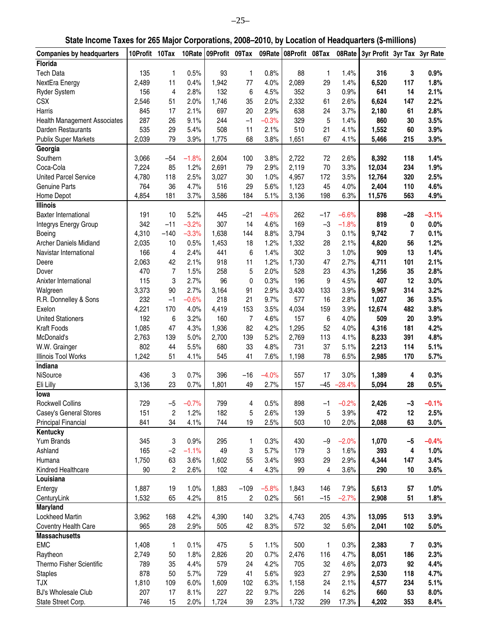| State Income Taxes for 265 Major Corporations, 2008–2010, by Location of Headquarters (\$-millions) |  |  |  |  |  |
|-----------------------------------------------------------------------------------------------------|--|--|--|--|--|
|-----------------------------------------------------------------------------------------------------|--|--|--|--|--|

| <b>Companies by headquarters</b>    | 10Profit 10Tax |                         |         | 10Rate 09Profit 09Tax |                |         | 09Rate 08Profit 08Tax |       | 08Rate   | 3yr Profit 3yr Tax 3yr Rate |       |         |
|-------------------------------------|----------------|-------------------------|---------|-----------------------|----------------|---------|-----------------------|-------|----------|-----------------------------|-------|---------|
| Florida                             |                |                         |         |                       |                |         |                       |       |          |                             |       |         |
| <b>Tech Data</b>                    | 135            | 1                       | 0.5%    | 93                    | 1              | 0.8%    | 88                    | 1     | 1.4%     | 316                         | 3     | 0.9%    |
| NextEra Energy                      | 2,489          | 11                      | 0.4%    | 1,942                 | 77             | 4.0%    | 2,089                 | 29    | 1.4%     | 6,520                       | 117   | 1.8%    |
| <b>Ryder System</b>                 | 156            | 4                       | 2.8%    | 132                   | 6              | 4.5%    | 352                   | 3     | 0.9%     | 641                         | 14    | 2.1%    |
| <b>CSX</b>                          | 2,546          | 51                      | 2.0%    | 1,746                 | 35             | 2.0%    | 2,332                 | 61    | 2.6%     | 6,624                       | 147   | 2.2%    |
| Harris                              | 845            | 17                      | 2.1%    | 697                   | 20             | 2.9%    | 638                   | 24    | 3.7%     | 2,180                       | 61    | 2.8%    |
| <b>Health Management Associates</b> | 287            | 26                      | 9.1%    | 244                   | $-1$           | $-0.3%$ | 329                   | 5     | 1.4%     | 860                         | 30    | 3.5%    |
| Darden Restaurants                  | 535            | 29                      | 5.4%    | 508                   | 11             | 2.1%    | 510                   | 21    | 4.1%     | 1,552                       | 60    | 3.9%    |
| <b>Publix Super Markets</b>         | 2,039          | 79                      | 3.9%    | 1,775                 | 68             | 3.8%    | 1,651                 | 67    | 4.1%     | 5,466                       | 215   | 3.9%    |
| Georgia                             |                |                         |         |                       |                |         |                       |       |          |                             |       |         |
| Southern                            | 3,066          | $-54$                   | $-1.8%$ | 2,604                 | 100            | 3.8%    | 2,722                 | 72    | 2.6%     | 8,392                       | 118   | 1.4%    |
| Coca-Cola                           | 7,224          | 85                      | 1.2%    | 2,691                 | 79             | 2.9%    | 2,119                 | 70    | 3.3%     | 12,034                      | 234   | 1.9%    |
| <b>United Parcel Service</b>        | 4,780          | 118                     | 2.5%    | 3,027                 | 30             | 1.0%    | 4,957                 | 172   | 3.5%     | 12,764                      | 320   | 2.5%    |
| Genuine Parts                       | 764            | 36                      | 4.7%    | 516                   | 29             | 5.6%    | 1,123                 | 45    | 4.0%     | 2,404                       | 110   | 4.6%    |
| Home Depot                          | 4,854          | 181                     | 3.7%    | 3,586                 | 184            | 5.1%    | 3,136                 | 198   | 6.3%     | 11,576                      | 563   | 4.9%    |
| <b>Illinois</b>                     |                |                         |         |                       |                |         |                       |       |          |                             |       |         |
| <b>Baxter International</b>         | 191            | 10                      | 5.2%    | 445                   | $-21$          | $-4.6%$ | 262                   | $-17$ | $-6.6%$  | 898                         | $-28$ | $-3.1%$ |
| Integrys Energy Group               | 342            | $-11$                   | $-3.2%$ | 307                   | 14             | 4.6%    | 169                   | $-3$  | $-1.8%$  | 819                         | 0     | 0.0%    |
| Boeing                              | 4,310          | $-140$                  | $-3.3%$ | 1,638                 | 144            | 8.8%    | 3,794                 | 3     | 0.1%     | 9,742                       | 7     | 0.1%    |
| <b>Archer Daniels Midland</b>       | 2,035          | 10                      | 0.5%    | 1,453                 | 18             | 1.2%    | 1,332                 | 28    | 2.1%     | 4,820                       | 56    | 1.2%    |
| Navistar International              | 166            | 4                       | 2.4%    | 441                   | 6              | 1.4%    | 302                   | 3     | 1.0%     | 909                         | 13    | 1.4%    |
| Deere                               | 2,063          | 42                      | 2.1%    | 918                   | 11             | 1.2%    | 1,730                 | 47    | 2.7%     | 4,711                       | 101   | 2.1%    |
| Dover                               | 470            | $\overline{7}$          | 1.5%    | 258                   | 5              | 2.0%    | 528                   | 23    | 4.3%     | 1,256                       | 35    | 2.8%    |
| Anixter International               | 115            | 3                       | 2.7%    | 96                    | 0              | 0.3%    | 196                   | 9     | 4.5%     | 407                         | 12    | 3.0%    |
| Walgreen                            | 3,373          | 90                      | 2.7%    | 3,164                 | 91             | 2.9%    | 3,430                 | 133   | 3.9%     | 9,967                       | 314   | 3.2%    |
| R.R. Donnelley & Sons               | 232            | $-1$                    | $-0.6%$ | 218                   | 21             | 9.7%    | 577                   | 16    | 2.8%     | 1,027                       | 36    | 3.5%    |
| Exelon                              | 4,221          | 170                     | 4.0%    | 4,419                 | 153            | 3.5%    | 4,034                 | 159   | 3.9%     | 12,674                      | 482   | 3.8%    |
| <b>United Stationers</b>            | 192            | 6                       | 3.2%    | 160                   | $\overline{7}$ | 4.6%    | 157                   | 6     | 4.0%     | 509                         | 20    | 3.9%    |
| <b>Kraft Foods</b>                  | 1,085          | 47                      | 4.3%    | 1,936                 | 82             | 4.2%    | 1,295                 | 52    | 4.0%     | 4,316                       | 181   | 4.2%    |
| McDonald's                          | 2,763          | 139                     | 5.0%    | 2,700                 | 139            | 5.2%    | 2,769                 | 113   | 4.1%     | 8,233                       | 391   | 4.8%    |
| W.W. Grainger                       | 802            | 44                      | 5.5%    | 680                   | 33             | 4.8%    | 731                   | 37    | 5.1%     | 2,213                       | 114   | 5.1%    |
| Illinois Tool Works                 | 1,242          | 51                      | 4.1%    | 545                   | 41             | 7.6%    | 1,198                 | 78    | 6.5%     | 2,985                       | 170   | 5.7%    |
| Indiana                             |                |                         |         |                       |                |         |                       |       |          |                             |       |         |
| NiSource                            | 436            | 3                       | 0.7%    | 396                   | $-16$          | $-4.0%$ | 557                   | 17    | 3.0%     | 1,389                       | 4     | 0.3%    |
| Eli Lilly                           | 3,136          | 23                      | 0.7%    | 1,801                 | 49             | 2.7%    | 157                   | $-45$ | $-28.4%$ | 5,094                       | 28    | 0.5%    |
| lowa                                |                |                         |         |                       |                |         |                       |       |          |                             |       |         |
| Rockwell Collins                    | 729            | $-5$                    | $-0.7%$ | 799                   | 4              | 0.5%    | 898                   | $-1$  | $-0.2%$  | 2,426                       | $-3$  | $-0.1%$ |
| Casey's General Stores              | 151            | $\overline{\mathbf{c}}$ | 1.2%    | 182                   | 5              | 2.6%    | 139                   | 5     | 3.9%     | 472                         | 12    | 2.5%    |
| <b>Principal Financial</b>          | 841            | 34                      | 4.1%    | 744                   | 19             | 2.5%    | 503                   | 10    | 2.0%     | 2,088                       | 63    | 3.0%    |
| Kentucky                            |                |                         |         |                       |                |         |                       |       |          |                             |       |         |
| Yum Brands                          | 345            | 3                       | 0.9%    | 295                   | 1              | 0.3%    | 430                   | $-9$  | $-2.0%$  | 1,070                       | -5    | $-0.4%$ |
| Ashland                             | 165            | $-2$                    | $-1.1%$ | 49                    | 3              | 5.7%    | 179                   | 3     | 1.6%     | 393                         | 4     | 1.0%    |
| Humana                              | 1,750          | 63                      | 3.6%    | 1,602                 | 55             | 3.4%    | 993                   | 29    | 2.9%     | 4,344                       | 147   | 3.4%    |
| Kindred Healthcare                  | 90             | $\overline{c}$          | 2.6%    | 102                   | 4              | 4.3%    | 99                    | 4     | 3.6%     | 290                         | 10    | 3.6%    |
| Louisiana                           |                |                         |         |                       |                |         |                       |       |          |                             |       |         |
| Entergy                             | 1,887          | 19                      | 1.0%    | 1,883                 | $-109$         | $-5.8%$ | 1,843                 | 146   | 7.9%     | 5,613                       | 57    | 1.0%    |
| CenturyLink                         | 1,532          | 65                      | 4.2%    | 815                   | 2              | 0.2%    | 561                   | $-15$ | $-2.7%$  | 2,908                       | 51    | 1.8%    |
| Maryland                            |                |                         |         |                       |                |         |                       |       |          |                             |       |         |
| Lockheed Martin                     | 3,962          | 168                     | 4.2%    | 4,390                 | 140            | 3.2%    | 4,743                 | 205   | 4.3%     | 13,095                      | 513   | 3.9%    |
| Coventry Health Care                | 965            | 28                      | 2.9%    | 505                   | 42             | 8.3%    | 572                   | 32    | 5.6%     | 2,041                       | 102   | 5.0%    |
| <b>Massachusetts</b>                |                |                         |         |                       |                |         |                       |       |          |                             |       |         |
| <b>EMC</b>                          | 1,408          | 1                       | 0.1%    | 475                   | 5              | 1.1%    | 500                   | 1     | 0.3%     | 2,383                       | 7     | 0.3%    |
| Raytheon                            | 2,749          | 50                      | 1.8%    | 2,826                 | 20             | 0.7%    | 2,476                 | 116   | 4.7%     | 8,051                       | 186   | 2.3%    |
| Thermo Fisher Scientific            | 789            | 35                      | 4.4%    | 579                   | 24             | 4.2%    | 705                   | 32    | 4.6%     | 2,073                       | 92    | 4.4%    |
| <b>Staples</b>                      | 878            | 50                      | 5.7%    | 729                   | 41             | 5.6%    | 923                   | 27    | 2.9%     | 2,530                       | 118   | 4.7%    |
| <b>TJX</b>                          | 1,810          | 109                     | 6.0%    | 1,609                 | 102            | 6.3%    | 1,158                 | 24    | 2.1%     | 4,577                       | 234   | 5.1%    |
| <b>BJ's Wholesale Club</b>          | 207            | 17                      | 8.1%    | 227                   | 22             | 9.7%    | 226                   | 14    | 6.2%     | 660                         | 53    | 8.0%    |
| State Street Corp.                  | 746            | 15                      | 2.0%    | 1,724                 | 39             | 2.3%    | 1,732                 | 299   | 17.3%    | 4,202                       | 353   | 8.4%    |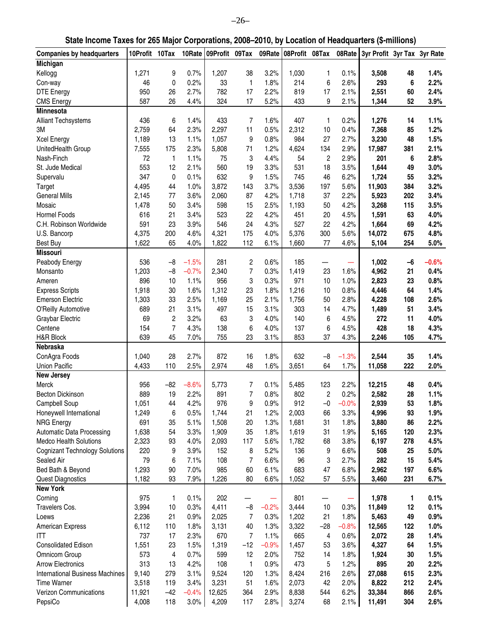| State Income Taxes for 265 Major Corporations, 2008–2010, by Location of Headquarters (\$-millions) |  |  |  |  |  |
|-----------------------------------------------------------------------------------------------------|--|--|--|--|--|
|-----------------------------------------------------------------------------------------------------|--|--|--|--|--|

| <b>Companies by headquarters</b>       | 10Profit 10Tax |                |         | 10Rate 09Profit 09Tax |                         | 09Rate  | 08Profit 08Tax |                  | 08Rate  | 3yr Profit 3yr Tax 3yr Rate |     |         |
|----------------------------------------|----------------|----------------|---------|-----------------------|-------------------------|---------|----------------|------------------|---------|-----------------------------|-----|---------|
| Michigan                               |                |                |         |                       |                         |         |                |                  |         |                             |     |         |
| Kellogg                                | 1,271          | 9              | 0.7%    | 1,207                 | 38                      | 3.2%    | 1,030          | 1                | 0.1%    | 3,508                       | 48  | 1.4%    |
| Con-way                                | 46             | 0              | 0.2%    | 33                    | 1                       | 1.8%    | 214            | 6                | 2.6%    | 293                         | 6   | 2.2%    |
| <b>DTE Energy</b>                      | 950            | 26             | 2.7%    | 782                   | 17                      | 2.2%    | 819            | 17               | 2.1%    | 2,551                       | 60  | 2.4%    |
| <b>CMS Energy</b>                      | 587            | 26             | 4.4%    | 324                   | 17                      | 5.2%    | 433            | 9                | 2.1%    | 1,344                       | 52  | 3.9%    |
| <b>Minnesota</b>                       |                |                |         |                       |                         |         |                |                  |         |                             |     |         |
|                                        | 436            | 6              | 1.4%    | 433                   | $\overline{7}$          | 1.6%    | 407            | 1                | 0.2%    | 1,276                       | 14  | 1.1%    |
| <b>Alliant Techsystems</b>             |                |                |         |                       |                         |         |                |                  |         |                             |     |         |
| 3M                                     | 2,759          | 64             | 2.3%    | 2,297                 | 11                      | 0.5%    | 2,312          | 10               | 0.4%    | 7,368                       | 85  | 1.2%    |
| <b>Xcel Energy</b>                     | 1,189          | 13             | 1.1%    | 1,057                 | 9                       | 0.8%    | 984            | 27               | 2.7%    | 3,230                       | 48  | 1.5%    |
| UnitedHealth Group                     | 7,555          | 175            | 2.3%    | 5,808                 | 71                      | 1.2%    | 4,624          | 134              | 2.9%    | 17,987                      | 381 | 2.1%    |
| Nash-Finch                             | 72             | 1              | 1.1%    | 75                    | 3                       | 4.4%    | 54             | $\boldsymbol{2}$ | 2.9%    | 201                         | 6   | 2.8%    |
| St. Jude Medical                       | 553            | 12             | 2.1%    | 560                   | 19                      | 3.3%    | 531            | 18               | 3.5%    | 1,644                       | 49  | 3.0%    |
| Supervalu                              | 347            | 0              | 0.1%    | 632                   | 9                       | 1.5%    | 745            | 46               | 6.2%    | 1,724                       | 55  | 3.2%    |
| <b>Target</b>                          | 4,495          | 44             | 1.0%    | 3,872                 | 143                     | 3.7%    | 3,536          | 197              | 5.6%    | 11,903                      | 384 | 3.2%    |
| <b>General Mills</b>                   | 2,145          | 77             | 3.6%    | 2,060                 | 87                      | 4.2%    | 1,718          | 37               | 2.2%    | 5,923                       | 202 | 3.4%    |
| Mosaic                                 | 1,478          | 50             | 3.4%    | 598                   | 15                      | 2.5%    | 1,193          | 50               | 4.2%    | 3,268                       | 115 | 3.5%    |
| Hormel Foods                           | 616            | 21             | 3.4%    | 523                   | 22                      | 4.2%    | 451            | 20               | 4.5%    | 1,591                       | 63  | 4.0%    |
| C.H. Robinson Worldwide                | 591            | 23             | 3.9%    | 546                   | 24                      | 4.3%    | 527            | 22               | 4.2%    | 1,664                       | 69  | 4.2%    |
| U.S. Bancorp                           | 4,375          | 200            | 4.6%    | 4,321                 | 175                     | 4.0%    | 5,376          | 300              | 5.6%    | 14,072                      | 675 | 4.8%    |
| <b>Best Buy</b>                        | 1,622          | 65             | 4.0%    | 1,822                 | 112                     | 6.1%    | 1,660          | 77               | 4.6%    | 5,104                       | 254 | 5.0%    |
| <b>Missouri</b>                        |                |                |         |                       |                         |         |                |                  |         |                             |     |         |
| Peabody Energy                         | 536            | $-8$           | $-1.5%$ | 281                   | $\overline{\mathbf{c}}$ | 0.6%    | 185            |                  |         | 1,002                       | -6  | $-0.6%$ |
| Monsanto                               | 1,203          | $-8$           | $-0.7%$ | 2,340                 | $\overline{7}$          | 0.3%    | 1,419          | 23               | 1.6%    | 4,962                       | 21  | 0.4%    |
|                                        |                |                |         | 956                   |                         |         | 971            |                  |         |                             |     |         |
| Ameren                                 | 896            | 10             | 1.1%    |                       | 3                       | 0.3%    |                | 10               | 1.0%    | 2,823                       | 23  | 0.8%    |
| <b>Express Scripts</b>                 | 1,918          | 30             | 1.6%    | 1,312                 | 23                      | 1.8%    | 1,216          | 10               | 0.8%    | 4,446                       | 64  | 1.4%    |
| <b>Emerson Electric</b>                | 1,303          | 33             | 2.5%    | 1,169                 | 25                      | 2.1%    | 1,756          | 50               | 2.8%    | 4,228                       | 108 | 2.6%    |
| O'Reilly Automotive                    | 689            | 21             | 3.1%    | 497                   | 15                      | 3.1%    | 303            | 14               | 4.7%    | 1,489                       | 51  | 3.4%    |
| Graybar Electric                       | 69             | $\sqrt{2}$     | 3.2%    | 63                    | 3                       | 4.0%    | 140            | 6                | 4.5%    | 272                         | 11  | 4.0%    |
| Centene                                | 154            | $\overline{7}$ | 4.3%    | 138                   | 6                       | 4.0%    | 137            | 6                | 4.5%    | 428                         | 18  | 4.3%    |
| H&R Block                              | 639            | 45             | 7.0%    | 755                   | 23                      | 3.1%    | 853            | 37               | 4.3%    | 2,246                       | 105 | 4.7%    |
| Nebraska                               |                |                |         |                       |                         |         |                |                  |         |                             |     |         |
| ConAgra Foods                          | 1,040          | 28             | 2.7%    | 872                   | 16                      | 1.8%    | 632            | $-8$             | $-1.3%$ | 2,544                       | 35  | 1.4%    |
| <b>Union Pacific</b>                   | 4,433          | 110            | 2.5%    | 2,974                 | 48                      | 1.6%    | 3,651          | 64               | 1.7%    | 11,058                      | 222 | 2.0%    |
| <b>New Jersey</b>                      |                |                |         |                       |                         |         |                |                  |         |                             |     |         |
| Merck                                  | 956            | $-82$          | $-8.6%$ | 5,773                 | 7                       | 0.1%    | 5,485          | 123              | 2.2%    | 12,215                      | 48  | 0.4%    |
| <b>Becton Dickinson</b>                | 889            | 19             | 2.2%    | 891                   | $\overline{7}$          | 0.8%    | 802            | $\overline{c}$   | 0.2%    | 2,582                       | 28  | 1.1%    |
| Campbell Soup                          | 1,051          | 44             | 4.2%    | 976                   | 9                       | 0.9%    | 912            | $-0$             | $-0.0%$ | 2,939                       | 53  | 1.8%    |
| Honeywell International                | 1,249          | 6              | 0.5%    | 1,744                 | 21                      | 1.2%    | 2,003          | 66               | 3.3%    | 4,996                       | 93  | 1.9%    |
| <b>NRG Energy</b>                      | 691            | 35             | 5.1%    | 1,508                 | 20                      | 1.3%    | 1,681          | 31               | 1.8%    | 3,880                       | 86  | 2.2%    |
| Automatic Data Processing              | 1,638          | 54             | 3.3%    | 1,909                 | 35                      | 1.8%    | 1,619          | 31               | 1.9%    | 5,165                       | 120 | 2.3%    |
| Medco Health Solutions                 | 2,323          | 93             | 4.0%    | 2,093                 | 117                     | 5.6%    | 1,782          | 68               | 3.8%    | 6,197                       | 278 | 4.5%    |
|                                        |                |                | 3.9%    | 152                   |                         | 5.2%    |                |                  | 6.6%    | 508                         | 25  |         |
| <b>Cognizant Technology Solutions</b>  | 220            | 9              |         |                       | 8                       |         | 136            | 9                |         |                             |     | 5.0%    |
| Sealed Air                             | 79             | 6              | 7.1%    | 108                   | $\overline{7}$          | 6.6%    | 96             | 3                | 2.7%    | 282                         | 15  | 5.4%    |
| Bed Bath & Beyond                      | 1,293          | 90             | 7.0%    | 985                   | 60                      | 6.1%    | 683            | 47               | 6.8%    | 2,962                       | 197 | 6.6%    |
| <b>Quest Diagnostics</b>               | 1,182          | 93             | 7.9%    | 1,226                 | 80                      | 6.6%    | 1,052          | 57               | 5.5%    | 3,460                       | 231 | 6.7%    |
| <b>New York</b>                        |                |                |         |                       |                         |         |                |                  |         |                             |     |         |
| Corning                                | 975            | 1              | 0.1%    | 202                   |                         |         | 801            |                  |         | 1,978                       | 1   | 0.1%    |
| Travelers Cos.                         | 3,994          | 10             | 0.3%    | 4,411                 | $-8$                    | $-0.2%$ | 3,444          | 10               | 0.3%    | 11,849                      | 12  | 0.1%    |
| Loews                                  | 2,236          | 21             | 0.9%    | 2,025                 | $\boldsymbol{7}$        | 0.3%    | 1,202          | 21               | 1.8%    | 5,463                       | 49  | 0.9%    |
| American Express                       | 6,112          | 110            | 1.8%    | 3,131                 | 40                      | 1.3%    | 3,322          | $-28$            | $-0.8%$ | 12,565                      | 122 | 1.0%    |
| ITT                                    | 737            | 17             | 2.3%    | 670                   | $\boldsymbol{7}$        | 1.1%    | 665            | 4                | 0.6%    | 2,072                       | 28  | 1.4%    |
| <b>Consolidated Edison</b>             | 1,551          | 23             | 1.5%    | 1,319                 | $-12$                   | $-0.9%$ | 1,457          | 53               | 3.6%    | 4,327                       | 64  | 1.5%    |
| Omnicom Group                          | 573            | $\overline{4}$ | 0.7%    | 599                   | 12                      | 2.0%    | 752            | 14               | 1.8%    | 1,924                       | 30  | 1.5%    |
| <b>Arrow Electronics</b>               | 313            | 13             | 4.2%    | 108                   | 1                       | 0.9%    | 473            | 5                | 1.2%    | 895                         | 20  | 2.2%    |
| <b>International Business Machines</b> | 9,140          | 279            | 3.1%    | 9,524                 | 120                     | 1.3%    | 8,424          | 216              | 2.6%    | 27,088                      | 615 | 2.3%    |
| <b>Time Warner</b>                     | 3,518          | 119            | 3.4%    | 3,231                 | 51                      | 1.6%    | 2,073          | 42               | 2.0%    | 8,822                       | 212 | 2.4%    |
| Verizon Communications                 | 11,921         | $-42$          | $-0.4%$ | 12,625                | 364                     | 2.9%    | 8,838          | 544              | 6.2%    | 33,384                      | 866 | 2.6%    |
|                                        |                |                |         |                       |                         |         |                |                  |         |                             |     |         |
| PepsiCo                                | 4,008          | 118            | $3.0\%$ | 4,209                 | 117                     | 2.8%    | 3,274          | 68               | 2.1%    | 11,491                      | 304 | 2.6%    |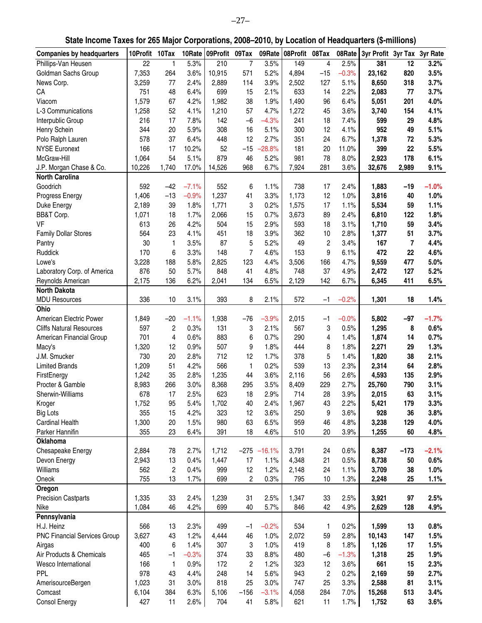| State Income Taxes for 265 Major Corporations, 2008-2010, by Location of Headquarters (\$-millions) |  |
|-----------------------------------------------------------------------------------------------------|--|
|                                                                                                     |  |

| <b>Companies by headquarters</b>    | 10Profit     | 10Tax                   | 10Rate  | 09Profit | 09Tax          | 09Rate        | 08Profit 08Tax |                         | 08Rate  | 3yr Profit 3yr Tax 3yr Rate |        |         |
|-------------------------------------|--------------|-------------------------|---------|----------|----------------|---------------|----------------|-------------------------|---------|-----------------------------|--------|---------|
| Phillips-Van Heusen                 | 22           | 1                       | 5.3%    | 210      | $\overline{7}$ | 3.5%          | 149            | 4                       | 2.5%    | 381                         | 12     | 3.2%    |
| Goldman Sachs Group                 | 7,353        | 264                     | 3.6%    | 10,915   | 571            | 5.2%          | 4,894          | $-15$                   | $-0.3%$ | 23,162                      | 820    | 3.5%    |
| News Corp.                          | 3,259        | 77                      | 2.4%    | 2,889    | 114            | 3.9%          | 2,502          | 127                     | 5.1%    | 8,650                       | 318    | 3.7%    |
| CA                                  | 751          | 48                      | 6.4%    | 699      |                | 2.1%          | 633            | 14                      | 2.2%    | 2,083                       | 77     | 3.7%    |
|                                     |              |                         |         |          | 15             |               |                |                         |         |                             |        |         |
| Viacom                              | 1,579        | 67                      | 4.2%    | 1,982    | 38             | 1.9%          | 1,490          | 96                      | 6.4%    | 5,051                       | 201    | 4.0%    |
| L-3 Communications                  | 1,258        | 52                      | 4.1%    | 1,210    | 57             | 4.7%          | 1,272          | 45                      | 3.6%    | 3,740                       | 154    | 4.1%    |
| Interpublic Group                   | 216          | 17                      | 7.8%    | 142      | $-6$           | $-4.3%$       | 241            | 18                      | 7.4%    | 599                         | 29     | 4.8%    |
| Henry Schein                        | 344          | 20                      | 5.9%    | 308      | 16             | 5.1%          | 300            | 12                      | 4.1%    | 952                         | 49     | 5.1%    |
| Polo Ralph Lauren                   | 578          | 37                      | 6.4%    | 448      | 12             | 2.7%          | 351            | 24                      | 6.7%    | 1,378                       | 72     | 5.3%    |
| <b>NYSE Euronext</b>                | 166          | 17                      | 10.2%   | 52       | $-15$          | $-28.8%$      | 181            | 20                      | 11.0%   | 399                         | 22     | 5.5%    |
| McGraw-Hill                         | 1,064        | 54                      | 5.1%    | 879      | 46             | 5.2%          | 981            | 78                      | 8.0%    | 2,923                       | 178    | 6.1%    |
| J.P. Morgan Chase & Co.             | 10,226       | 1,740                   | 17.0%   | 14,526   | 968            | 6.7%          | 7,924          | 281                     | 3.6%    | 32,676                      | 2,989  | 9.1%    |
| <b>North Carolina</b>               |              |                         |         |          |                |               |                |                         |         |                             |        |         |
| Goodrich                            | 592          | $-42$                   | $-7.1%$ | 552      | 6              | 1.1%          | 738            | 17                      | 2.4%    | 1,883                       | $-19$  | $-1.0%$ |
| Progress Energy                     | 1,406        | $-13$                   | $-0.9%$ | 1,237    | 41             | 3.3%          | 1,173          | 12                      | 1.0%    | 3,816                       | 40     | 1.0%    |
| Duke Energy                         | 2,189        | 39                      | 1.8%    | 1,771    | 3              | 0.2%          | 1,575          | 17                      | 1.1%    | 5,534                       | 59     | 1.1%    |
| BB&T Corp.                          | 1,071        | 18                      | 1.7%    | 2,066    | 15             | 0.7%          | 3,673          | 89                      | 2.4%    | 6,810                       | 122    | 1.8%    |
| VF                                  | 613          | 26                      | 4.2%    | 504      | 15             | 2.9%          | 593            | 18                      | 3.1%    | 1,710                       | 59     | 3.4%    |
| <b>Family Dollar Stores</b>         | 564          | 23                      | 4.1%    | 451      | 18             | 3.9%          | 362            | 10                      | 2.8%    | 1,377                       | 51     | 3.7%    |
| Pantry                              | 30           | 1                       | 3.5%    | 87       | 5              | 5.2%          | 49             | $\boldsymbol{2}$        | 3.4%    | 167                         | 7      | 4.4%    |
| Ruddick                             | 170          | 6                       | 3.3%    | 148      | $\overline{7}$ | 4.6%          | 153            | 9                       | 6.1%    | 472                         | 22     | 4.6%    |
| Lowe's                              | 3,228        | 188                     | 5.8%    | 2,825    | 123            | 4.4%          | 3,506          | 166                     | 4.7%    | 9,559                       | 477    | 5.0%    |
| Laboratory Corp. of America         | 876          | 50                      | 5.7%    | 848      | 41             | 4.8%          | 748            | 37                      | 4.9%    | 2,472                       | 127    | 5.2%    |
| Reynolds American                   | 2,175        | 136                     | 6.2%    | 2,041    | 134            | 6.5%          | 2,129          | 142                     | 6.7%    | 6,345                       | 411    | 6.5%    |
| <b>North Dakota</b>                 |              |                         |         |          |                |               |                |                         |         |                             |        |         |
| <b>MDU Resources</b>                | 336          | 10                      | 3.1%    | 393      | 8              | 2.1%          | 572            | -1                      | $-0.2%$ | 1,301                       | 18     | 1.4%    |
| Ohio                                |              |                         |         |          |                |               |                |                         |         |                             |        |         |
| American Electric Power             | 1,849        | $-20$                   | $-1.1%$ | 1,938    | $-76$          | $-3.9%$       | 2,015          | $-1$                    | $-0.0%$ | 5,802                       | $-97$  | $-1.7%$ |
| <b>Cliffs Natural Resources</b>     | 597          | 2                       | 0.3%    | 131      | 3              | 2.1%          | 567            | 3                       | 0.5%    | 1,295                       | 8      | 0.6%    |
| American Financial Group            | 701          | 4                       | 0.6%    | 883      | 6              | 0.7%          | 290            | $\overline{\mathbf{4}}$ | 1.4%    | 1,874                       | 14     | 0.7%    |
|                                     |              | 12                      | 0.9%    | 507      | 9              | 1.8%          | 444            | 8                       | 1.8%    | 2,271                       | 29     | 1.3%    |
| Macy's<br>J.M. Smucker              | 1,320<br>730 | 20                      | 2.8%    | 712      | 12             | 1.7%          | 378            | 5                       | 1.4%    |                             | 38     | 2.1%    |
|                                     |              |                         |         |          |                |               |                |                         |         | 1,820                       |        |         |
| <b>Limited Brands</b>               | 1,209        | 51                      | 4.2%    | 566      | 1              | 0.2%          | 539            | 13                      | 2.3%    | 2,314                       | 64     | 2.8%    |
| FirstEnergy                         | 1,242        | 35                      | 2.8%    | 1,235    | 44             | 3.6%          | 2,116          | 56                      | 2.6%    | 4,593                       | 135    | 2.9%    |
| Procter & Gamble                    | 8,983        | 266                     | 3.0%    | 8,368    | 295            | 3.5%          | 8,409          | 229                     | 2.7%    | 25,760                      | 790    | 3.1%    |
| Sherwin-Williams                    | 678          | 17                      | 2.5%    | 623      | 18             | 2.9%          | 714            | 28                      | 3.9%    | 2,015                       | 63     | 3.1%    |
| Kroger                              | 1,752        | 95                      | 5.4%    | 1,702    | 40             | 2.4%          | 1,967          | 43                      | 2.2%    | 5,421                       | 179    | 3.3%    |
| <b>Big Lots</b>                     | 355          | 15                      | 4.2%    | 323      | 12             | 3.6%          | 250            | 9                       | 3.6%    | 928                         | 36     | 3.8%    |
| Cardinal Health                     | 1,300        | 20                      | 1.5%    | 980      | 63             | 6.5%          | 959            | 46                      | 4.8%    | 3,238                       | 129    | 4.0%    |
| Parker Hannifin                     | 355          | 23                      | 6.4%    | 391      | 18             | 4.6%          | 510            | 20                      | 3.9%    | 1,255                       | 60     | 4.8%    |
| Oklahoma                            |              |                         |         |          |                |               |                |                         |         |                             |        |         |
| Chesapeake Energy                   | 2,884        | 78                      | 2.7%    | 1,712    |                | $-275 -16.1%$ | 3,791          | 24                      | 0.6%    | 8,387                       | $-173$ | $-2.1%$ |
| Devon Energy                        | 2,943        | 13                      | 0.4%    | 1,447    | 17             | 1.1%          | 4,348          | 21                      | 0.5%    | 8,738                       | 50     | 0.6%    |
| Williams                            | 562          | $\overline{\mathbf{c}}$ | 0.4%    | 999      | 12             | 1.2%          | 2,148          | 24                      | 1.1%    | 3,709                       | 38     | 1.0%    |
| Oneok                               | 755          | 13                      | 1.7%    | 699      | $\overline{c}$ | 0.3%          | 795            | 10                      | 1.3%    | 2,248                       | 25     | 1.1%    |
| Oregon                              |              |                         |         |          |                |               |                |                         |         |                             |        |         |
| <b>Precision Castparts</b>          | 1,335        | 33                      | 2.4%    | 1,239    | 31             | 2.5%          | 1,347          | 33                      | 2.5%    | 3,921                       | 97     | 2.5%    |
| Nike                                | 1,084        | 46                      | 4.2%    | 699      | 40             | 5.7%          | 846            | 42                      | 4.9%    | 2,629                       | 128    | 4.9%    |
| Pennsylvania                        |              |                         |         |          |                |               |                |                         |         |                             |        |         |
| H.J. Heinz                          | 566          | 13                      | 2.3%    | 499      | $-1$           | $-0.2%$       | 534            | 1                       | 0.2%    | 1,599                       | 13     | 0.8%    |
| <b>PNC Financial Services Group</b> | 3,627        | 43                      | 1.2%    | 4,444    | 46             | 1.0%          | 2,072          | 59                      | 2.8%    | 10,143                      | 147    | 1.5%    |
| Airgas                              | 400          | 6                       | 1.4%    | 307      | 3              | 1.0%          | 419            | 8                       | 1.8%    | 1,126                       | 17     | 1.5%    |
| Air Products & Chemicals            | 465          | $-1$                    | $-0.3%$ | 374      | 33             | 8.8%          | 480            | $-6$                    | $-1.3%$ | 1,318                       | 25     | 1.9%    |
| Wesco International                 | 166          | 1                       | 0.9%    | 172      | $\overline{c}$ | 1.2%          | 323            | 12                      | 3.6%    | 661                         | 15     | 2.3%    |
| <b>PPL</b>                          | 978          | 43                      | 4.4%    | 248      | 14             | 5.6%          | 943            | $\sqrt{2}$              | 0.2%    | 2,169                       | 59     | 2.7%    |
| AmerisourceBergen                   | 1,023        | 31                      | 3.0%    | 818      | 25             | 3.0%          | 747            | 25                      | 3.3%    | 2,588                       | 81     | 3.1%    |
| Comcast                             | 6,104        | 384                     | 6.3%    | 5,106    | $-156$         | $-3.1%$       | 4,058          | 284                     | 7.0%    | 15,268                      | 513    | 3.4%    |
| <b>Consol Energy</b>                | 427          | 11                      | 2.6%    | 704      | 41             | 5.8%          | 621            | 11                      | 1.7%    | 1,752                       | 63     | 3.6%    |
|                                     |              |                         |         |          |                |               |                |                         |         |                             |        |         |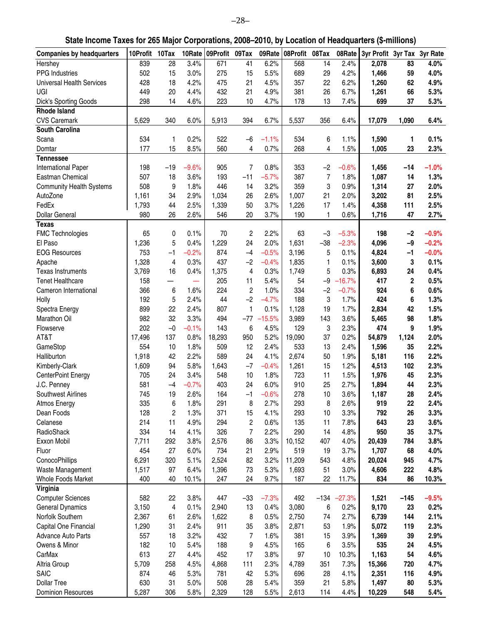### **State Income Taxes for 265 Major Corporations, 2008–2010, by Location of Headquarters (\$-millions)**

| <b>Companies by headquarters</b> | 10Profit 10Tax |       | 10Rate  | 09Profit 09Tax |                | 09Rate   | 08Profit 08Tax |                         | 08Rate   | 3yr Profit 3yr Tax 3yr Rate |                  |         |
|----------------------------------|----------------|-------|---------|----------------|----------------|----------|----------------|-------------------------|----------|-----------------------------|------------------|---------|
| Hershey                          | 839            | 28    | 3.4%    | 671            | 41             | 6.2%     | 568            | 14                      | 2.4%     | 2,078                       | 83               | 4.0%    |
| PPG Industries                   | 502            | 15    | 3.0%    | 275            | 15             | 5.5%     | 689            | 29                      | 4.2%     | 1,466                       | 59               | 4.0%    |
| <b>Universal Health Services</b> | 428            | 18    | 4.2%    | 475            | 21             | 4.5%     | 357            | 22                      | 6.2%     | 1,260                       | 62               | 4.9%    |
| UGI                              | 449            | 20    | 4.4%    | 432            | 21             | 4.9%     | 381            | 26                      | 6.7%     | 1,261                       | 66               | 5.3%    |
| Dick's Sporting Goods            | 298            | 14    | 4.6%    | 223            | 10             | 4.7%     | 178            | 13                      | 7.4%     | 699                         | 37               | 5.3%    |
| <b>Rhode Island</b>              |                |       |         |                |                |          |                |                         |          |                             |                  |         |
| <b>CVS Caremark</b>              | 5,629          | 340   | 6.0%    | 5,913          | 394            | 6.7%     | 5,537          | 356                     | 6.4%     | 17,079                      | 1,090            | 6.4%    |
| <b>South Carolina</b>            |                |       |         |                |                |          |                |                         |          |                             |                  |         |
| Scana                            | 534            | 1     | 0.2%    | 522            | $-6$           | $-1.1%$  | 534            | 6                       | 1.1%     | 1,590                       | 1                | 0.1%    |
| Domtar                           | 177            | 15    | 8.5%    | 560            | 4              | 0.7%     | 268            | $\overline{\mathbf{4}}$ | 1.5%     | 1,005                       | 23               | 2.3%    |
| <b>Tennessee</b>                 |                |       |         |                |                |          |                |                         |          |                             |                  |         |
| International Paper              | 198            | $-19$ | $-9.6%$ | 905            | $\overline{7}$ | 0.8%     | 353            | $-2$                    | $-0.6%$  | 1,456                       | $-14$            | $-1.0%$ |
| Eastman Chemical                 | 507            | 18    | 3.6%    | 193            | $-11$          | $-5.7%$  | 387            | $\overline{7}$          | 1.8%     | 1,087                       | 14               | 1.3%    |
| <b>Community Health Systems</b>  | 508            | 9     | 1.8%    | 446            | 14             | 3.2%     | 359            | 3                       | 0.9%     | 1,314                       | 27               | 2.0%    |
| AutoZone                         | 1,161          | 34    | 2.9%    | 1,034          | 26             | 2.6%     | 1,007          | 21                      | 2.0%     | 3,202                       | 81               | 2.5%    |
| FedEx                            | 1,793          | 44    | 2.5%    | 1,339          | 50             | 3.7%     | 1,226          | 17                      | 1.4%     | 4,358                       | 111              | 2.5%    |
| Dollar General                   | 980            | 26    | 2.6%    | 546            | 20             | 3.7%     | 190            | $\mathbf{1}$            | 0.6%     | 1,716                       | 47               | 2.7%    |
| <b>Texas</b>                     |                |       |         |                |                |          |                |                         |          |                             |                  |         |
| FMC Technologies                 | 65             | 0     | 0.1%    | 70             | $\overline{c}$ | 2.2%     | 63             | $-3$                    | $-5.3%$  | 198                         | $-2$             | $-0.9%$ |
| El Paso                          | 1,236          | 5     | 0.4%    | 1,229          | 24             | 2.0%     | 1,631          | $-38$                   | $-2.3%$  | 4,096                       | $-9$             | $-0.2%$ |
| <b>EOG Resources</b>             | 753            | $-1$  | $-0.2%$ | 874            | $-4$           | $-0.5%$  | 3,196          | 5                       | 0.1%     | 4,824                       | $-1$             | $-0.0%$ |
| Apache                           | 1,328          | 4     | 0.3%    | 437            | $-2$           | $-0.4%$  | 1,835          | 1                       | 0.1%     | 3,600                       | 3                | 0.1%    |
| <b>Texas Instruments</b>         | 3,769          | 16    | 0.4%    | 1,375          | 4              | 0.3%     | 1,749          | 5                       | 0.3%     | 6,893                       | 24               | 0.4%    |
| <b>Tenet Healthcare</b>          | 158            |       |         | 205            | 11             | 5.4%     | 54             | $-9$                    | $-16.7%$ | 417                         | $\boldsymbol{2}$ | 0.5%    |
| Cameron International            | 366            | 6     | 1.6%    | 224            | $\overline{c}$ | 1.0%     | 334            | $-2$                    | $-0.7%$  | 924                         | 6                | 0.6%    |
| Holly                            | 192            | 5     | 2.4%    | 44             | $-2$           | $-4.7%$  | 188            | 3                       | 1.7%     | 424                         | 6                | 1.3%    |
| Spectra Energy                   | 899            | 22    | 2.4%    | 807            | 1              | 0.1%     | 1,128          | 19                      | 1.7%     | 2,834                       | 42               | 1.5%    |
| Marathon Oil                     | 982            | 32    | 3.3%    | 494            | $-77$          | $-15.5%$ | 3,989          | 143                     | 3.6%     | 5,465                       | 98               | 1.8%    |
| Flowserve                        | 202            | $-0$  | $-0.1%$ | 143            | 6              | 4.5%     | 129            | 3                       | 2.3%     | 474                         | 9                | 1.9%    |
| AT&T                             | 17,496         | 137   | 0.8%    | 18,293         | 950            | 5.2%     | 19,090         | 37                      | 0.2%     | 54,879                      | 1,124            | 2.0%    |
| GameStop                         | 554            | 10    | 1.8%    | 509            | 12             | 2.4%     | 533            | 13                      | 2.4%     | 1,596                       | 35               | 2.2%    |
| Halliburton                      | 1,918          | 42    | 2.2%    | 589            | 24             | 4.1%     | 2,674          | 50                      | 1.9%     | 5,181                       | 116              | 2.2%    |
| Kimberly-Clark                   | 1,609          | 94    | 5.8%    | 1,643          | $-7$           | $-0.4%$  | 1,261          | 15                      | 1.2%     | 4,513                       | 102              | 2.3%    |
| <b>CenterPoint Energy</b>        | 705            | 24    | 3.4%    | 548            | 10             | 1.8%     | 723            | 11                      | 1.5%     | 1,976                       | 45               | 2.3%    |
| J.C. Penney                      | 581            | $-4$  | $-0.7%$ | 403            | 24             | 6.0%     | 910            | 25                      | 2.7%     | 1,894                       | 44               | 2.3%    |
| <b>Southwest Airlines</b>        | 745            | 19    | 2.6%    | 164            | $-1$           | $-0.6%$  | 278            | 10                      | 3.6%     | 1,187                       | 28               | 2.4%    |
| Atmos Energy                     | 335            | 6     | 1.8%    | 291            | 8              | 2.7%     | 293            | 8                       | 2.6%     | 919                         | 22               | 2.4%    |
| Dean Foods                       | 128            | 2     | 1.3%    | 371            | 15             | 4.1%     | 293            | 10                      | 3.3%     | 792                         | 26               | 3.3%    |
| Celanese                         | 214            | 11    | 4.9%    | 294            | $\overline{c}$ | 0.6%     | 135            | 11                      | 7.8%     | 643                         | 23               | 3.6%    |
| RadioShack                       | 334            | 14    | 4.1%    | 326            | $\overline{7}$ | 2.2%     | 290            | 14                      | 4.8%     | 950                         | 35               | 3.7%    |
| Exxon Mobil                      | 7,711          | 292   | 3.8%    | 2,576          | 86             | 3.3%     | 10,152         | 407                     | 4.0%     | 20,439                      | 784              | 3.8%    |
| Fluor                            | 454            | 27    | 6.0%    | 734            | 21             | 2.9%     | 519            | 19                      | 3.7%     | 1,707                       | 68               | 4.0%    |
| ConocoPhillips                   | 6,291          | 320   | 5.1%    | 2,524          | 82             | 3.2%     | 11,209         | 543                     | 4.8%     | 20,024                      | 945              | 4.7%    |
| Waste Management                 | 1,517          | 97    | 6.4%    | 1,396          | 73             | 5.3%     | 1,693          | 51                      | 3.0%     | 4,606                       | 222              | 4.8%    |
| Whole Foods Market               | 400            | 40    | 10.1%   | 247            | 24             | 9.7%     | 187            | 22                      | 11.7%    | 834                         | 86               | 10.3%   |
| Virginia                         | 582            |       |         | 447            |                |          | 492            |                         |          |                             |                  |         |
| <b>Computer Sciences</b>         |                | 22    | 3.8%    |                | $-33$          | $-7.3%$  |                | $-134$                  | $-27.3%$ | 1,521                       | $-145$           | $-9.5%$ |
| General Dynamics                 | 3,150          | 4     | 0.1%    | 2,940          | 13             | 0.4%     | 3,080          | 6                       | 0.2%     | 9,170                       | 23               | 0.2%    |
| Norfolk Southern                 | 2,367          | 61    | 2.6%    | 1,622          | 8              | 0.5%     | 2,750          | 74                      | 2.7%     | 6,739                       | 144              | 2.1%    |
| Capital One Financial            | 1,290          | 31    | 2.4%    | 911            | 35             | 3.8%     | 2,871          | 53                      | 1.9%     | 5,072                       | 119              | 2.3%    |
| Advance Auto Parts               | 557            | 18    | 3.2%    | 432            | 7              | 1.6%     | 381            | 15                      | 3.9%     | 1,369                       | 39               | 2.9%    |
| Owens & Minor                    | 182            | 10    | 5.4%    | 188            | 9              | 4.5%     | 165            | 6                       | 3.5%     | 535                         | 24               | 4.5%    |
| CarMax                           | 613            | 27    | 4.4%    | 452            | 17             | 3.8%     | 97             | 10                      | 10.3%    | 1,163                       | 54               | 4.6%    |
| Altria Group                     | 5,709          | 258   | 4.5%    | 4,868          | 111            | 2.3%     | 4,789          | 351                     | 7.3%     | 15,366                      | 720              | 4.7%    |
| <b>SAIC</b>                      | 874            | 46    | 5.3%    | 781            | 42             | 5.3%     | 696            | 28                      | 4.1%     | 2,351                       | 116              | 4.9%    |
| <b>Dollar Tree</b>               | 630            | 31    | 5.0%    | 508            | 28             | 5.4%     | 359            | 21                      | 5.8%     | 1,497                       | 80               | 5.3%    |
| <b>Dominion Resources</b>        | 5,287          | 306   | 5.8%    | 2,329          | 128            | 5.5%     | 2,613          | 114                     | 4.4%     | 10,229                      | 548              | 5.4%    |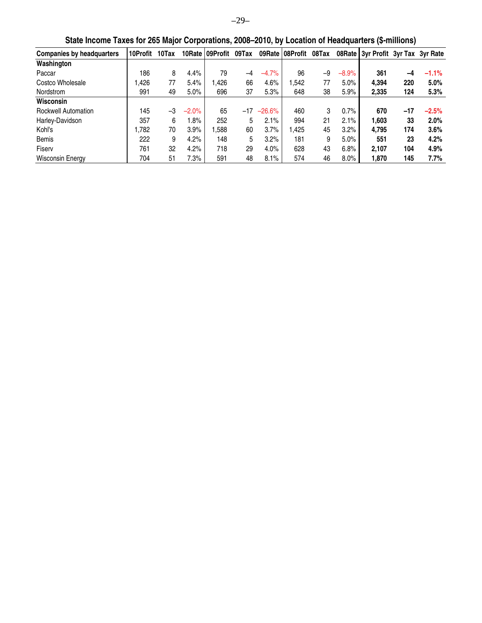| <b>Companies by headquarters</b> | 10Profit | 10Tax |         | 10 Rate 109 Profit | 09Tax |          | 09Rate 08Profit | 08Tax |         | 08Rate 3yr Profit 3yr Tax 3yr Rate |       |          |
|----------------------------------|----------|-------|---------|--------------------|-------|----------|-----------------|-------|---------|------------------------------------|-------|----------|
| Washington                       |          |       |         |                    |       |          |                 |       |         |                                    |       |          |
| Paccar                           | 186      | 8     | 4.4%    | 79                 | $-4$  | $-4.7%$  | 96              | -9    | $-8.9%$ | 361                                | -4    | $-1.1\%$ |
| Costco Wholesale                 | ,426     | 77    | 5.4%    | .426               | 66    | 4.6%     | .542            | 77    | 5.0%    | 4.394                              | 220   | 5.0%     |
| Nordstrom                        | 991      | 49    | 5.0%    | 696                | 37    | 5.3%     | 648             | 38    | 5.9%    | 2.335                              | 124   | 5.3%     |
| Wisconsin                        |          |       |         |                    |       |          |                 |       |         |                                    |       |          |
| <b>Rockwell Automation</b>       | 145      | $-3$  | $-2.0%$ | 65                 | $-17$ | $-26.6%$ | 460             | 3     | 0.7%    | 670                                | $-17$ | $-2.5%$  |
| Harley-Davidson                  | 357      | 6     | .8%     | 252                | 5     | 2.1%     | 994             | 21    | 2.1%    | 1.603                              | 33    | 2.0%     |
| Kohl's                           | ,782     | 70    | 3.9%    | ,588               | 60    | 3.7%     | .425            | 45    | 3.2%    | 4.795                              | 174   | 3.6%     |
| Bemis                            | 222      | 9     | 4.2%    | 148                | 5     | 3.2%     | 181             | 9     | 5.0%    | 551                                | 23    | 4.2%     |
| Fiserv                           | 761      | 32    | 4.2%    | 718                | 29    | 4.0%     | 628             | 43    | 6.8%    | 2.107                              | 104   | 4.9%     |
| Wisconsin Energy                 | 704      | 51    | 7.3%    | 591                | 48    | 8.1%     | 574             | 46    | 8.0%    | 1.870                              | 145   | 7.7%     |

**State Income Taxes for 265 Major Corporations, 2008–2010, by Location of Headquarters (\$-millions)**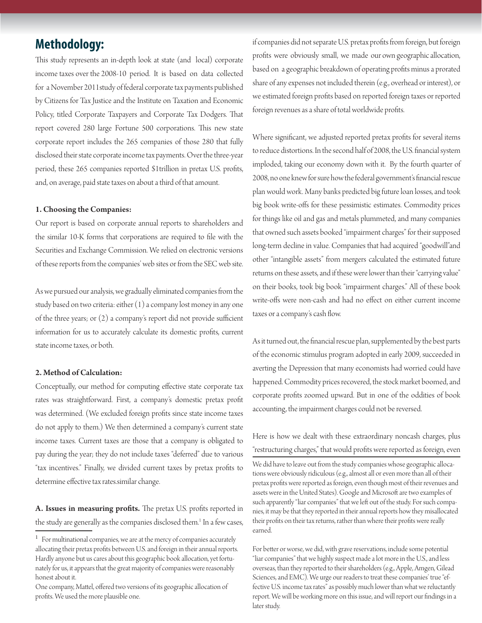### **Methodology:**

This study represents an in-depth look at state (and local) corporate income taxes over the 2008-10 period. It is based on data collected for a November 2011study of federal corporate tax payments published by Citizens for Tax Justice and the Institute on Taxation and Economic Policy, titled Corporate Taxpayers and Corporate Tax Dodgers. That report covered 280 large Fortune 500 corporations. This new state corporate report includes the 265 companies of those 280 that fully disclosed their state corporate income tax payments. Over the three-year period, these 265 companies reported \$1trillion in pretax U.S. profits, and, on average, paid state taxes on about a third of that amount.

#### 1. Choosing the Companies:

Our report is based on corporate annual reports to shareholders and the similar 10-K forms that corporations are required to file with the Securities and Exchange Commission. We relied on electronic versions of these reports from the companies' web sites or from the SEC web site.

As we pursued our analysis, we gradually eliminated companies from the study based on two criteria: either (1) a company lost money in any one of the three years; or  $(2)$  a company's report did not provide sufficient information for us to accurately calculate its domestic profits, current state income taxes, or both.

#### 2. Method of Calculation:

Conceptually, our method for computing effective state corporate tax rates was straightforward. First, a company's domestic pretax profit was determined. (We excluded foreign profits since state income taxes do not apply to them.) We then determined a company's current state income taxes. Current taxes are those that a company is obligated to pay during the year; they do not include taxes "deferred" due to various "tax incentives." Finally, we divided current taxes by pretax profits to determine effective tax rates.similar change.

A. Issues in measuring profits. The pretax U.S. profits reported in the study are generally as the companies disclosed them.<sup>1</sup> In a few cases,

if companies did not separate U.S. pretax profits from foreign, but foreign profits were obviously small, we made our own geographic allocation, based on a geographic breakdown of operating profits minus a prorated share of any expenses not included therein (e.g., overhead or interest), or we estimated foreign profits based on reported foreign taxes or reported foreign revenues as a share of total worldwide profits.

Where significant, we adjusted reported pretax profits for several items to reduce distortions. In the second half of 2008, the U.S. financial system imploded, taking our economy down with it. By the fourth quarter of 2008, no one knew for sure how the federal government's financial rescue plan would work. Many banks predicted big future loan losses, and took big book write-offs for these pessimistic estimates. Commodity prices for things like oil and gas and metals plummeted, and many companies that owned such assets booked "impairment charges" for their supposed long-term decline in value. Companies that had acquired "goodwill"and other "intangible assets" from mergers calculated the estimated future returns on these assets, and if these were lower than their "carrying value" on their books, took big book "impairment charges." All of these book write-offs were non-cash and had no effect on either current income taxes or a company's cash flow.

As it turned out, the financial rescue plan, supplemented by the best parts of the economic stimulus program adopted in early 2009, succeeded in averting the Depression that many economists had worried could have happened. Commodity prices recovered, the stock market boomed, and corporate profits zoomed upward. But in one of the oddities of book accounting, the impairment charges could not be reversed.

Here is how we dealt with these extraordinary noncash charges, plus "restructuring charges," that would profits were reported as foreign, even

We did have to leave out from the study companies whose geographic allocations were obviously ridiculous (e.g., almost all or even more than all of their pretax profits were reported as foreign, even though most of their revenues and assets were in the United States). Google and Microsoft are two examples of such apparently "liar companies" that we left out of the study. For such companies, it may be that they reported in their annual reports how they misallocated their profits on their tax returns, rather than where their profits were really earned.

For better or worse, we did, with grave reservations, include some potential "liar companies" that we highly suspect made a lot more in the U.S., and less overseas, than they reported to their shareholders (e.g., Apple, Amgen, Gilead Sciences, and EMC). We urge our readers to treat these companies' true "effective U.S. income tax rates" as possibly much lower than what we reluctantly report. We will be working more on this issue, and will report our findings in a later study.

<sup>&</sup>lt;sup>1</sup> For multinational companies, we are at the mercy of companies accurately allocating their pretax profits between U.S. and foreign in their annual reports. Hardly anyone but us cares about this geographic book allocation, yet fortunately for us, it appears that the great majority of companies were reasonably honest about it.

One company, Mattel, offered two versions of its geographic allocation of profits. We used the more plausible one.